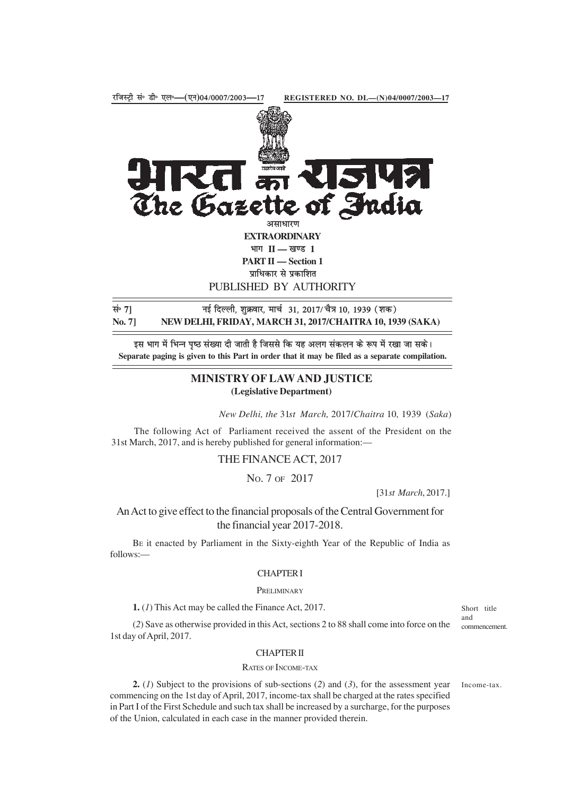

इस भाग में भिन्न पृष्ठ संख्या दी जाती है जिससे कि यह अलग संकलन के रूप में रखा जा सके। **Separate paging is given to this Part in order that it may be filed as a separate compilation.**

# **MINISTRY OF LAW AND JUSTICE (Legislative Department)**

*New Delhi, the* 31*st March,* 2017/*Chaitra* 10*,* 1939 (*Saka*)

The following Act of Parliament received the assent of the President on the 31st March, 2017, and is hereby published for general information:—

THE FINANCE ACT, 2017

# NO. 7 OF 2017

[31*st March*, 2017.]

# An Act to give effect to the financial proposals of the Central Government for the financial year 2017-2018.

BE it enacted by Parliament in the Sixty-eighth Year of the Republic of India as follows:—

## CHAPTER I

#### **PRELIMINARY**

**1.** (*1*) This Act may be called the Finance Act, 2017.

Short title and commencement.

## (*2*) Save as otherwise provided in this Act, sections 2 to 88 shall come into force on the 1st day of April, 2017.

### CHAPTER II

#### RATES OF INCOME-TAX

**2.** (*1*) Subject to the provisions of sub-sections (*2*) and (*3*), for the assessment year commencing on the 1st day of April, 2017, income-tax shall be charged at the rates specified in Part I of the First Schedule and such tax shall be increased by a surcharge, for the purposes of the Union, calculated in each case in the manner provided therein.

Income-tax.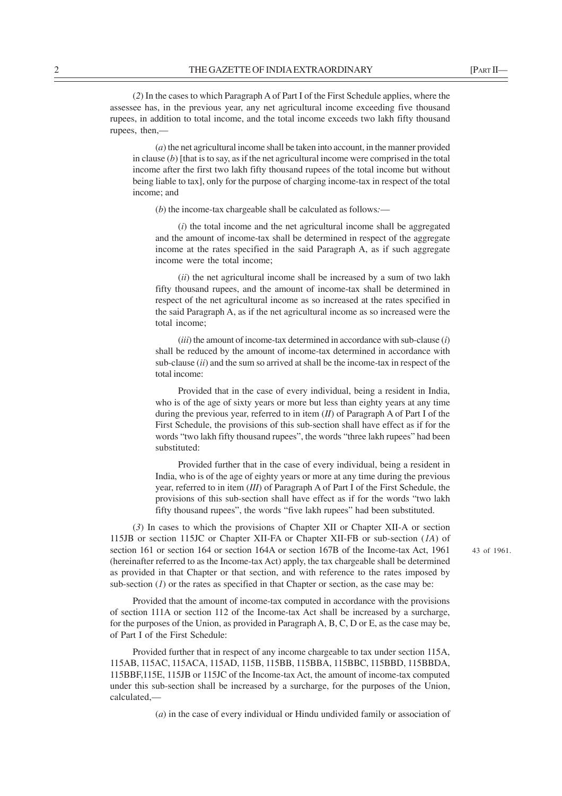(*2*) In the cases to which Paragraph A of Part I of the First Schedule applies, where the assessee has, in the previous year, any net agricultural income exceeding five thousand rupees, in addition to total income, and the total income exceeds two lakh fifty thousand rupees, then,—

(*a*) the net agricultural income shall be taken into account, in the manner provided in clause (*b*) [that is to say, as if the net agricultural income were comprised in the total income after the first two lakh fifty thousand rupees of the total income but without being liable to tax], only for the purpose of charging income-tax in respect of the total income; and

(*b*) the income-tax chargeable shall be calculated as follows*:*—

(*i*) the total income and the net agricultural income shall be aggregated and the amount of income-tax shall be determined in respect of the aggregate income at the rates specified in the said Paragraph A, as if such aggregate income were the total income;

(*ii*) the net agricultural income shall be increased by a sum of two lakh fifty thousand rupees, and the amount of income-tax shall be determined in respect of the net agricultural income as so increased at the rates specified in the said Paragraph A, as if the net agricultural income as so increased were the total income;

(*iii*) the amount of income-tax determined in accordance with sub-clause (*i*) shall be reduced by the amount of income-tax determined in accordance with sub-clause (*ii*) and the sum so arrived at shall be the income-tax in respect of the total income:

Provided that in the case of every individual, being a resident in India, who is of the age of sixty years or more but less than eighty years at any time during the previous year, referred to in item (*II*) of Paragraph A of Part I of the First Schedule, the provisions of this sub-section shall have effect as if for the words "two lakh fifty thousand rupees", the words "three lakh rupees" had been substituted:

Provided further that in the case of every individual, being a resident in India, who is of the age of eighty years or more at any time during the previous year, referred to in item (*III*) of Paragraph A of Part I of the First Schedule, the provisions of this sub-section shall have effect as if for the words "two lakh fifty thousand rupees", the words "five lakh rupees" had been substituted.

(*3*) In cases to which the provisions of Chapter XII or Chapter XII-A or section 115JB or section 115JC or Chapter XII-FA or Chapter XII-FB or sub-section (*1A*) of section 161 or section 164 or section 164A or section 167B of the Income-tax Act, 1961 (hereinafter referred to as the Income-tax Act) apply, the tax chargeable shall be determined as provided in that Chapter or that section, and with reference to the rates imposed by sub-section  $(I)$  or the rates as specified in that Chapter or section, as the case may be:

43 of 1961.

Provided that the amount of income-tax computed in accordance with the provisions of section 111A or section 112 of the Income-tax Act shall be increased by a surcharge, for the purposes of the Union, as provided in Paragraph A, B, C, D or E, as the case may be, of Part I of the First Schedule:

Provided further that in respect of any income chargeable to tax under section 115A, 115AB, 115AC, 115ACA, 115AD, 115B, 115BB, 115BBA, 115BBC, 115BBD, 115BBDA, 115BBF,115E, 115JB or 115JC of the Income-tax Act, the amount of income-tax computed under this sub-section shall be increased by a surcharge, for the purposes of the Union, calculated,—

(*a*) in the case of every individual or Hindu undivided family or association of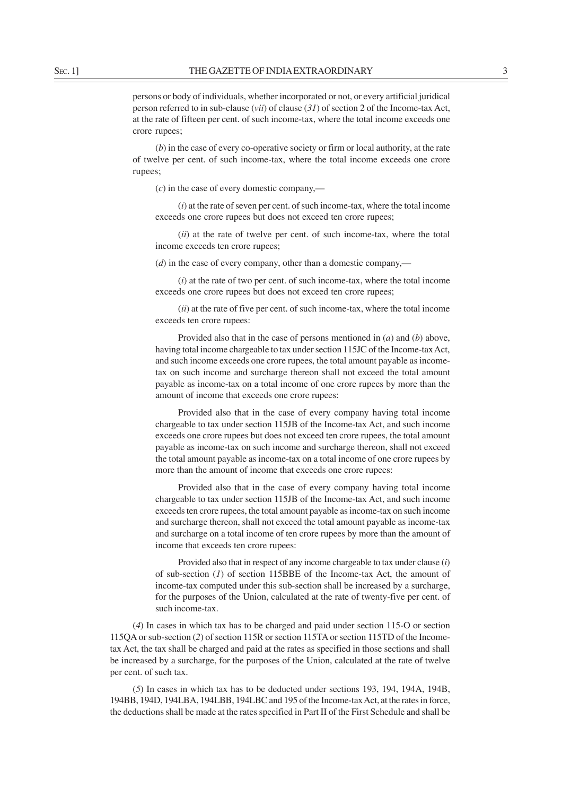persons or body of individuals, whether incorporated or not, or every artificial juridical person referred to in sub-clause (*vii*) of clause (*31*) of section 2 of the Income-tax Act, at the rate of fifteen per cent. of such income-tax, where the total income exceeds one crore rupees;

(*b*) in the case of every co-operative society or firm or local authority, at the rate of twelve per cent. of such income-tax, where the total income exceeds one crore rupees;

(*c*) in the case of every domestic company,—

(*i*) at the rate of seven per cent. of such income-tax, where the total income exceeds one crore rupees but does not exceed ten crore rupees;

(*ii*) at the rate of twelve per cent. of such income-tax, where the total income exceeds ten crore rupees;

(*d*) in the case of every company, other than a domestic company,—

(*i*) at the rate of two per cent. of such income-tax, where the total income exceeds one crore rupees but does not exceed ten crore rupees;

(*ii*) at the rate of five per cent. of such income-tax, where the total income exceeds ten crore rupees:

Provided also that in the case of persons mentioned in (*a*) and (*b*) above, having total income chargeable to tax under section 115JC of the Income-tax Act, and such income exceeds one crore rupees, the total amount payable as incometax on such income and surcharge thereon shall not exceed the total amount payable as income-tax on a total income of one crore rupees by more than the amount of income that exceeds one crore rupees:

Provided also that in the case of every company having total income chargeable to tax under section 115JB of the Income-tax Act, and such income exceeds one crore rupees but does not exceed ten crore rupees, the total amount payable as income-tax on such income and surcharge thereon, shall not exceed the total amount payable as income-tax on a total income of one crore rupees by more than the amount of income that exceeds one crore rupees:

Provided also that in the case of every company having total income chargeable to tax under section 115JB of the Income-tax Act, and such income exceeds ten crore rupees, the total amount payable as income-tax on such income and surcharge thereon, shall not exceed the total amount payable as income-tax and surcharge on a total income of ten crore rupees by more than the amount of income that exceeds ten crore rupees:

Provided also that in respect of any income chargeable to tax under clause (*i*) of sub-section (*1*) of section 115BBE of the Income-tax Act, the amount of income-tax computed under this sub-section shall be increased by a surcharge, for the purposes of the Union, calculated at the rate of twenty-five per cent. of such income-tax.

(*4*) In cases in which tax has to be charged and paid under section 115-O or section 115QA or sub-section (*2*) of section 115R or section 115TA or section 115TD of the Incometax Act, the tax shall be charged and paid at the rates as specified in those sections and shall be increased by a surcharge, for the purposes of the Union, calculated at the rate of twelve per cent. of such tax.

(*5*) In cases in which tax has to be deducted under sections 193, 194, 194A, 194B, 194BB, 194D, 194LBA, 194LBB, 194LBC and 195 of the Income-tax Act, at the rates in force, the deductions shall be made at the rates specified in Part II of the First Schedule and shall be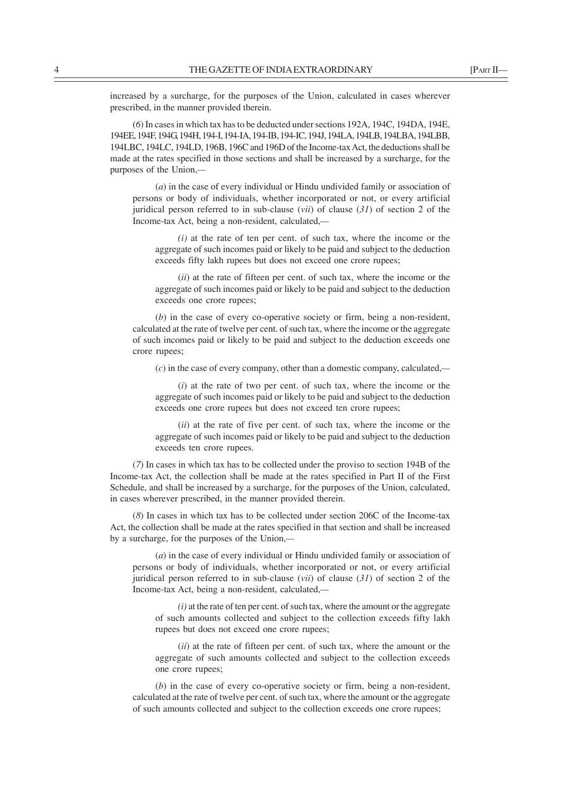(*6*) In cases in which tax has to be deducted under sections 192A, 194C, 194DA, 194E, 194EE, 194F, 194G, 194H, 194-I, 194-IA, 194-IB, 194-IC, 194J, 194LA, 194LB, 194LBA, 194LBB, 194LBC, 194LC, 194LD, 196B, 196C and 196D of the Income-tax Act, the deductions shall be made at the rates specified in those sections and shall be increased by a surcharge, for the purposes of the Union,*—*

(*a*) in the case of every individual or Hindu undivided family or association of persons or body of individuals, whether incorporated or not, or every artificial juridical person referred to in sub-clause (*vii*) of clause (*31*) of section 2 of the Income-tax Act, being a non-resident, calculated,*—*

*(i)* at the rate of ten per cent. of such tax, where the income or the aggregate of such incomes paid or likely to be paid and subject to the deduction exceeds fifty lakh rupees but does not exceed one crore rupees;

(*ii*) at the rate of fifteen per cent. of such tax, where the income or the aggregate of such incomes paid or likely to be paid and subject to the deduction exceeds one crore rupees;

(*b*) in the case of every co-operative society or firm, being a non-resident, calculated at the rate of twelve per cent. of such tax, where the income or the aggregate of such incomes paid or likely to be paid and subject to the deduction exceeds one crore rupees;

(*c*) in the case of every company, other than a domestic company, calculated,*—*

(*i*) at the rate of two per cent. of such tax, where the income or the aggregate of such incomes paid or likely to be paid and subject to the deduction exceeds one crore rupees but does not exceed ten crore rupees;

(*ii*) at the rate of five per cent. of such tax, where the income or the aggregate of such incomes paid or likely to be paid and subject to the deduction exceeds ten crore rupees.

(*7*) In cases in which tax has to be collected under the proviso to section 194B of the Income-tax Act, the collection shall be made at the rates specified in Part II of the First Schedule, and shall be increased by a surcharge, for the purposes of the Union, calculated, in cases wherever prescribed, in the manner provided therein.

(*8*) In cases in which tax has to be collected under section 206C of the Income-tax Act, the collection shall be made at the rates specified in that section and shall be increased by a surcharge, for the purposes of the Union,*—*

(*a*) in the case of every individual or Hindu undivided family or association of persons or body of individuals, whether incorporated or not, or every artificial juridical person referred to in sub-clause (*vii*) of clause (*31*) of section 2 of the Income-tax Act, being a non-resident, calculated,*—*

*(i)* at the rate of ten per cent. of such tax, where the amount or the aggregate of such amounts collected and subject to the collection exceeds fifty lakh rupees but does not exceed one crore rupees;

(*ii*) at the rate of fifteen per cent. of such tax, where the amount or the aggregate of such amounts collected and subject to the collection exceeds one crore rupees;

(*b*) in the case of every co-operative society or firm, being a non-resident, calculated at the rate of twelve per cent. of such tax, where the amount or the aggregate of such amounts collected and subject to the collection exceeds one crore rupees;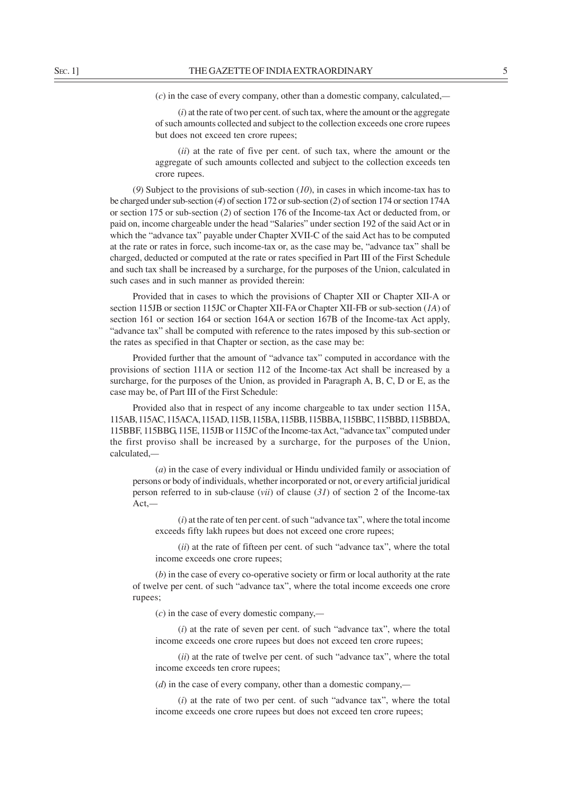(*c*) in the case of every company, other than a domestic company, calculated,*—*

(*i*) at the rate of two per cent. of such tax, where the amount or the aggregate of such amounts collected and subject to the collection exceeds one crore rupees but does not exceed ten crore rupees;

(*ii*) at the rate of five per cent. of such tax, where the amount or the aggregate of such amounts collected and subject to the collection exceeds ten crore rupees.

(*9*) Subject to the provisions of sub-section (*10*), in cases in which income-tax has to be charged under sub-section (*4*) of section 172 or sub-section (*2*) of section 174 or section 174A or section 175 or sub-section (*2*) of section 176 of the Income-tax Act or deducted from, or paid on, income chargeable under the head "Salaries" under section 192 of the said Act or in which the "advance tax" payable under Chapter XVII-C of the said Act has to be computed at the rate or rates in force, such income-tax or, as the case may be, "advance tax" shall be charged, deducted or computed at the rate or rates specified in Part III of the First Schedule and such tax shall be increased by a surcharge, for the purposes of the Union, calculated in such cases and in such manner as provided therein:

Provided that in cases to which the provisions of Chapter XII or Chapter XII-A or section 115JB or section 115JC or Chapter XII-FA or Chapter XII-FB or sub-section (*1A*) of section 161 or section 164 or section 164A or section 167B of the Income-tax Act apply, "advance tax" shall be computed with reference to the rates imposed by this sub-section or the rates as specified in that Chapter or section, as the case may be:

Provided further that the amount of "advance tax" computed in accordance with the provisions of section 111A or section 112 of the Income-tax Act shall be increased by a surcharge, for the purposes of the Union, as provided in Paragraph A, B, C, D or E, as the case may be, of Part III of the First Schedule:

Provided also that in respect of any income chargeable to tax under section 115A, 115AB, 115AC, 115ACA, 115AD, 115B, 115BA, 115BB, 115BBA, 115BBC, 115BBD, 115BBDA, 115BBF, 115BBG, 115E, 115JB or 115JC of the Income-tax Act, "advance tax" computed under the first proviso shall be increased by a surcharge, for the purposes of the Union, calculated,*—*

(*a*) in the case of every individual or Hindu undivided family or association of persons or body of individuals, whether incorporated or not, or every artificial juridical person referred to in sub-clause (*vii*) of clause (*31*) of section 2 of the Income-tax Act,*—*

(*i*) at the rate of ten per cent. of such "advance tax", where the total income exceeds fifty lakh rupees but does not exceed one crore rupees;

(*ii*) at the rate of fifteen per cent. of such "advance tax", where the total income exceeds one crore rupees;

(*b*) in the case of every co-operative society or firm or local authority at the rate of twelve per cent. of such "advance tax", where the total income exceeds one crore rupees;

(*c*) in the case of every domestic company,*—*

(*i*) at the rate of seven per cent. of such "advance tax", where the total income exceeds one crore rupees but does not exceed ten crore rupees;

(*ii*) at the rate of twelve per cent. of such "advance tax", where the total income exceeds ten crore rupees;

(*d*) in the case of every company, other than a domestic company,*—*

(*i*) at the rate of two per cent. of such "advance tax", where the total income exceeds one crore rupees but does not exceed ten crore rupees;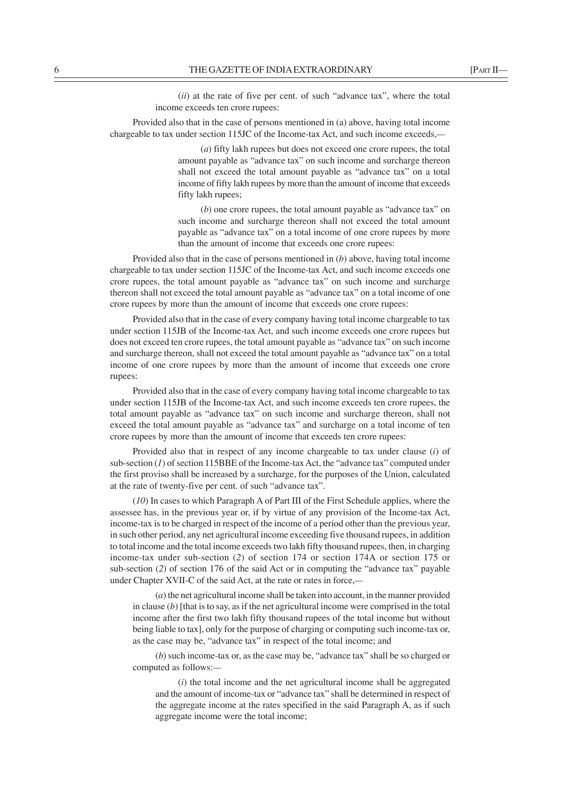Provided also that in the case of persons mentioned in (a) above, having total income chargeable to tax under section 115JC of the Income-tax Act, and such income exceeds,*—*

> (*a*) fifty lakh rupees but does not exceed one crore rupees, the total amount payable as "advance tax" on such income and surcharge thereon shall not exceed the total amount payable as "advance tax" on a total income of fifty lakh rupees by more than the amount of income that exceeds fifty lakh rupees;

> (*b*) one crore rupees, the total amount payable as "advance tax" on such income and surcharge thereon shall not exceed the total amount payable as "advance tax" on a total income of one crore rupees by more than the amount of income that exceeds one crore rupees:

Provided also that in the case of persons mentioned in (*b*) above, having total income chargeable to tax under section 115JC of the Income-tax Act, and such income exceeds one crore rupees, the total amount payable as "advance tax" on such income and surcharge thereon shall not exceed the total amount payable as "advance tax" on a total income of one crore rupees by more than the amount of income that exceeds one crore rupees:

Provided also that in the case of every company having total income chargeable to tax under section 115JB of the Income-tax Act, and such income exceeds one crore rupees but does not exceed ten crore rupees, the total amount payable as "advance tax" on such income and surcharge thereon, shall not exceed the total amount payable as "advance tax" on a total income of one crore rupees by more than the amount of income that exceeds one crore rupees:

Provided also that in the case of every company having total income chargeable to tax under section 115JB of the Income-tax Act, and such income exceeds ten crore rupees, the total amount payable as "advance tax" on such income and surcharge thereon, shall not exceed the total amount payable as "advance tax" and surcharge on a total income of ten crore rupees by more than the amount of income that exceeds ten crore rupees:

Provided also that in respect of any income chargeable to tax under clause (*i*) of sub-section (*1*) of section 115BBE of the Income-tax Act, the "advance tax" computed under the first proviso shall be increased by a surcharge, for the purposes of the Union, calculated at the rate of twenty-five per cent. of such "advance tax".

(*10*) In cases to which Paragraph A of Part III of the First Schedule applies, where the assessee has, in the previous year or, if by virtue of any provision of the Income-tax Act, income-tax is to be charged in respect of the income of a period other than the previous year, in such other period, any net agricultural income exceeding five thousand rupees, in addition to total income and the total income exceeds two lakh fifty thousand rupees, then, in charging income-tax under sub-section (*2*) of section 174 or section 174A or section 175 or sub-section (*2*) of section 176 of the said Act or in computing the "advance tax" payable under Chapter XVII-C of the said Act, at the rate or rates in force,*—*

(*a*) the net agricultural income shall be taken into account, in the manner provided in clause  $(b)$  [that is to say, as if the net agricultural income were comprised in the total income after the first two lakh fifty thousand rupees of the total income but without being liable to tax], only for the purpose of charging or computing such income-tax or, as the case may be, "advance tax" in respect of the total income; and

(*b*) such income-tax or, as the case may be, "advance tax" shall be so charged or computed as follows:*—*

(*i*) the total income and the net agricultural income shall be aggregated and the amount of income-tax or "advance tax" shall be determined in respect of the aggregate income at the rates specified in the said Paragraph A, as if such aggregate income were the total income;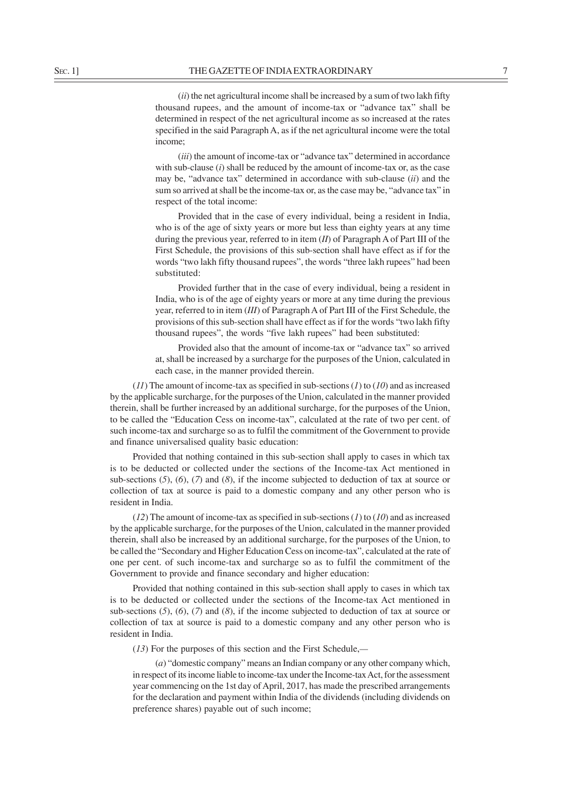(*ii*) the net agricultural income shall be increased by a sum of two lakh fifty thousand rupees, and the amount of income-tax or "advance tax" shall be determined in respect of the net agricultural income as so increased at the rates specified in the said Paragraph A, as if the net agricultural income were the total income;

(*iii*) the amount of income-tax or "advance tax" determined in accordance with sub-clause (*i*) shall be reduced by the amount of income-tax or, as the case may be, "advance tax" determined in accordance with sub-clause (*ii*) and the sum so arrived at shall be the income-tax or, as the case may be, "advance tax" in respect of the total income:

Provided that in the case of every individual, being a resident in India, who is of the age of sixty years or more but less than eighty years at any time during the previous year, referred to in item (*II*) of Paragraph A of Part III of the First Schedule, the provisions of this sub-section shall have effect as if for the words "two lakh fifty thousand rupees", the words "three lakh rupees" had been substituted:

Provided further that in the case of every individual, being a resident in India, who is of the age of eighty years or more at any time during the previous year, referred to in item (*III*) of Paragraph A of Part III of the First Schedule, the provisions of this sub-section shall have effect as if for the words "two lakh fifty thousand rupees", the words "five lakh rupees" had been substituted:

Provided also that the amount of income-tax or "advance tax" so arrived at, shall be increased by a surcharge for the purposes of the Union, calculated in each case, in the manner provided therein.

(*11*) The amount of income-tax as specified in sub-sections (*1*) to (*10*) and as increased by the applicable surcharge, for the purposes of the Union, calculated in the manner provided therein, shall be further increased by an additional surcharge, for the purposes of the Union, to be called the "Education Cess on income-tax", calculated at the rate of two per cent. of such income-tax and surcharge so as to fulfil the commitment of the Government to provide and finance universalised quality basic education:

Provided that nothing contained in this sub-section shall apply to cases in which tax is to be deducted or collected under the sections of the Income-tax Act mentioned in sub-sections (*5*), (*6*), (*7*) and (*8*), if the income subjected to deduction of tax at source or collection of tax at source is paid to a domestic company and any other person who is resident in India.

 $(12)$  The amount of income-tax as specified in sub-sections  $(1)$  to  $(10)$  and as increased by the applicable surcharge, for the purposes of the Union, calculated in the manner provided therein, shall also be increased by an additional surcharge, for the purposes of the Union, to be called the "Secondary and Higher Education Cess on income-tax", calculated at the rate of one per cent. of such income-tax and surcharge so as to fulfil the commitment of the Government to provide and finance secondary and higher education:

Provided that nothing contained in this sub-section shall apply to cases in which tax is to be deducted or collected under the sections of the Income-tax Act mentioned in sub-sections (*5*), (*6*), (*7*) and (*8*), if the income subjected to deduction of tax at source or collection of tax at source is paid to a domestic company and any other person who is resident in India.

(*13*) For the purposes of this section and the First Schedule,*—*

(*a*) "domestic company" means an Indian company or any other company which, in respect of its income liable to income-tax under the Income-tax Act, for the assessment year commencing on the 1st day of April, 2017, has made the prescribed arrangements for the declaration and payment within India of the dividends (including dividends on preference shares) payable out of such income;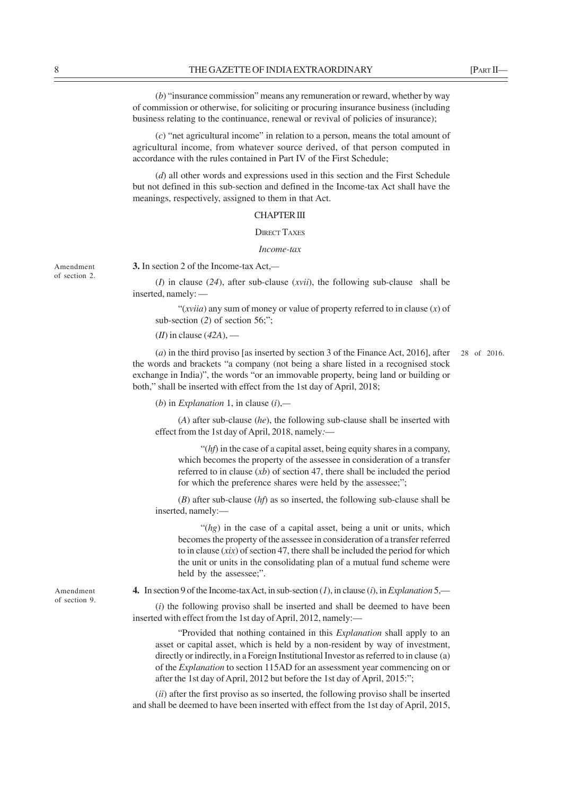(*b*) "insurance commission" means any remuneration or reward, whether by way of commission or otherwise, for soliciting or procuring insurance business (including business relating to the continuance, renewal or revival of policies of insurance);

(*c*) "net agricultural income" in relation to a person, means the total amount of agricultural income, from whatever source derived, of that person computed in accordance with the rules contained in Part IV of the First Schedule;

(*d*) all other words and expressions used in this section and the First Schedule but not defined in this sub-section and defined in the Income-tax Act shall have the meanings, respectively, assigned to them in that Act.

## CHAPTER III

DIRECT TAXES

### *Income-tax*

Amendment of section 2. **3.** In section 2 of the Income-tax Act,*—*

(*I*) in clause (*24*), after sub-clause (*xvii*), the following sub-clause shall be inserted, namely: —

"(*xviia*) any sum of money or value of property referred to in clause (*x*) of sub-section (*2*) of section 56;";

(*II*) in clause (*42A*), —

(*a*) in the third proviso [as inserted by section 3 of the Finance Act, 2016], after the words and brackets "a company (not being a share listed in a recognised stock exchange in India)", the words "or an immovable property, being land or building or both," shall be inserted with effect from the 1st day of April, 2018; 28 of 2016.

(*b*) in *Explanation* 1, in clause (*i*),*—*

(*A*) after sub-clause (*he*), the following sub-clause shall be inserted with effect from the 1st day of April, 2018, namely*:*—

"(*hf*) in the case of a capital asset, being equity shares in a company, which becomes the property of the assessee in consideration of a transfer referred to in clause (*xb*) of section 47, there shall be included the period for which the preference shares were held by the assessee:":

(*B*) after sub-clause (*hf*) as so inserted, the following sub-clause shall be inserted, namely:—

"(*hg*) in the case of a capital asset, being a unit or units, which becomes the property of the assessee in consideration of a transfer referred to in clause (*xix*) of section 47, there shall be included the period for which the unit or units in the consolidating plan of a mutual fund scheme were held by the assessee;".

**4.** In section 9 of the Income-tax Act, in sub-section (*1*), in clause (*i*), in *Explanation* 5,—

(*i*) the following proviso shall be inserted and shall be deemed to have been inserted with effect from the 1st day of April, 2012, namely:—

"Provided that nothing contained in this *Explanation* shall apply to an asset or capital asset, which is held by a non-resident by way of investment, directly or indirectly, in a Foreign Institutional Investor as referred to in clause (a) of the *Explanation* to section 115AD for an assessment year commencing on or after the 1st day of April, 2012 but before the 1st day of April, 2015:";

(*ii*) after the first proviso as so inserted, the following proviso shall be inserted and shall be deemed to have been inserted with effect from the 1st day of April, 2015,

Amendment of section 9.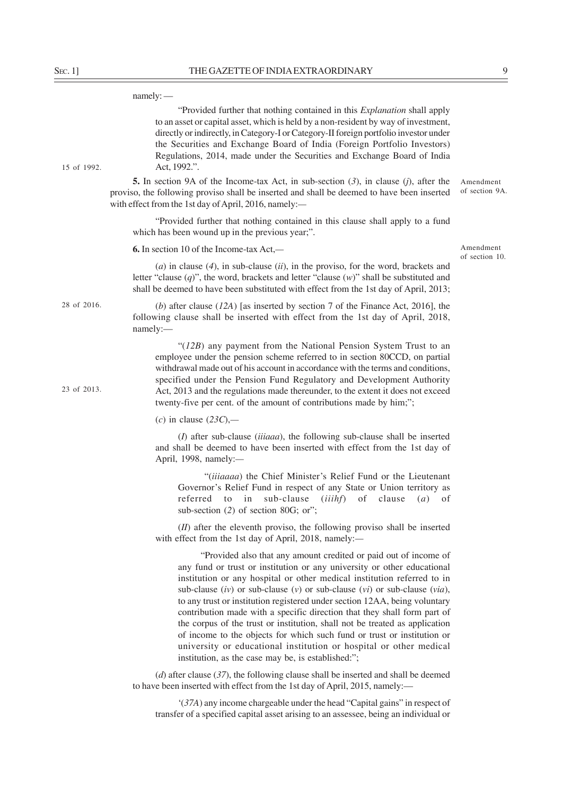| $S_{EC}.1$ ] | THE GAZETTE OF INDIA EXTRAORDINARY                                                                                                                                                                                                                                                                                                                                                                                                                                     | 9                           |
|--------------|------------------------------------------------------------------------------------------------------------------------------------------------------------------------------------------------------------------------------------------------------------------------------------------------------------------------------------------------------------------------------------------------------------------------------------------------------------------------|-----------------------------|
|              | $namely:$ —                                                                                                                                                                                                                                                                                                                                                                                                                                                            |                             |
| 15 of 1992.  | "Provided further that nothing contained in this Explanation shall apply<br>to an asset or capital asset, which is held by a non-resident by way of investment,<br>directly or indirectly, in Category-I or Category-II foreign portfolio investor under<br>the Securities and Exchange Board of India (Foreign Portfolio Investors)<br>Regulations, 2014, made under the Securities and Exchange Board of India<br>Act, 1992.".                                       |                             |
|              | <b>5.</b> In section 9A of the Income-tax Act, in sub-section $(3)$ , in clause $(j)$ , after the<br>proviso, the following proviso shall be inserted and shall be deemed to have been inserted<br>with effect from the 1st day of April, 2016, namely:-                                                                                                                                                                                                               | Amendment<br>of section 9A. |
|              | "Provided further that nothing contained in this clause shall apply to a fund<br>which has been wound up in the previous year;".                                                                                                                                                                                                                                                                                                                                       |                             |
|              | <b>6.</b> In section 10 of the Income-tax Act,—                                                                                                                                                                                                                                                                                                                                                                                                                        | Amendment<br>of section 10. |
| 28 of 2016.  | (a) in clause $(4)$ , in sub-clause $(ii)$ , in the proviso, for the word, brackets and<br>letter "clause $(q)$ ", the word, brackets and letter "clause $(w)$ " shall be substituted and<br>shall be deemed to have been substituted with effect from the 1st day of April, 2013;                                                                                                                                                                                     |                             |
|              | (b) after clause $(12A)$ [as inserted by section 7 of the Finance Act, 2016], the<br>following clause shall be inserted with effect from the 1st day of April, 2018,<br>namely:-                                                                                                                                                                                                                                                                                       |                             |
| 23 of 2013.  | " $(12B)$ any payment from the National Pension System Trust to an<br>employee under the pension scheme referred to in section 80CCD, on partial<br>withdrawal made out of his account in accordance with the terms and conditions,<br>specified under the Pension Fund Regulatory and Development Authority<br>Act, 2013 and the regulations made thereunder, to the extent it does not exceed<br>twenty-five per cent. of the amount of contributions made by him;"; |                             |
|              | (c) in clause $(23C)$ ,—                                                                                                                                                                                                                                                                                                                                                                                                                                               |                             |
|              | $(I)$ after sub-clause (iiiaaa), the following sub-clause shall be inserted<br>and shall be deemed to have been inserted with effect from the 1st day of<br>April, 1998, namely:-                                                                                                                                                                                                                                                                                      |                             |
|              | "(iiiaaaa) the Chief Minister's Relief Fund or the Lieutenant<br>Governor's Relief Fund in respect of any State or Union territory as<br>( <i>iiihf</i> ) of clause<br>referred to in sub-clause<br>$(a)$ of<br>sub-section (2) of section 80G; or";                                                                                                                                                                                                                   |                             |
|              | $(II)$ after the eleventh proviso, the following proviso shall be inserted<br>with effect from the 1st day of April, 2018, namely:-                                                                                                                                                                                                                                                                                                                                    |                             |
|              | "Provided also that any amount credited or paid out of income of<br>any fund or trust or institution or any university or other educational<br>institution or any hospital or other medical institution referred to in<br>sub-clause (iv) or sub-clause (v) or sub-clause (vi) or sub-clause (via),<br>to any trust or institution registered under section 12AA, being voluntary<br>contribution made with a specific direction that they shall form part of          |                             |

the corpus of the trust or institution, shall not be treated as application of income to the objects for which such fund or trust or institution or university or educational institution or hospital or other medical

'(*37A*) any income chargeable under the head "Capital gains" in respect of transfer of a specified capital asset arising to an assessee, being an individual or

(*d*) after clause (*37*), the following clause shall be inserted and shall be deemed

institution, as the case may be, is established:";

to have been inserted with effect from the 1st day of April, 2015, namely:—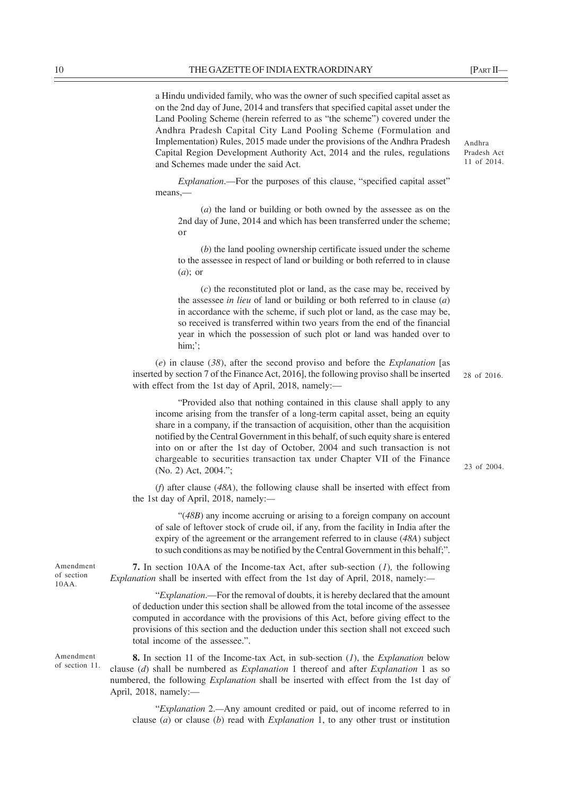a Hindu undivided family, who was the owner of such specified capital asset as on the 2nd day of June, 2014 and transfers that specified capital asset under the Land Pooling Scheme (herein referred to as "the scheme") covered under the Andhra Pradesh Capital City Land Pooling Scheme (Formulation and Implementation) Rules, 2015 made under the provisions of the Andhra Pradesh Capital Region Development Authority Act, 2014 and the rules, regulations and Schemes made under the said Act.

*Explanation*.—For the purposes of this clause, "specified capital asset" means,—

(*a*) the land or building or both owned by the assessee as on the 2nd day of June, 2014 and which has been transferred under the scheme; or

(*b*) the land pooling ownership certificate issued under the scheme to the assessee in respect of land or building or both referred to in clause (*a*); or

(*c*) the reconstituted plot or land, as the case may be, received by the assessee *in lieu* of land or building or both referred to in clause (*a*) in accordance with the scheme, if such plot or land, as the case may be, so received is transferred within two years from the end of the financial year in which the possession of such plot or land was handed over to him;';

(*e*) in clause (*38*), after the second proviso and before the *Explanation* [as inserted by section 7 of the Finance Act, 2016], the following proviso shall be inserted with effect from the 1st day of April, 2018, namely:—

"Provided also that nothing contained in this clause shall apply to any income arising from the transfer of a long-term capital asset, being an equity share in a company, if the transaction of acquisition, other than the acquisition notified by the Central Government in this behalf, of such equity share is entered into on or after the 1st day of October, 2004 and such transaction is not chargeable to securities transaction tax under Chapter VII of the Finance (No. 2) Act, 2004.";

(*f*) after clause (*48A*), the following clause shall be inserted with effect from the 1st day of April, 2018, namely:*—*

"(*48B*) any income accruing or arising to a foreign company on account of sale of leftover stock of crude oil, if any, from the facility in India after the expiry of the agreement or the arrangement referred to in clause (*48A*) subject to such conditions as may be notified by the Central Government in this behalf;".

**7.** In section 10AA of the Income-tax Act, after sub-section (*1*)*,* the following *Explanation* shall be inserted with effect from the 1st day of April, 2018, namely:*—*

"*Explanation*.––For the removal of doubts, it is hereby declared that the amount of deduction under this section shall be allowed from the total income of the assessee computed in accordance with the provisions of this Act, before giving effect to the provisions of this section and the deduction under this section shall not exceed such total income of the assessee.".

**8.** In section 11 of the Income-tax Act, in sub-section (*1*), the *Explanation* below clause (*d*) shall be numbered as *Explanation* 1 thereof and after *Explanation* 1 as so numbered, the following *Explanation* shall be inserted with effect from the 1st day of April, 2018, namely:—

"*Explanation* 2.*—*Any amount credited or paid, out of income referred to in clause (*a*) or clause (*b*) read with *Explanation* 1, to any other trust or institution

Amendment of section 10AA.

Amendment of section 11. Andhra Pradesh Act 11 of 2014.

28 of 2016.

23 of 2004.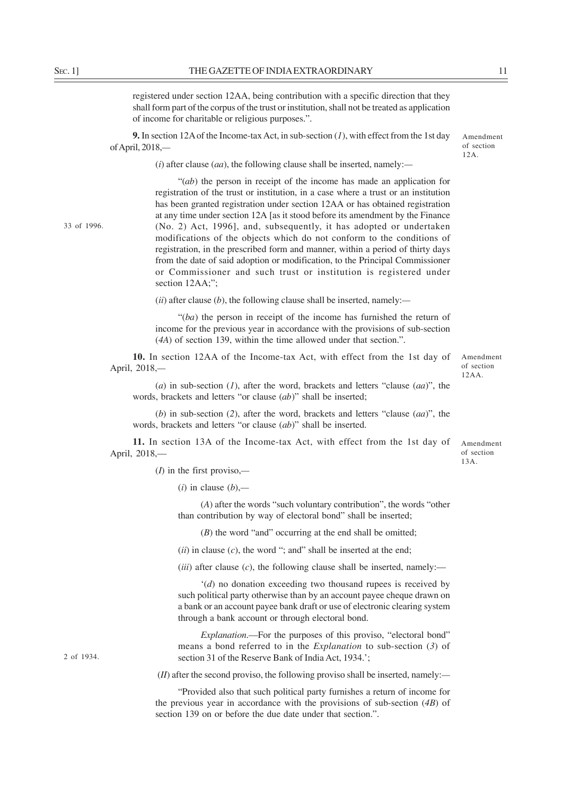registered under section 12AA, being contribution with a specific direction that they shall form part of the corpus of the trust or institution, shall not be treated as application of income for charitable or religious purposes.".

**9.** In section 12A of the Income-tax Act, in sub-section (*1*), with effect from the 1st day of April, 2018,*—*

Amendment of section 12A.

(*i*) after clause (*aa*), the following clause shall be inserted, namely:*—*

33 of 1996.

"(*ab*) the person in receipt of the income has made an application for registration of the trust or institution, in a case where a trust or an institution has been granted registration under section 12AA or has obtained registration at any time under section 12A [as it stood before its amendment by the Finance (No. 2) Act, 1996], and, subsequently, it has adopted or undertaken modifications of the objects which do not conform to the conditions of registration, in the prescribed form and manner, within a period of thirty days from the date of said adoption or modification, to the Principal Commissioner or Commissioner and such trust or institution is registered under section 12AA;";

(*ii*) after clause (*b*), the following clause shall be inserted, namely:*—*

"(*ba*) the person in receipt of the income has furnished the return of income for the previous year in accordance with the provisions of sub-section (*4A*) of section 139, within the time allowed under that section.".

**10.** In section 12AA of the Income-tax Act, with effect from the 1st day of April, 2018,*—*

(*a*) in sub-section (*1*), after the word, brackets and letters "clause (*aa*)", the words, brackets and letters "or clause (*ab*)" shall be inserted;

(*b*) in sub-section (*2*), after the word, brackets and letters "clause (*aa*)", the words, brackets and letters "or clause (*ab*)" shall be inserted.

**11.** In section 13A of the Income-tax Act, with effect from the 1st day of April, 2018,—

(*I*) in the first proviso,*—*

(*i*) in clause (*b*),*—*

(*A*) after the words "such voluntary contribution", the words "other than contribution by way of electoral bond" shall be inserted;

(*B*) the word "and" occurring at the end shall be omitted;

(*ii*) in clause (*c*), the word "; and" shall be inserted at the end;

 $(iii)$  after clause  $(c)$ , the following clause shall be inserted, namely:—

'(*d*) no donation exceeding two thousand rupees is received by such political party otherwise than by an account payee cheque drawn on a bank or an account payee bank draft or use of electronic clearing system through a bank account or through electoral bond.

*Explanation*.––For the purposes of this proviso, "electoral bond" means a bond referred to in the *Explanation* to sub-section (*3*) of section 31 of the Reserve Bank of India Act, 1934.';

(*II*) after the second proviso, the following proviso shall be inserted, namely:*—*

"Provided also that such political party furnishes a return of income for the previous year in accordance with the provisions of sub-section (*4B*) of section 139 on or before the due date under that section.".

2 of 1934.

Amendment of section 12AA.

Amendment of section 13A.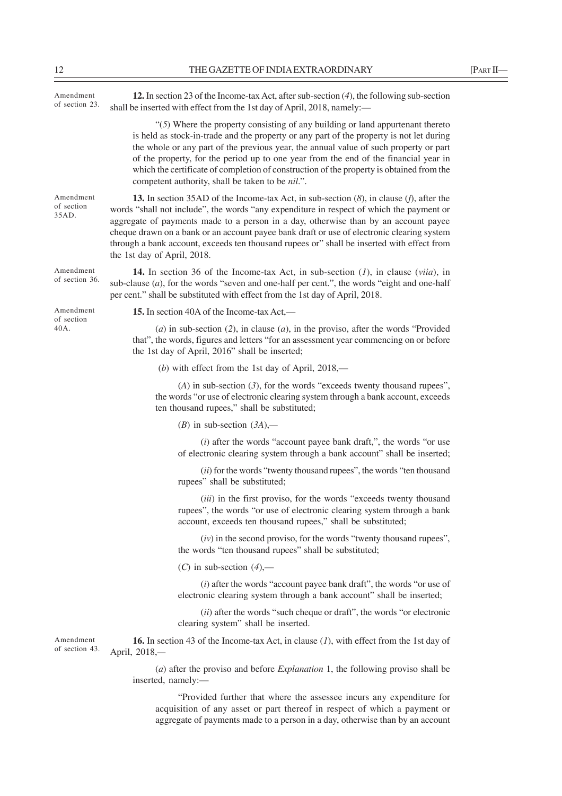| Amendment<br>of section 23.      | 12. In section 23 of the Income-tax Act, after sub-section $(4)$ , the following sub-section<br>shall be inserted with effect from the 1st day of April, 2018, namely:-                                                                                                                                                                                                                                                                                                                                                |
|----------------------------------|------------------------------------------------------------------------------------------------------------------------------------------------------------------------------------------------------------------------------------------------------------------------------------------------------------------------------------------------------------------------------------------------------------------------------------------------------------------------------------------------------------------------|
|                                  | " $(5)$ Where the property consisting of any building or land appurtenant thereto<br>is held as stock-in-trade and the property or any part of the property is not let during<br>the whole or any part of the previous year, the annual value of such property or part<br>of the property, for the period up to one year from the end of the financial year in<br>which the certificate of completion of construction of the property is obtained from the<br>competent authority, shall be taken to be <i>nil</i> .". |
| Amendment<br>of section<br>35AD. | 13. In section 35AD of the Income-tax Act, in sub-section $(8)$ , in clause $(f)$ , after the<br>words "shall not include", the words "any expenditure in respect of which the payment or<br>aggregate of payments made to a person in a day, otherwise than by an account payee<br>cheque drawn on a bank or an account payee bank draft or use of electronic clearing system<br>through a bank account, exceeds ten thousand rupees or" shall be inserted with effect from<br>the 1st day of April, 2018.            |
| Amendment<br>of section 36.      | <b>14.</b> In section 36 of the Income-tax Act, in sub-section $(1)$ , in clause $(viia)$ , in<br>sub-clause $(a)$ , for the words "seven and one-half per cent.", the words "eight and one-half<br>per cent." shall be substituted with effect from the 1st day of April, 2018.                                                                                                                                                                                                                                       |
| Amendment                        | 15. In section 40A of the Income-tax Act,—                                                                                                                                                                                                                                                                                                                                                                                                                                                                             |
| of section<br>40A.               | (a) in sub-section (2), in clause (a), in the proviso, after the words "Provided<br>that", the words, figures and letters "for an assessment year commencing on or before<br>the 1st day of April, 2016" shall be inserted;                                                                                                                                                                                                                                                                                            |
|                                  | (b) with effect from the 1st day of April, $2018$ ,—                                                                                                                                                                                                                                                                                                                                                                                                                                                                   |
|                                  | $(A)$ in sub-section $(3)$ , for the words "exceeds twenty thousand rupees",<br>the words "or use of electronic clearing system through a bank account, exceeds<br>ten thousand rupees," shall be substituted;                                                                                                                                                                                                                                                                                                         |
|                                  | (B) in sub-section $(3A)$ ,—                                                                                                                                                                                                                                                                                                                                                                                                                                                                                           |
|                                  | $(i)$ after the words "account payee bank draft,", the words "or use<br>of electronic clearing system through a bank account" shall be inserted;                                                                                                                                                                                                                                                                                                                                                                       |
|                                  | (ii) for the words "twenty thousand rupees", the words "ten thousand<br>rupees" shall be substituted;                                                                                                                                                                                                                                                                                                                                                                                                                  |
|                                  | (iii) in the first proviso, for the words "exceeds twenty thousand<br>rupees", the words "or use of electronic clearing system through a bank<br>account, exceeds ten thousand rupees," shall be substituted;                                                                                                                                                                                                                                                                                                          |
|                                  | $(iv)$ in the second proviso, for the words "twenty thousand rupees",<br>the words "ten thousand rupees" shall be substituted;                                                                                                                                                                                                                                                                                                                                                                                         |
|                                  | $(C)$ in sub-section $(4)$ ,—                                                                                                                                                                                                                                                                                                                                                                                                                                                                                          |
|                                  | $(i)$ after the words "account payee bank draft", the words "or use of<br>electronic clearing system through a bank account" shall be inserted;                                                                                                                                                                                                                                                                                                                                                                        |
|                                  | (ii) after the words "such cheque or draft", the words "or electronic<br>clearing system" shall be inserted.                                                                                                                                                                                                                                                                                                                                                                                                           |
| Amendment<br>of section 43.      | <b>16.</b> In section 43 of the Income-tax Act, in clause $(l)$ , with effect from the 1st day of<br>April, 2018,-                                                                                                                                                                                                                                                                                                                                                                                                     |
|                                  | $(a)$ after the proviso and before <i>Explanation</i> 1, the following proviso shall be<br>inserted, namely:-                                                                                                                                                                                                                                                                                                                                                                                                          |
|                                  | "Provided further that where the assessee incurs any expenditure for<br>acquisition of any asset or part thereof in respect of which a payment or                                                                                                                                                                                                                                                                                                                                                                      |

aggregate of payments made to a person in a day, otherwise than by an account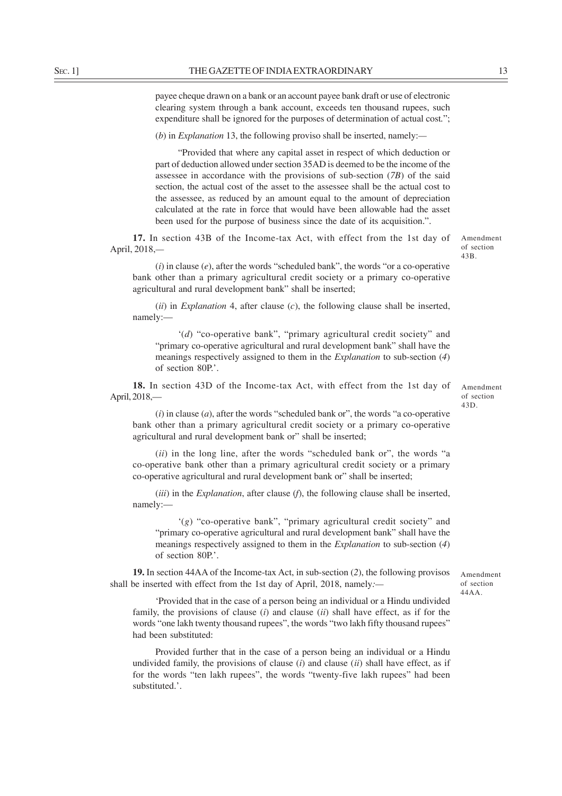payee cheque drawn on a bank or an account payee bank draft or use of electronic clearing system through a bank account, exceeds ten thousand rupees, such expenditure shall be ignored for the purposes of determination of actual cost*.*";

(*b*) in *Explanation* 13, the following proviso shall be inserted, namely:*—*

"Provided that where any capital asset in respect of which deduction or part of deduction allowed under section 35AD is deemed to be the income of the assessee in accordance with the provisions of sub-section (*7B*) of the said section, the actual cost of the asset to the assessee shall be the actual cost to the assessee, as reduced by an amount equal to the amount of depreciation calculated at the rate in force that would have been allowable had the asset been used for the purpose of business since the date of its acquisition.".

**17.** In section 43B of the Income-tax Act, with effect from the 1st day of April, 2018,*—*

(*i*) in clause (*e*), after the words "scheduled bank", the words "or a co-operative bank other than a primary agricultural credit society or a primary co-operative agricultural and rural development bank" shall be inserted;

(*ii*) in *Explanation* 4, after clause (*c*), the following clause shall be inserted, namely:—

'(*d*) "co-operative bank", "primary agricultural credit society" and "primary co-operative agricultural and rural development bank" shall have the meanings respectively assigned to them in the *Explanation* to sub-section (*4*) of section 80P.'.

**18.** In section 43D of the Income-tax Act, with effect from the 1st day of April, 2018,—

Amendment of section 43D.

Amendment of section 43B.

(*i*) in clause (*a*), after the words "scheduled bank or", the words "a co-operative bank other than a primary agricultural credit society or a primary co-operative agricultural and rural development bank or" shall be inserted;

(*ii*) in the long line, after the words "scheduled bank or", the words "a co-operative bank other than a primary agricultural credit society or a primary co-operative agricultural and rural development bank or" shall be inserted;

(*iii*) in the *Explanation*, after clause (*f*), the following clause shall be inserted, namely:—

'(*g*) "co-operative bank", "primary agricultural credit society" and "primary co-operative agricultural and rural development bank" shall have the meanings respectively assigned to them in the *Explanation* to sub-section (*4*) of section 80P.'.

**19.** In section 44AA of the Income-tax Act, in sub-section (*2*), the following provisos shall be inserted with effect from the 1st day of April, 2018, namely*:—*

'Provided that in the case of a person being an individual or a Hindu undivided family, the provisions of clause (*i*) and clause (*ii*) shall have effect, as if for the words "one lakh twenty thousand rupees", the words "two lakh fifty thousand rupees" had been substituted:

Provided further that in the case of a person being an individual or a Hindu undivided family, the provisions of clause (*i*) and clause (*ii*) shall have effect, as if for the words "ten lakh rupees", the words "twenty-five lakh rupees" had been substituted.'.

Amendment of section

44AA.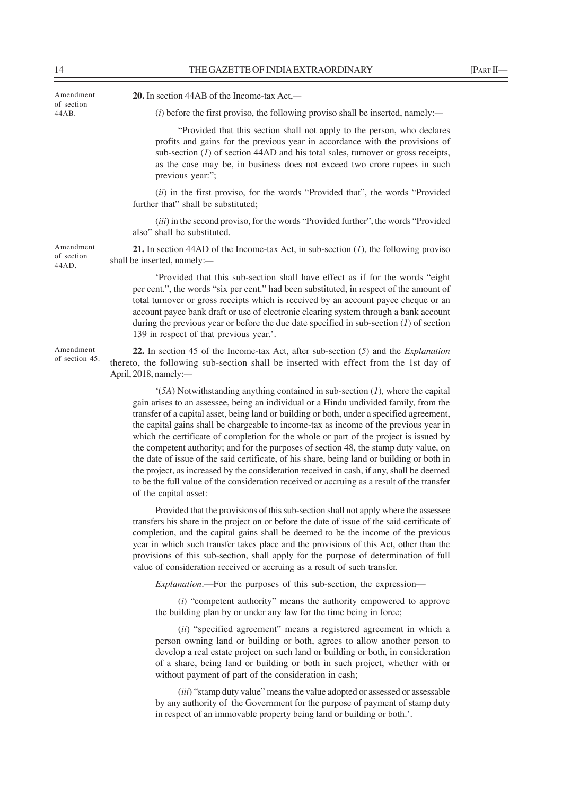| Amendment<br>of section          | 20. In section 44AB of the Income-tax Act,—                                                                                                                                                                                                                                                                                                                                                                                                                                                                                                                                                                                                                                                                                                                                                                                                                          |
|----------------------------------|----------------------------------------------------------------------------------------------------------------------------------------------------------------------------------------------------------------------------------------------------------------------------------------------------------------------------------------------------------------------------------------------------------------------------------------------------------------------------------------------------------------------------------------------------------------------------------------------------------------------------------------------------------------------------------------------------------------------------------------------------------------------------------------------------------------------------------------------------------------------|
| 44AB.                            | $(i)$ before the first proviso, the following proviso shall be inserted, namely:—                                                                                                                                                                                                                                                                                                                                                                                                                                                                                                                                                                                                                                                                                                                                                                                    |
|                                  | "Provided that this section shall not apply to the person, who declares<br>profits and gains for the previous year in accordance with the provisions of<br>sub-section $(I)$ of section 44AD and his total sales, turnover or gross receipts,<br>as the case may be, in business does not exceed two crore rupees in such<br>previous year:";                                                                                                                                                                                                                                                                                                                                                                                                                                                                                                                        |
|                                  | (ii) in the first proviso, for the words "Provided that", the words "Provided<br>further that" shall be substituted;                                                                                                                                                                                                                                                                                                                                                                                                                                                                                                                                                                                                                                                                                                                                                 |
|                                  | (iii) in the second proviso, for the words "Provided further", the words "Provided<br>also" shall be substituted.                                                                                                                                                                                                                                                                                                                                                                                                                                                                                                                                                                                                                                                                                                                                                    |
| Amendment<br>of section<br>44AD. | 21. In section 44AD of the Income-tax Act, in sub-section $(I)$ , the following proviso<br>shall be inserted, namely:-                                                                                                                                                                                                                                                                                                                                                                                                                                                                                                                                                                                                                                                                                                                                               |
|                                  | 'Provided that this sub-section shall have effect as if for the words "eight<br>per cent.", the words "six per cent." had been substituted, in respect of the amount of<br>total turnover or gross receipts which is received by an account payee cheque or an<br>account payee bank draft or use of electronic clearing system through a bank account<br>during the previous year or before the due date specified in sub-section $(I)$ of section<br>139 in respect of that previous year.'.                                                                                                                                                                                                                                                                                                                                                                       |
| Amendment<br>of section 45.      | 22. In section 45 of the Income-tax Act, after sub-section $(5)$ and the <i>Explanation</i><br>thereto, the following sub-section shall be inserted with effect from the 1st day of<br>April, 2018, namely:-                                                                                                                                                                                                                                                                                                                                                                                                                                                                                                                                                                                                                                                         |
|                                  | $(5A)$ Notwithstanding anything contained in sub-section $(I)$ , where the capital<br>gain arises to an assessee, being an individual or a Hindu undivided family, from the<br>transfer of a capital asset, being land or building or both, under a specified agreement,<br>the capital gains shall be chargeable to income-tax as income of the previous year in<br>which the certificate of completion for the whole or part of the project is issued by<br>the competent authority; and for the purposes of section 48, the stamp duty value, on<br>the date of issue of the said certificate, of his share, being land or building or both in<br>the project, as increased by the consideration received in cash, if any, shall be deemed<br>to be the full value of the consideration received or accruing as a result of the transfer<br>of the capital asset: |
|                                  | Provided that the provisions of this sub-section shall not apply where the assessee<br>transfers his share in the project on or before the date of issue of the said certificate of<br>completion, and the capital gains shall be deemed to be the income of the previous<br>year in which such transfer takes place and the provisions of this Act, other than the<br>provisions of this sub-section, shall apply for the purpose of determination of full<br>value of consideration received or accruing as a result of such transfer.                                                                                                                                                                                                                                                                                                                             |

*Explanation*.—For the purposes of this sub-section, the expression—

(*i*) "competent authority" means the authority empowered to approve the building plan by or under any law for the time being in force;

(*ii*) "specified agreement" means a registered agreement in which a person owning land or building or both, agrees to allow another person to develop a real estate project on such land or building or both, in consideration of a share, being land or building or both in such project, whether with or without payment of part of the consideration in cash;

(*iii*) "stamp duty value" means the value adopted or assessed or assessable by any authority of the Government for the purpose of payment of stamp duty in respect of an immovable property being land or building or both.'.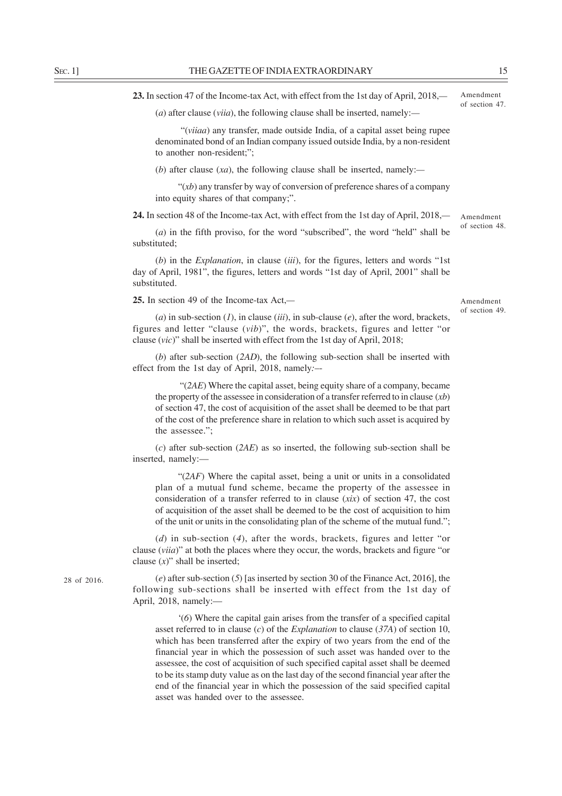**23.** In section 47 of the Income-tax Act, with effect from the 1st day of April, 2018,*—*

(*a*) after clause (*viia*), the following clause shall be inserted, namely:*—*

 "(*viiaa*) any transfer, made outside India, of a capital asset being rupee denominated bond of an Indian company issued outside India, by a non-resident to another non-resident;";

(*b*) after clause (*xa*), the following clause shall be inserted, namely:*—*

" $(xb)$  any transfer by way of conversion of preference shares of a company" into equity shares of that company;".

**24.** In section 48 of the Income-tax Act, with effect from the 1st day of April, 2018,*—*

(*a*) in the fifth proviso, for the word "subscribed", the word "held" shall be substituted;

(*b*) in the *Explanation*, in clause (*iii*), for the figures, letters and words "1st day of April, 1981", the figures, letters and words "1st day of April, 2001" shall be substituted.

**25.** In section 49 of the Income-tax Act,*—*

Amendment of section 49.

Amendment of section 48.

(*a*) in sub-section (*1*), in clause (*iii*), in sub-clause (*e*), after the word, brackets, figures and letter "clause (*vib*)", the words, brackets, figures and letter "or clause (*vic*)" shall be inserted with effect from the 1st day of April, 2018;

(*b*) after sub-section (*2AD*), the following sub-section shall be inserted with effect from the 1st day of April, 2018, namely*:*–-

 "(*2AE*) Where the capital asset, being equity share of a company, became the property of the assessee in consideration of a transfer referred to in clause (*xb*) of section 47, the cost of acquisition of the asset shall be deemed to be that part of the cost of the preference share in relation to which such asset is acquired by the assessee.";

(*c*) after sub-section (*2AE*) as so inserted, the following sub-section shall be inserted, namely:—

"(*2AF*) Where the capital asset, being a unit or units in a consolidated plan of a mutual fund scheme, became the property of the assessee in consideration of a transfer referred to in clause (*xix*) of section 47, the cost of acquisition of the asset shall be deemed to be the cost of acquisition to him of the unit or units in the consolidating plan of the scheme of the mutual fund.";

(*d*) in sub-section (*4*), after the words, brackets, figures and letter "or clause (*viia*)" at both the places where they occur, the words, brackets and figure "or clause (*x*)" shall be inserted;

(*e*) after sub-section (*5*) [as inserted by section 30 of the Finance Act, 2016], the following sub-sections shall be inserted with effect from the 1st day of April, 2018, namely:—

'(*6*) Where the capital gain arises from the transfer of a specified capital asset referred to in clause (*c*) of the *Explanation* to clause (*37A*) of section 10, which has been transferred after the expiry of two years from the end of the financial year in which the possession of such asset was handed over to the assessee, the cost of acquisition of such specified capital asset shall be deemed to be its stamp duty value as on the last day of the second financial year after the end of the financial year in which the possession of the said specified capital asset was handed over to the assessee.

28 of 2016.

Amendment of section 47.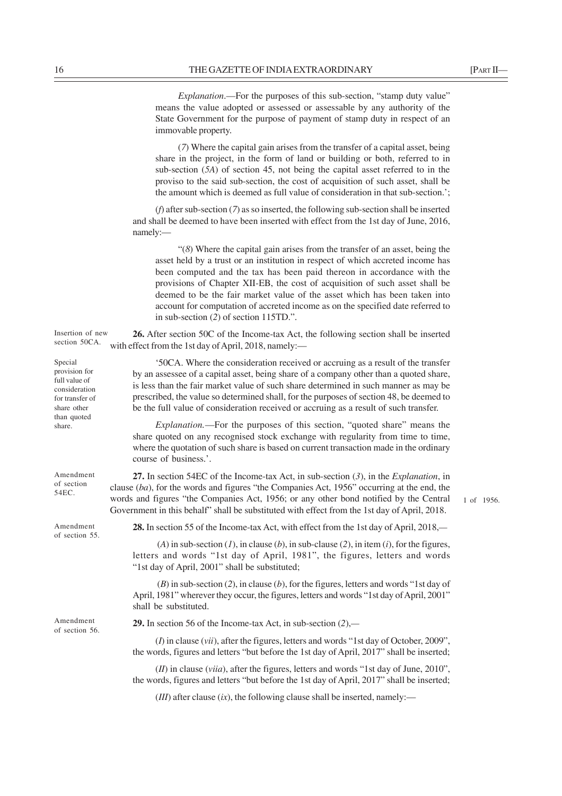*Explanation*.—For the purposes of this sub-section, "stamp duty value" means the value adopted or assessed or assessable by any authority of the State Government for the purpose of payment of stamp duty in respect of an immovable property.

(*7*) Where the capital gain arises from the transfer of a capital asset, being share in the project, in the form of land or building or both, referred to in sub-section (*5A*) of section 45, not being the capital asset referred to in the proviso to the said sub-section, the cost of acquisition of such asset, shall be the amount which is deemed as full value of consideration in that sub-section.';

(*f*) after sub-section (*7*) as so inserted, the following sub-section shall be inserted and shall be deemed to have been inserted with effect from the 1st day of June, 2016, namely:—

"(*8*) Where the capital gain arises from the transfer of an asset, being the asset held by a trust or an institution in respect of which accreted income has been computed and the tax has been paid thereon in accordance with the provisions of Chapter XII-EB, the cost of acquisition of such asset shall be deemed to be the fair market value of the asset which has been taken into account for computation of accreted income as on the specified date referred to in sub-section (*2*) of section 115TD.".

**26.** After section 50C of the Income-tax Act, the following section shall be inserted section 50CA. with effect from the 1st day of April, 2018, namely:— Insertion of new

> '50CA. Where the consideration received or accruing as a result of the transfer by an assessee of a capital asset, being share of a company other than a quoted share, is less than the fair market value of such share determined in such manner as may be prescribed, the value so determined shall, for the purposes of section 48, be deemed to be the full value of consideration received or accruing as a result of such transfer.

> *Explanation.*—For the purposes of this section, "quoted share" means the share quoted on any recognised stock exchange with regularity from time to time, where the quotation of such share is based on current transaction made in the ordinary course of business.'.

**27.** In section 54EC of the Income-tax Act, in sub-section (*3*), in the *Explanation*, in clause (*ba*), for the words and figures "the Companies Act, 1956" occurring at the end, the words and figures "the Companies Act, 1956; or any other bond notified by the Central Government in this behalf" shall be substituted with effect from the 1st day of April, 2018.

**28.** In section 55 of the Income-tax Act, with effect from the 1st day of April, 2018,*—*

(*A*) in sub-section (*I*), in clause (*b*), in sub-clause (2), in item (*i*), for the figures, letters and words "1st day of April, 1981", the figures, letters and words "1st day of April, 2001" shall be substituted;

 (*B*) in sub-section (*2*), in clause (*b*), for the figures, letters and words "1st day of April, 1981" wherever they occur, the figures, letters and words "1st day of April, 2001" shall be substituted.

**29.** In section 56 of the Income-tax Act, in sub-section (*2*),*—*

(*I*) in clause (*vii*), after the figures, letters and words "1st day of October, 2009", the words, figures and letters "but before the 1st day of April, 2017" shall be inserted;

(*II*) in clause (*viia*), after the figures, letters and words "1st day of June, 2010", the words, figures and letters "but before the 1st day of April, 2017" shall be inserted;

 $(HI)$  after clause  $(ix)$ , the following clause shall be inserted, namely:—

1 of 1956.

Special provision for full value of consideration for transfer of share other than quoted share.

Amendment of section 54EC.

Amendment of section 55.

Amendment of section 56.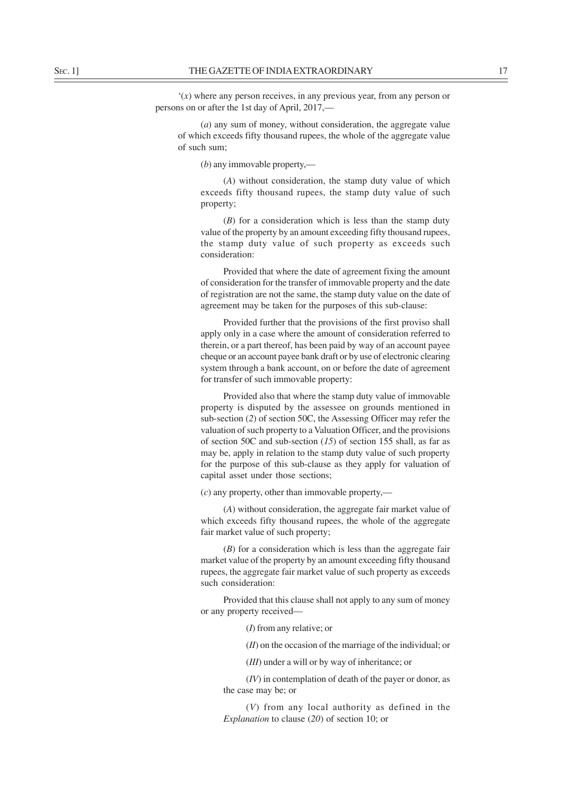'(*x*) where any person receives, in any previous year, from any person or persons on or after the 1st day of April, 2017,—

(*a*) any sum of money, without consideration, the aggregate value of which exceeds fifty thousand rupees, the whole of the aggregate value of such sum;

(*b*) any immovable property,—

(*A*) without consideration, the stamp duty value of which exceeds fifty thousand rupees, the stamp duty value of such property;

(*B*) for a consideration which is less than the stamp duty value of the property by an amount exceeding fifty thousand rupees, the stamp duty value of such property as exceeds such consideration:

Provided that where the date of agreement fixing the amount of consideration for the transfer of immovable property and the date of registration are not the same, the stamp duty value on the date of agreement may be taken for the purposes of this sub-clause:

Provided further that the provisions of the first proviso shall apply only in a case where the amount of consideration referred to therein, or a part thereof, has been paid by way of an account payee cheque or an account payee bank draft or by use of electronic clearing system through a bank account, on or before the date of agreement for transfer of such immovable property:

Provided also that where the stamp duty value of immovable property is disputed by the assessee on grounds mentioned in sub-section (*2*) of section 50C, the Assessing Officer may refer the valuation of such property to a Valuation Officer, and the provisions of section 50C and sub-section (*15*) of section 155 shall, as far as may be, apply in relation to the stamp duty value of such property for the purpose of this sub-clause as they apply for valuation of capital asset under those sections;

(*c*) any property, other than immovable property,—

(*A*) without consideration, the aggregate fair market value of which exceeds fifty thousand rupees, the whole of the aggregate fair market value of such property;

(*B*) for a consideration which is less than the aggregate fair market value of the property by an amount exceeding fifty thousand rupees, the aggregate fair market value of such property as exceeds such consideration:

Provided that this clause shall not apply to any sum of money or any property received—

(*I*) from any relative; or

(*II*) on the occasion of the marriage of the individual; or

(*III*) under a will or by way of inheritance; or

(*IV*) in contemplation of death of the payer or donor, as the case may be; or

(*V*) from any local authority as defined in the *Explanation* to clause (*20*) of section 10; or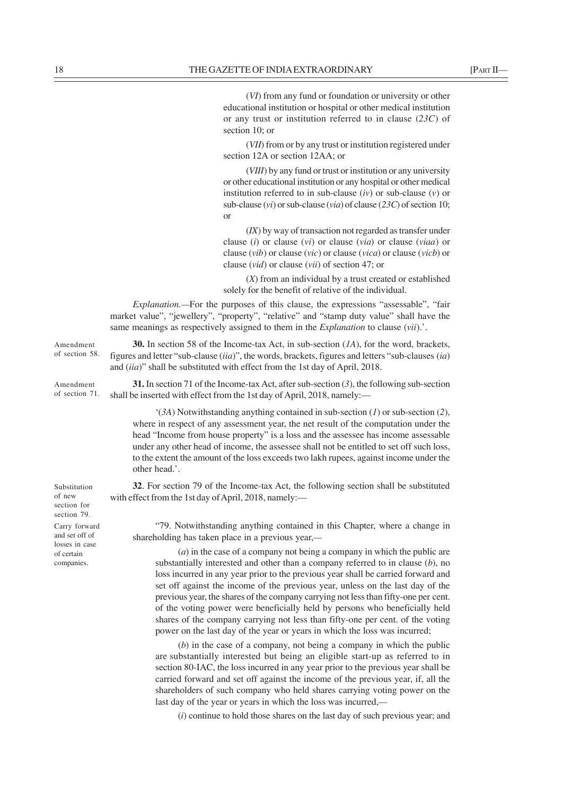(*VI*) from any fund or foundation or university or other

educational institution or hospital or other medical institution or any trust or institution referred to in clause (*23C*) of section 10; or (*VII*) from or by any trust or institution registered under section 12A or section 12AA; or (*VIII*) by any fund or trust or institution or any university or other educational institution or any hospital or other medical institution referred to in sub-clause (*iv*) or sub-clause (*v*) or sub-clause (*vi*) or sub-clause (*via*) of clause (*23C*) of section 10; or (*IX*) by way of transaction not regarded as transfer under clause (*i*) or clause (*vi*) or clause (*via*) or clause (*viaa*) or clause (*vib*) or clause (*vic*) or clause (*vica*) or clause (*vicb*) or clause (*vid*) or clause (*vii*) of section 47; or (*X*) from an individual by a trust created or established solely for the benefit of relative of the individual. *Explanation.—*For the purposes of this clause, the expressions "assessable", "fair market value", "jewellery", "property", "relative" and "stamp duty value" shall have the same meanings as respectively assigned to them in the *Explanation* to clause (*vii*).'. **30.** In section 58 of the Income-tax Act, in sub-section (*1A*), for the word, brackets, figures and letter "sub-clause (*iia*)", the words, brackets, figures and letters "sub-clauses (*ia*) and (*iia*)" shall be substituted with effect from the 1st day of April, 2018. **31.** In section 71 of the Income-tax Act, after sub-section (*3*), the following sub-section shall be inserted with effect from the 1st day of April, 2018, namely:— '(*3A*) Notwithstanding anything contained in sub-section (*1*) or sub-section (*2*), where in respect of any assessment year, the net result of the computation under the head "Income from house property" is a loss and the assessee has income assessable under any other head of income, the assessee shall not be entitled to set off such loss, to the extent the amount of the loss exceeds two lakh rupees, against income under the other head.'. **32**. For section 79 of the Income-tax Act, the following section shall be substituted with effect from the 1st day of April, 2018, namely:— "79. Notwithstanding anything contained in this Chapter, where a change in shareholding has taken place in a previous year,*—* (*a*) in the case of a company not being a company in which the public are substantially interested and other than a company referred to in clause (*b*), no loss incurred in any year prior to the previous year shall be carried forward and set off against the income of the previous year, unless on the last day of the previous year, the shares of the company carrying not less than fifty-one per cent. of the voting power were beneficially held by persons who beneficially held shares of the company carrying not less than fifty-one per cent. of the voting power on the last day of the year or years in which the loss was incurred; (*b*) in the case of a company, not being a company in which the public Amendment Amendment of section 71. Substitution Carry forward companies.

are substantially interested but being an eligible start-up as referred to in section 80-IAC, the loss incurred in any year prior to the previous year shall be carried forward and set off against the income of the previous year, if, all the shareholders of such company who held shares carrying voting power on the last day of the year or years in which the loss was incurred,*—*

(*i*) continue to hold those shares on the last day of such previous year; and

of section 58.

of new section for section 79.

and set off of losses in case of certain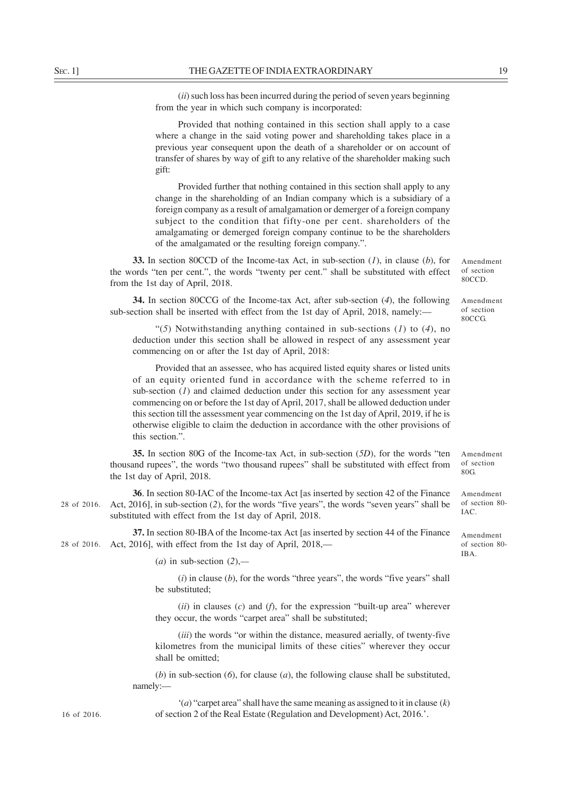(*ii*) such loss has been incurred during the period of seven years beginning from the year in which such company is incorporated:

Provided that nothing contained in this section shall apply to a case where a change in the said voting power and shareholding takes place in a previous year consequent upon the death of a shareholder or on account of transfer of shares by way of gift to any relative of the shareholder making such gift:

Provided further that nothing contained in this section shall apply to any change in the shareholding of an Indian company which is a subsidiary of a foreign company as a result of amalgamation or demerger of a foreign company subject to the condition that fifty-one per cent. shareholders of the amalgamating or demerged foreign company continue to be the shareholders of the amalgamated or the resulting foreign company.".

**33.** In section 80CCD of the Income-tax Act, in sub-section (*1*), in clause (*b*), for the words "ten per cent.", the words "twenty per cent." shall be substituted with effect from the 1st day of April, 2018.

**34.** In section 80CCG of the Income-tax Act, after sub-section (*4*), the following sub-section shall be inserted with effect from the 1st day of April, 2018, namely:—

"(*5*) Notwithstanding anything contained in sub-sections (*1*) to (*4*), no deduction under this section shall be allowed in respect of any assessment year commencing on or after the 1st day of April, 2018:

Provided that an assessee, who has acquired listed equity shares or listed units of an equity oriented fund in accordance with the scheme referred to in sub-section  $(I)$  and claimed deduction under this section for any assessment year commencing on or before the 1st day of April, 2017, shall be allowed deduction under this section till the assessment year commencing on the 1st day of April, 2019, if he is otherwise eligible to claim the deduction in accordance with the other provisions of this section.".

**35.** In section 80G of the Income-tax Act, in sub-section (*5D*), for the words "ten thousand rupees", the words "two thousand rupees" shall be substituted with effect from the 1st day of April, 2018. of section

**36**. In section 80-IAC of the Income-tax Act [as inserted by section 42 of the Finance Act, 2016], in sub-section (*2*), for the words "five years", the words "seven years" shall be substituted with effect from the 1st day of April, 2018. 28 of 2016.

**37.** In section 80-IBA of the Income-tax Act [as inserted by section 44 of the Finance 28 of 2016. Act, 2016], with effect from the 1st day of April, 2018,—

(*a*) in sub-section (*2*),*—*

(*i*) in clause (*b*), for the words "three years", the words "five years" shall be substituted;

(*ii*) in clauses (*c*) and (*f*), for the expression "built-up area" wherever they occur, the words "carpet area" shall be substituted;

(*iii*) the words "or within the distance, measured aerially, of twenty-five kilometres from the municipal limits of these cities" wherever they occur shall be omitted;

(*b*) in sub-section (*6*), for clause (*a*), the following clause shall be substituted, namely:—

'(*a*) "carpet area" shall have the same meaning as assigned to it in clause (*k*) of section 2 of the Real Estate (Regulation and Development) Act, 2016.'.

16 of 2016.

Amendment

Amendment of section 80CCD.

Amendment of section 80CCG.

Amendment of section 80- IAC.

80G.

Amendment of section 80- IBA.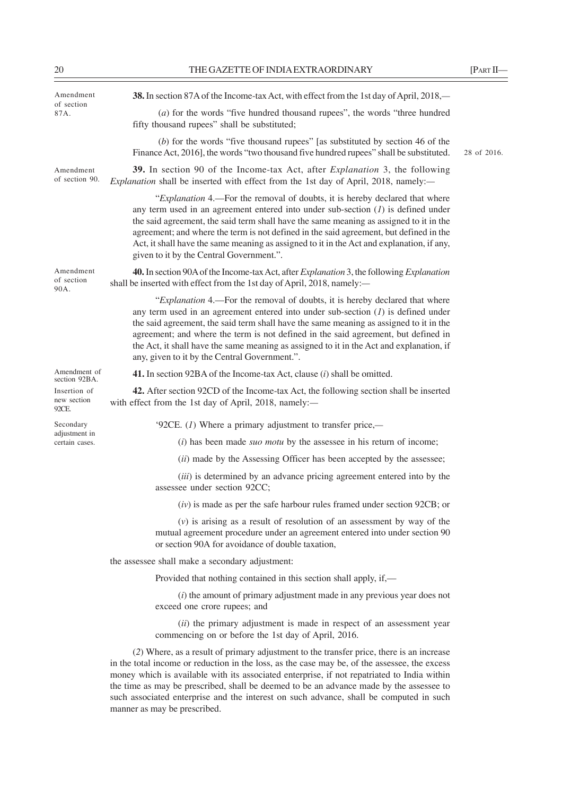| Amendment<br>of section<br>87A.      | 38. In section 87A of the Income-tax Act, with effect from the 1st day of April, 2018,—                                                                                                                                                                                                                                                                                                                                                                                                         |             |
|--------------------------------------|-------------------------------------------------------------------------------------------------------------------------------------------------------------------------------------------------------------------------------------------------------------------------------------------------------------------------------------------------------------------------------------------------------------------------------------------------------------------------------------------------|-------------|
|                                      | $(a)$ for the words "five hundred thousand rupees", the words "three hundred"<br>fifty thousand rupees" shall be substituted;                                                                                                                                                                                                                                                                                                                                                                   |             |
|                                      | $(b)$ for the words "five thousand rupees" [as substituted by section 46 of the<br>Finance Act, 2016], the words "two thousand five hundred rupees" shall be substituted.                                                                                                                                                                                                                                                                                                                       | 28 of 2016. |
| Amendment<br>of section 90.          | 39. In section 90 of the Income-tax Act, after <i>Explanation</i> 3, the following<br>Explanation shall be inserted with effect from the 1st day of April, 2018, namely:-                                                                                                                                                                                                                                                                                                                       |             |
|                                      | "Explanation 4.—For the removal of doubts, it is hereby declared that where<br>any term used in an agreement entered into under sub-section $(I)$ is defined under<br>the said agreement, the said term shall have the same meaning as assigned to it in the<br>agreement; and where the term is not defined in the said agreement, but defined in the<br>Act, it shall have the same meaning as assigned to it in the Act and explanation, if any,<br>given to it by the Central Government.". |             |
| Amendment<br>of section<br>90A.      | 40. In section 90A of the Income-tax Act, after Explanation 3, the following Explanation<br>shall be inserted with effect from the 1st day of April, 2018, namely:-                                                                                                                                                                                                                                                                                                                             |             |
|                                      | "Explanation 4.—For the removal of doubts, it is hereby declared that where<br>any term used in an agreement entered into under sub-section $(I)$ is defined under<br>the said agreement, the said term shall have the same meaning as assigned to it in the<br>agreement; and where the term is not defined in the said agreement, but defined in<br>the Act, it shall have the same meaning as assigned to it in the Act and explanation, if<br>any, given to it by the Central Government.". |             |
| Amendment of<br>section 92BA.        | <b>41.</b> In section 92BA of the Income-tax Act, clause $(i)$ shall be omitted.                                                                                                                                                                                                                                                                                                                                                                                                                |             |
| Insertion of<br>new section<br>92CE. | 42. After section 92CD of the Income-tax Act, the following section shall be inserted<br>with effect from the 1st day of April, 2018, namely:-                                                                                                                                                                                                                                                                                                                                                  |             |
| Secondary                            | '92CE. $(I)$ Where a primary adjustment to transfer price,—                                                                                                                                                                                                                                                                                                                                                                                                                                     |             |
| adjustment in<br>certain cases.      | $(i)$ has been made <i>suo motu</i> by the assessee in his return of income;                                                                                                                                                                                                                                                                                                                                                                                                                    |             |
|                                      | (ii) made by the Assessing Officer has been accepted by the assessee;                                                                                                                                                                                                                                                                                                                                                                                                                           |             |
|                                      | (iii) is determined by an advance pricing agreement entered into by the<br>assessee under section 92CC;                                                                                                                                                                                                                                                                                                                                                                                         |             |
|                                      | $(iv)$ is made as per the safe harbour rules framed under section 92CB; or                                                                                                                                                                                                                                                                                                                                                                                                                      |             |
|                                      | $(v)$ is arising as a result of resolution of an assessment by way of the<br>mutual agreement procedure under an agreement entered into under section 90<br>or section 90A for avoidance of double taxation,                                                                                                                                                                                                                                                                                    |             |
|                                      | the assessee shall make a secondary adjustment:                                                                                                                                                                                                                                                                                                                                                                                                                                                 |             |
|                                      | Provided that nothing contained in this section shall apply, if,-                                                                                                                                                                                                                                                                                                                                                                                                                               |             |
|                                      | $(i)$ the amount of primary adjustment made in any previous year does not<br>exceed one crore rupees; and                                                                                                                                                                                                                                                                                                                                                                                       |             |
|                                      | $(ii)$ the primary adjustment is made in respect of an assessment year<br>commencing on or before the 1st day of April, 2016.                                                                                                                                                                                                                                                                                                                                                                   |             |
|                                      | (2) Where, as a result of primary adjustment to the transfer price, there is an increase<br>in the total income or reduction in the loss, as the case may be, of the assessee, the excess                                                                                                                                                                                                                                                                                                       |             |

money which is available with its associated enterprise, if not repatriated to India within the time as may be prescribed, shall be deemed to be an advance made by the assessee to such associated enterprise and the interest on such advance, shall be computed in such manner as may be prescribed.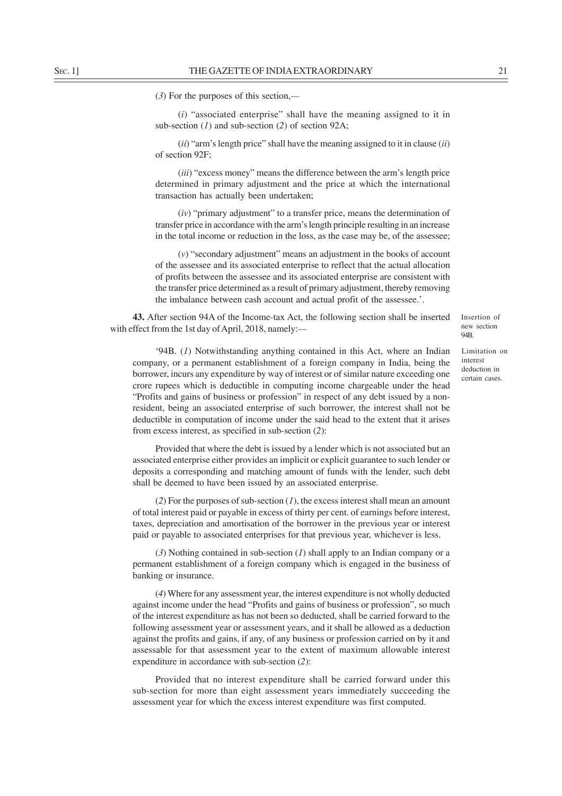(*3*) For the purposes of this section,*—*

(*i*) "associated enterprise" shall have the meaning assigned to it in sub-section (*1*) and sub-section (*2*) of section 92A;

(*ii*) "arm's length price" shall have the meaning assigned to it in clause (*ii*) of section 92F;

(*iii*) "excess money" means the difference between the arm's length price determined in primary adjustment and the price at which the international transaction has actually been undertaken;

(*iv*) "primary adjustment" to a transfer price, means the determination of transfer price in accordance with the arm's length principle resulting in an increase in the total income or reduction in the loss, as the case may be, of the assessee;

(*v*) "secondary adjustment" means an adjustment in the books of account of the assessee and its associated enterprise to reflect that the actual allocation of profits between the assessee and its associated enterprise are consistent with the transfer price determined as a result of primary adjustment, thereby removing the imbalance between cash account and actual profit of the assessee.'.

**43.** After section 94A of the Income-tax Act, the following section shall be inserted with effect from the 1st day of April, 2018, namely:*—*

Limitation on interest deduction in certain cases.

'94B. (*1*) Notwithstanding anything contained in this Act, where an Indian company, or a permanent establishment of a foreign company in India, being the borrower, incurs any expenditure by way of interest or of similar nature exceeding one crore rupees which is deductible in computing income chargeable under the head "Profits and gains of business or profession" in respect of any debt issued by a nonresident, being an associated enterprise of such borrower, the interest shall not be deductible in computation of income under the said head to the extent that it arises from excess interest, as specified in sub-section (*2*):

Provided that where the debt is issued by a lender which is not associated but an associated enterprise either provides an implicit or explicit guarantee to such lender or deposits a corresponding and matching amount of funds with the lender, such debt shall be deemed to have been issued by an associated enterprise.

(*2*) For the purposes of sub-section (*1*), the excess interest shall mean an amount of total interest paid or payable in excess of thirty per cent. of earnings before interest, taxes, depreciation and amortisation of the borrower in the previous year or interest paid or payable to associated enterprises for that previous year, whichever is less.

(*3*) Nothing contained in sub-section (*1*) shall apply to an Indian company or a permanent establishment of a foreign company which is engaged in the business of banking or insurance.

(*4*) Where for any assessment year, the interest expenditure is not wholly deducted against income under the head "Profits and gains of business or profession", so much of the interest expenditure as has not been so deducted, shall be carried forward to the following assessment year or assessment years, and it shall be allowed as a deduction against the profits and gains, if any, of any business or profession carried on by it and assessable for that assessment year to the extent of maximum allowable interest expenditure in accordance with sub-section (*2*):

Provided that no interest expenditure shall be carried forward under this sub-section for more than eight assessment years immediately succeeding the assessment year for which the excess interest expenditure was first computed.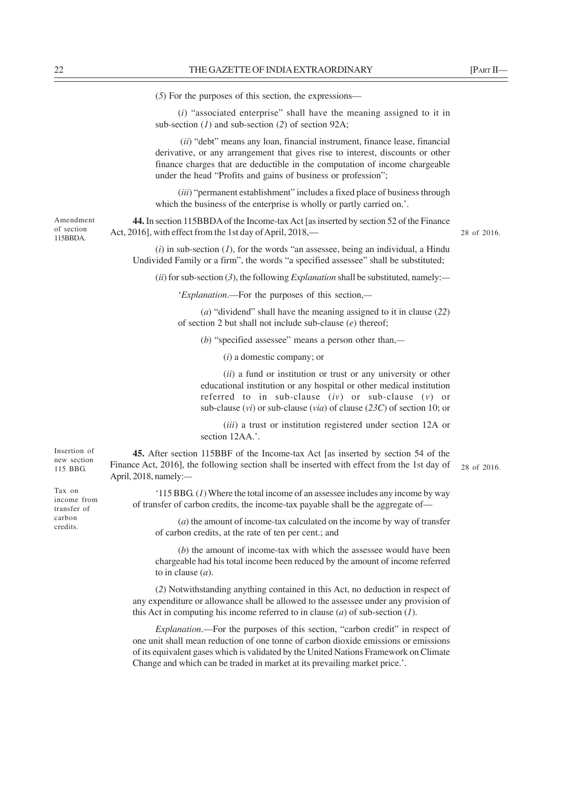(*5*) For the purposes of this section, the expressions––

(*i*) "associated enterprise" shall have the meaning assigned to it in sub-section (*1*) and sub-section (*2*) of section 92A;

 (*ii*) "debt" means any loan, financial instrument, finance lease, financial derivative, or any arrangement that gives rise to interest, discounts or other finance charges that are deductible in the computation of income chargeable under the head "Profits and gains of business or profession";

(*iii*) "permanent establishment" includes a fixed place of business through which the business of the enterprise is wholly or partly carried on.'.

**44.** In section 115BBDA of the Income-tax Act [as inserted by section 52 of the Finance Act, 2016], with effect from the 1st day of April, 2018,-

28 of 2016.

(*i*) in sub-section (*1*), for the words "an assessee, being an individual, a Hindu Undivided Family or a firm", the words "a specified assessee" shall be substituted;

(*ii*) for sub-section (*3*), the following *Explanation* shall be substituted, namely:*—*

'*Explanation*.––For the purposes of this section,*—*

(*a*) "dividend" shall have the meaning assigned to it in clause (*22*) of section 2 but shall not include sub-clause (*e*) thereof;

(*b*) "specified assessee" means a person other than,*—*

(*i*) a domestic company; or

(*ii*) a fund or institution or trust or any university or other educational institution or any hospital or other medical institution referred to in sub-clause (*iv*) or sub-clause (*v*) or sub-clause (*vi*) or sub-clause (*via*) of clause (*23C*) of section 10; or

(*iii*) a trust or institution registered under section 12A or section 12AA.'.

**45.** After section 115BBF of the Income-tax Act [as inserted by section 54 of the  $F_{115 \text{ BBG}}$  Finance Act, 2016], the following section shall be inserted with effect from the 1st day of 28 of 2016. April, 2018, namely:*—*

'115 BBG. (*1*) Where the total income of an assessee includes any income by way of transfer of carbon credits, the income-tax payable shall be the aggregate of—

(*a*) the amount of income-tax calculated on the income by way of transfer of carbon credits, at the rate of ten per cent.; and

(*b*) the amount of income-tax with which the assessee would have been chargeable had his total income been reduced by the amount of income referred to in clause (*a*).

(*2*) Notwithstanding anything contained in this Act, no deduction in respect of any expenditure or allowance shall be allowed to the assessee under any provision of this Act in computing his income referred to in clause (*a*) of sub-section (*1*).

*Explanation*.––For the purposes of this section, "carbon credit" in respect of one unit shall mean reduction of one tonne of carbon dioxide emissions or emissions of its equivalent gases which is validated by the United Nations Framework on Climate Change and which can be traded in market at its prevailing market price.'.

Amendment of section 115BBDA.

Insertion of new section

Tax on income from transfer of carbon credits.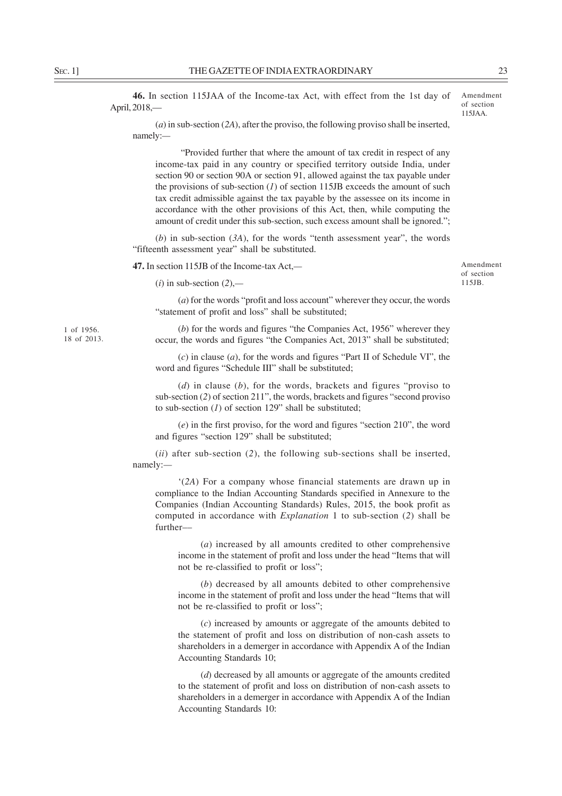**46.** In section 115JAA of the Income-tax Act, with effect from the 1st day of April, 2018,—

Amendment of section 115JAA.

Amendment of section 115JB.

(*a*) in sub-section (*2A*), after the proviso, the following proviso shall be inserted, namely:*—*

 "Provided further that where the amount of tax credit in respect of any income-tax paid in any country or specified territory outside India, under section 90 or section 90A or section 91, allowed against the tax payable under the provisions of sub-section  $(1)$  of section 115JB exceeds the amount of such tax credit admissible against the tax payable by the assessee on its income in accordance with the other provisions of this Act, then, while computing the amount of credit under this sub-section, such excess amount shall be ignored.";

(*b*) in sub-section (*3A*), for the words "tenth assessment year", the words "fifteenth assessment year" shall be substituted.

**47.** In section 115JB of the Income-tax Act,*—*

(*i*) in sub-section (*2*),*—*

(*a*) for the words "profit and loss account" wherever they occur, the words "statement of profit and loss" shall be substituted;

(*b*) for the words and figures "the Companies Act, 1956" wherever they occur, the words and figures "the Companies Act, 2013" shall be substituted;

(*c*) in clause (*a*), for the words and figures "Part II of Schedule VI", the word and figures "Schedule III" shall be substituted;

(*d*) in clause (*b*), for the words, brackets and figures "proviso to sub-section (*2*) of section 211", the words, brackets and figures "second proviso to sub-section (*1*) of section 129" shall be substituted;

(*e*) in the first proviso, for the word and figures "section 210", the word and figures "section 129" shall be substituted;

(*ii*) after sub-section (*2*), the following sub-sections shall be inserted, namely:*—*

'(*2A*) For a company whose financial statements are drawn up in compliance to the Indian Accounting Standards specified in Annexure to the Companies (Indian Accounting Standards) Rules, 2015, the book profit as computed in accordance with *Explanation* 1 to sub-section (*2*) shall be further––

(*a*) increased by all amounts credited to other comprehensive income in the statement of profit and loss under the head "Items that will not be re-classified to profit or loss";

(*b*) decreased by all amounts debited to other comprehensive income in the statement of profit and loss under the head "Items that will not be re-classified to profit or loss";

(*c*) increased by amounts or aggregate of the amounts debited to the statement of profit and loss on distribution of non-cash assets to shareholders in a demerger in accordance with Appendix A of the Indian Accounting Standards 10;

(*d*) decreased by all amounts or aggregate of the amounts credited to the statement of profit and loss on distribution of non-cash assets to shareholders in a demerger in accordance with Appendix A of the Indian Accounting Standards 10:

1 of 1956. 18 of 2013.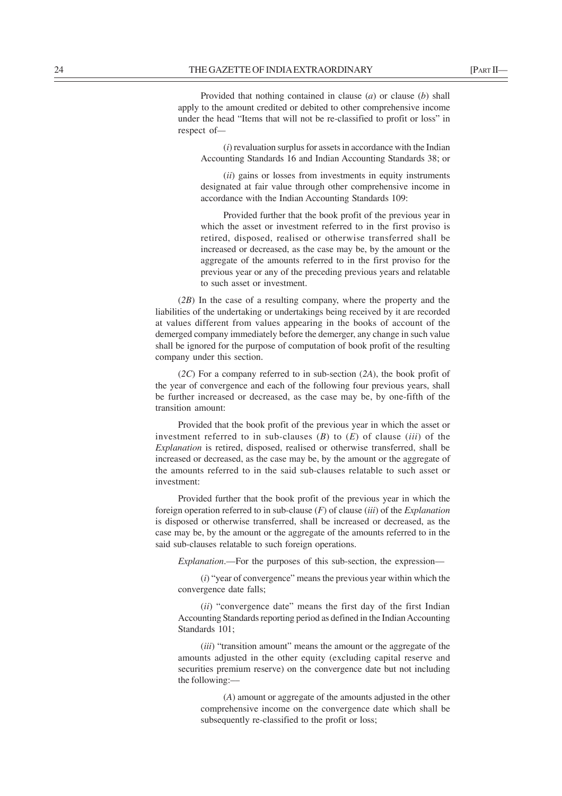Provided that nothing contained in clause (*a*) or clause (*b*) shall apply to the amount credited or debited to other comprehensive income under the head "Items that will not be re-classified to profit or loss" in respect of*—*

(*i*) revaluation surplus for assets in accordance with the Indian Accounting Standards 16 and Indian Accounting Standards 38; or

(*ii*) gains or losses from investments in equity instruments designated at fair value through other comprehensive income in accordance with the Indian Accounting Standards 109:

Provided further that the book profit of the previous year in which the asset or investment referred to in the first proviso is retired, disposed, realised or otherwise transferred shall be increased or decreased, as the case may be, by the amount or the aggregate of the amounts referred to in the first proviso for the previous year or any of the preceding previous years and relatable to such asset or investment.

(*2B*) In the case of a resulting company, where the property and the liabilities of the undertaking or undertakings being received by it are recorded at values different from values appearing in the books of account of the demerged company immediately before the demerger, any change in such value shall be ignored for the purpose of computation of book profit of the resulting company under this section.

(*2C*) For a company referred to in sub-section (*2A*), the book profit of the year of convergence and each of the following four previous years, shall be further increased or decreased, as the case may be, by one-fifth of the transition amount:

Provided that the book profit of the previous year in which the asset or investment referred to in sub-clauses (*B*) to (*E*) of clause (*iii*) of the *Explanation* is retired, disposed, realised or otherwise transferred, shall be increased or decreased, as the case may be, by the amount or the aggregate of the amounts referred to in the said sub-clauses relatable to such asset or investment:

Provided further that the book profit of the previous year in which the foreign operation referred to in sub-clause (*F*) of clause (*iii*) of the *Explanation* is disposed or otherwise transferred, shall be increased or decreased, as the case may be, by the amount or the aggregate of the amounts referred to in the said sub-clauses relatable to such foreign operations.

*Explanation*.—For the purposes of this sub-section, the expression—

(*i*) "year of convergence" means the previous year within which the convergence date falls;

(*ii*) "convergence date" means the first day of the first Indian Accounting Standards reporting period as defined in the Indian Accounting Standards 101;

(*iii*) "transition amount" means the amount or the aggregate of the amounts adjusted in the other equity (excluding capital reserve and securities premium reserve) on the convergence date but not including the following:––

(*A*) amount or aggregate of the amounts adjusted in the other comprehensive income on the convergence date which shall be subsequently re-classified to the profit or loss;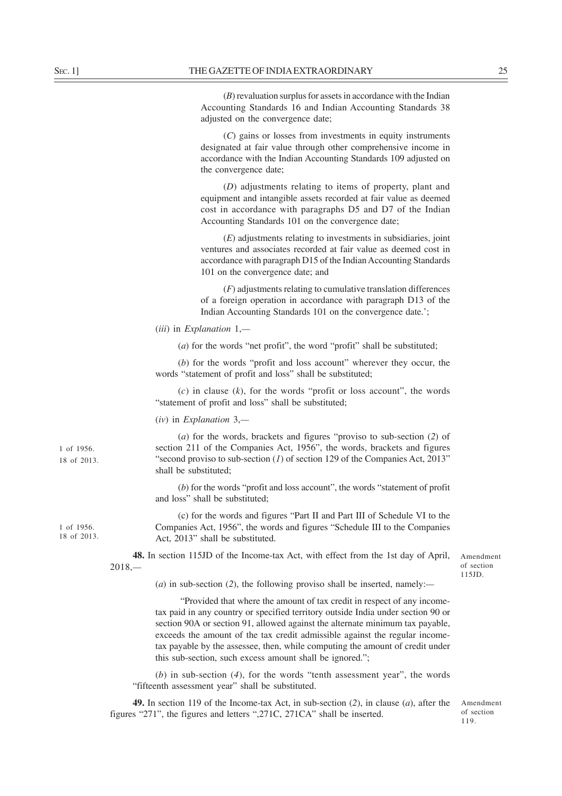(*B*) revaluation surplus for assets in accordance with the Indian Accounting Standards 16 and Indian Accounting Standards 38 adjusted on the convergence date;

(*C*) gains or losses from investments in equity instruments designated at fair value through other comprehensive income in accordance with the Indian Accounting Standards 109 adjusted on the convergence date;

(*D*) adjustments relating to items of property, plant and equipment and intangible assets recorded at fair value as deemed cost in accordance with paragraphs D5 and D7 of the Indian Accounting Standards 101 on the convergence date;

(*E*) adjustments relating to investments in subsidiaries, joint ventures and associates recorded at fair value as deemed cost in accordance with paragraph D15 of the Indian Accounting Standards 101 on the convergence date; and

(*F*) adjustments relating to cumulative translation differences of a foreign operation in accordance with paragraph D13 of the Indian Accounting Standards 101 on the convergence date.';

(*iii*) in *Explanation* 1,*—*

(*a*) for the words "net profit", the word "profit" shall be substituted;

(*b*) for the words "profit and loss account" wherever they occur, the words "statement of profit and loss" shall be substituted;

 $(c)$  in clause  $(k)$ , for the words "profit or loss account", the words "statement of profit and loss" shall be substituted;

(*iv*) in *Explanation* 3,*—*

(*a*) for the words, brackets and figures "proviso to sub-section (*2*) of section 211 of the Companies Act, 1956", the words, brackets and figures "second proviso to sub-section (*1*) of section 129 of the Companies Act, 2013" shall be substituted;

(*b*) for the words "profit and loss account", the words "statement of profit and loss" shall be substituted;

(c) for the words and figures "Part II and Part III of Schedule VI to the Companies Act, 1956", the words and figures "Schedule III to the Companies Act, 2013" shall be substituted.

**48.** In section 115JD of the Income-tax Act, with effect from the 1st day of April, 2018,*—*

Amendment of section 115JD.

(*a*) in sub-section (*2*), the following proviso shall be inserted, namely:*—*

 "Provided that where the amount of tax credit in respect of any incometax paid in any country or specified territory outside India under section 90 or section 90A or section 91, allowed against the alternate minimum tax payable, exceeds the amount of the tax credit admissible against the regular incometax payable by the assessee, then, while computing the amount of credit under this sub-section, such excess amount shall be ignored.";

(*b*) in sub-section (*4*), for the words "tenth assessment year", the words "fifteenth assessment year" shall be substituted.

**49.** In section 119 of the Income-tax Act, in sub-section (*2*), in clause (*a*), after the figures "271", the figures and letters ",271C, 271CA" shall be inserted.

Amendment of section 119.

1 of 1956. 18 of 2013.

1 of 1956. 18 of 2013.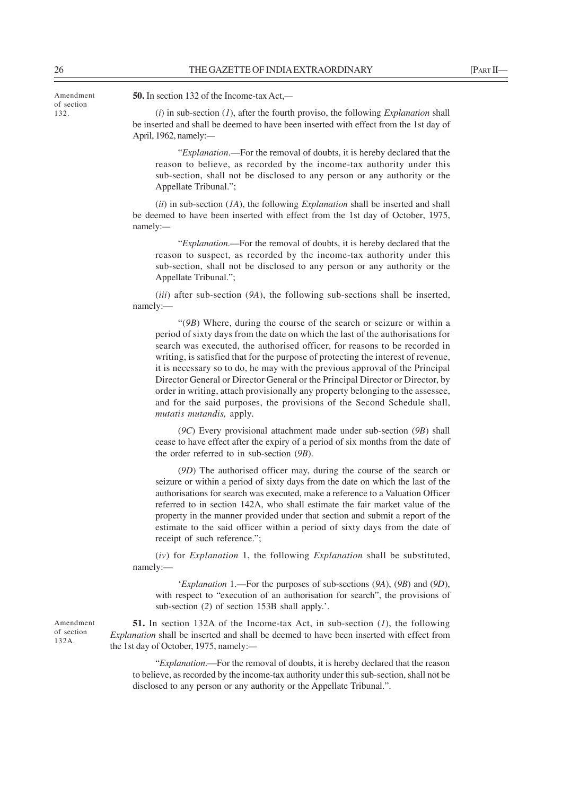26 THE GAZETTE OF INDIA EXTRAORDINARY FRACTI-

Amendment of section 132.

**50.** In section 132 of the Income-tax Act,*—*

(*i*) in sub-section (*1*), after the fourth proviso, the following *Explanation* shall be inserted and shall be deemed to have been inserted with effect from the 1st day of April, 1962, namely:*—*

"*Explanation*.––For the removal of doubts, it is hereby declared that the reason to believe, as recorded by the income-tax authority under this sub-section, shall not be disclosed to any person or any authority or the Appellate Tribunal.";

(*ii*) in sub-section (*1A*), the following *Explanation* shall be inserted and shall be deemed to have been inserted with effect from the 1st day of October, 1975, namely:*—*

"*Explanation*.––For the removal of doubts, it is hereby declared that the reason to suspect, as recorded by the income-tax authority under this sub-section, shall not be disclosed to any person or any authority or the Appellate Tribunal.";

(*iii*) after sub-section (*9A*), the following sub-sections shall be inserted, namely:—

"(*9B*) Where, during the course of the search or seizure or within a period of sixty days from the date on which the last of the authorisations for search was executed, the authorised officer, for reasons to be recorded in writing, is satisfied that for the purpose of protecting the interest of revenue, it is necessary so to do, he may with the previous approval of the Principal Director General or Director General or the Principal Director or Director, by order in writing, attach provisionally any property belonging to the assessee, and for the said purposes, the provisions of the Second Schedule shall, *mutatis mutandis,* apply.

(*9C*) Every provisional attachment made under sub-section (*9B*) shall cease to have effect after the expiry of a period of six months from the date of the order referred to in sub-section (*9B*).

(*9D*) The authorised officer may, during the course of the search or seizure or within a period of sixty days from the date on which the last of the authorisations for search was executed, make a reference to a Valuation Officer referred to in section 142A, who shall estimate the fair market value of the property in the manner provided under that section and submit a report of the estimate to the said officer within a period of sixty days from the date of receipt of such reference.";

(*iv*) for *Explanation* 1, the following *Explanation* shall be substituted, namely:—

'*Explanation* 1.––For the purposes of sub-sections (*9A*), (*9B*) and (*9D*), with respect to "execution of an authorisation for search", the provisions of sub-section (*2*) of section 153B shall apply.'.

**51.** In section 132A of the Income-tax Act, in sub-section (*1*), the following *Explanation* shall be inserted and shall be deemed to have been inserted with effect from the 1st day of October, 1975, namely:*—*

"*Explanation*.––For the removal of doubts, it is hereby declared that the reason to believe, as recorded by the income-tax authority under this sub-section, shall not be disclosed to any person or any authority or the Appellate Tribunal.".

Amendment of section 132A.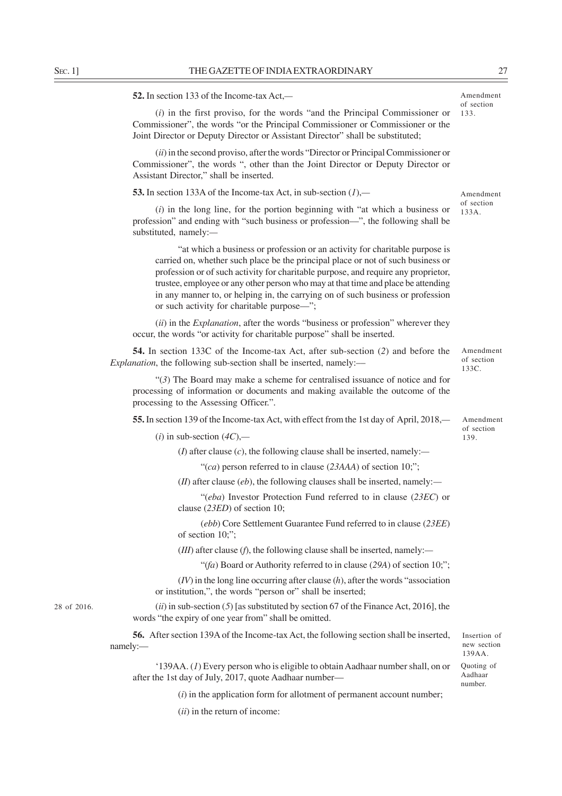**52.** In section 133 of the Income-tax Act,*—*

(*i*) in the first proviso, for the words "and the Principal Commissioner or Commissioner", the words "or the Principal Commissioner or Commissioner or the Joint Director or Deputy Director or Assistant Director" shall be substituted;

(*ii*) in the second proviso, after the words "Director or Principal Commissioner or Commissioner", the words ", other than the Joint Director or Deputy Director or Assistant Director," shall be inserted.

**53.** In section 133A of the Income-tax Act, in sub-section (*1*),*—*

(*i*) in the long line, for the portion beginning with "at which a business or profession" and ending with "such business or profession––", the following shall be substituted, namely:*—*

"at which a business or profession or an activity for charitable purpose is carried on, whether such place be the principal place or not of such business or profession or of such activity for charitable purpose, and require any proprietor, trustee, employee or any other person who may at that time and place be attending in any manner to, or helping in, the carrying on of such business or profession or such activity for charitable purpose––";

(*ii*) in the *Explanation*, after the words "business or profession" wherever they occur, the words "or activity for charitable purpose" shall be inserted.

**54.** In section 133C of the Income-tax Act, after sub-section (*2*) and before the *Explanation*, the following sub-section shall be inserted, namely:—

"(*3*) The Board may make a scheme for centralised issuance of notice and for processing of information or documents and making available the outcome of the processing to the Assessing Officer.".

**55.** In section 139 of the Income-tax Act, with effect from the 1st day of April, 2018,*—*

 $(i)$  in sub-section  $(4C)$ ,—

(*I*) after clause (*c*), the following clause shall be inserted, namely:*—*

"(*ca*) person referred to in clause (*23AAA*) of section 10;";

(*II*) after clause (*eb*), the following clauses shall be inserted, namely:*—*

"(*eba*) Investor Protection Fund referred to in clause (*23EC*) or clause (*23ED*) of section 10;

(*ebb*) Core Settlement Guarantee Fund referred to in clause (*23EE*) of section 10;";

(*III*) after clause (*f*), the following clause shall be inserted, namely:*—*

"(*fa*) Board or Authority referred to in clause (*29A*) of section 10;";

(*IV*) in the long line occurring after clause (*h*), after the words "association or institution,", the words "person or" shall be inserted;

(*ii*) in sub-section (*5*) [as substituted by section 67 of the Finance Act, 2016], the words "the expiry of one year from" shall be omitted.

**56.** After section 139A of the Income-tax Act, the following section shall be inserted, namely:—

'139AA. (*1*) Every person who is eligible to obtain Aadhaar number shall, on or after the 1st day of July, 2017, quote Aadhaar number—

(*i*) in the application form for allotment of permanent account number;

(*ii*) in the return of income:

28 of 2016.

of section 133C.

Amendment

Amendment of section 139.

Insertion of new section 139AA. Quoting of Aadhaar number.

Amendment

of section 133.

Amendment of section 133A.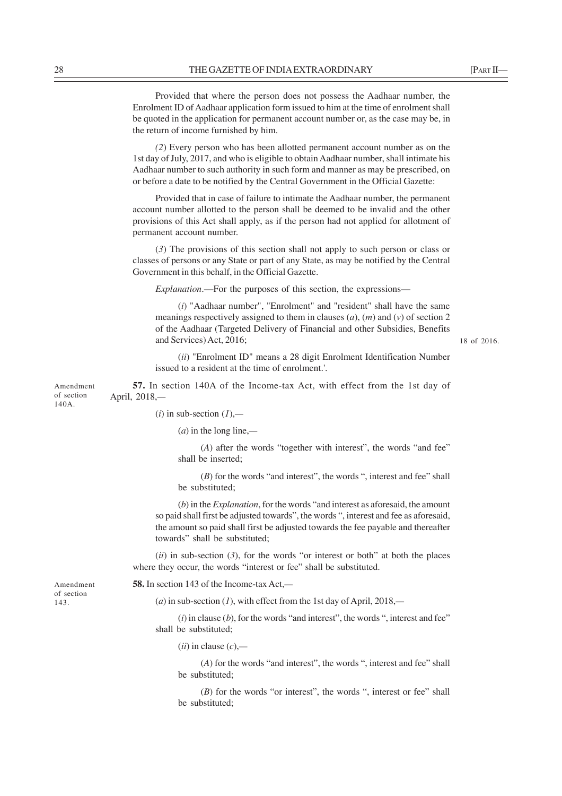Provided that where the person does not possess the Aadhaar number, the Enrolment ID of Aadhaar application form issued to him at the time of enrolment shall be quoted in the application for permanent account number or, as the case may be, in the return of income furnished by him.

*(2*) Every person who has been allotted permanent account number as on the 1st day of July, 2017, and who is eligible to obtain Aadhaar number, shall intimate his Aadhaar number to such authority in such form and manner as may be prescribed, on or before a date to be notified by the Central Government in the Official Gazette:

Provided that in case of failure to intimate the Aadhaar number, the permanent account number allotted to the person shall be deemed to be invalid and the other provisions of this Act shall apply, as if the person had not applied for allotment of permanent account number.

(*3*) The provisions of this section shall not apply to such person or class or classes of persons or any State or part of any State, as may be notified by the Central Government in this behalf, in the Official Gazette.

*Explanation*.—For the purposes of this section, the expressions—

(*i*) "Aadhaar number", "Enrolment" and "resident" shall have the same meanings respectively assigned to them in clauses (*a*), (*m*) and (*v*) of section 2 of the Aadhaar (Targeted Delivery of Financial and other Subsidies, Benefits and Services) Act, 2016;

(*ii*) "Enrolment ID" means a 28 digit Enrolment Identification Number issued to a resident at the time of enrolment.'.

Amendment of section 140A. **57.** In section 140A of the Income-tax Act, with effect from the 1st day of April, 2018,*—*

 $(i)$  in sub-section  $(I)$ ,—

(*a*) in the long line,*—*

(*A*) after the words "together with interest", the words "and fee" shall be inserted;

(*B*) for the words "and interest", the words ", interest and fee" shall be substituted;

(*b*) in the *Explanation*, for the words "and interest as aforesaid, the amount so paid shall first be adjusted towards", the words ", interest and fee as aforesaid, the amount so paid shall first be adjusted towards the fee payable and thereafter towards" shall be substituted;

 $(iii)$  in sub-section  $(3)$ , for the words "or interest or both" at both the places where they occur, the words "interest or fee" shall be substituted.

Amendment of section 143.

**58.** In section 143 of the Income-tax Act,*—*

(*a*) in sub-section (*1*), with effect from the 1st day of April, 2018,*—*

 $(i)$  in clause  $(b)$ , for the words "and interest", the words ", interest and fee" shall be substituted;

(*ii*) in clause (*c*),*—*

(*A*) for the words "and interest", the words ", interest and fee" shall be substituted;

(*B*) for the words "or interest", the words ", interest or fee" shall be substituted;

18 of 2016.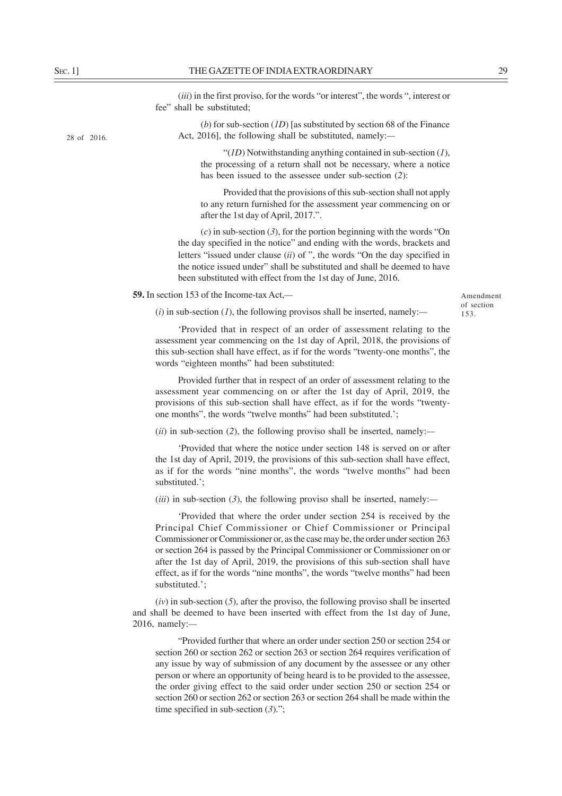28 of 2016.

(*iii*) in the first proviso, for the words "or interest", the words ", interest or fee" shall be substituted;

(*b*) for sub-section (*1D*) [as substituted by section 68 of the Finance Act, 2016], the following shall be substituted, namely:*—*

"(*1D*) Notwithstanding anything contained in sub-section (*1*), the processing of a return shall not be necessary, where a notice has been issued to the assessee under sub-section (*2*):

Provided that the provisions of this sub-section shall not apply to any return furnished for the assessment year commencing on or after the 1st day of April, 2017.".

(*c*) in sub-section (*3*), for the portion beginning with the words "On the day specified in the notice" and ending with the words, brackets and letters "issued under clause (*ii*) of ", the words "On the day specified in the notice issued under" shall be substituted and shall be deemed to have been substituted with effect from the 1st day of June, 2016.

**59.** In section 153 of the Income-tax Act,*—*

Amendment of section 153.

(*i*) in sub-section (*1*), the following provisos shall be inserted, namely:*—*

'Provided that in respect of an order of assessment relating to the assessment year commencing on the 1st day of April, 2018, the provisions of this sub-section shall have effect, as if for the words "twenty-one months", the words "eighteen months" had been substituted:

Provided further that in respect of an order of assessment relating to the assessment year commencing on or after the 1st day of April, 2019, the provisions of this sub-section shall have effect, as if for the words "twentyone months", the words "twelve months" had been substituted.';

(*ii*) in sub-section (*2*), the following proviso shall be inserted, namely:*—*

'Provided that where the notice under section 148 is served on or after the 1st day of April, 2019, the provisions of this sub-section shall have effect, as if for the words "nine months", the words "twelve months" had been substituted.';

(*iii*) in sub-section (*3*), the following proviso shall be inserted, namely:*—*

'Provided that where the order under section 254 is received by the Principal Chief Commissioner or Chief Commissioner or Principal Commissioner or Commissioner or, as the case may be, the order under section 263 or section 264 is passed by the Principal Commissioner or Commissioner on or after the 1st day of April, 2019, the provisions of this sub-section shall have effect, as if for the words "nine months", the words "twelve months" had been substituted.';

(*iv*) in sub-section (*5*), after the proviso, the following proviso shall be inserted and shall be deemed to have been inserted with effect from the 1st day of June, 2016, namely:*—*

"Provided further that where an order under section 250 or section 254 or section 260 or section 262 or section 263 or section 264 requires verification of any issue by way of submission of any document by the assessee or any other person or where an opportunity of being heard is to be provided to the assessee, the order giving effect to the said order under section 250 or section 254 or section 260 or section 262 or section 263 or section 264 shall be made within the time specified in sub-section (*3*).";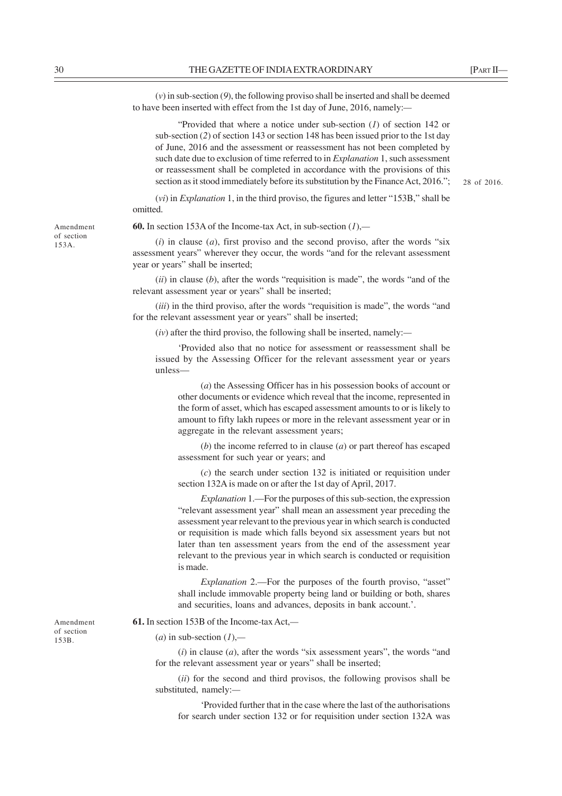(*v*) in sub-section (*9*), the following proviso shall be inserted and shall be deemed to have been inserted with effect from the 1st day of June, 2016, namely:*—*

"Provided that where a notice under sub-section (*1*) of section 142 or sub-section (*2*) of section 143 or section 148 has been issued prior to the 1st day of June, 2016 and the assessment or reassessment has not been completed by such date due to exclusion of time referred to in *Explanation* 1, such assessment or reassessment shall be completed in accordance with the provisions of this section as it stood immediately before its substitution by the Finance Act, 2016.";

28 of 2016.

(*vi*) in *Explanation* 1, in the third proviso, the figures and letter "153B," shall be omitted.

**60.** In section 153A of the Income-tax Act, in sub-section (*1*),*—*

(*i*) in clause (*a*), first proviso and the second proviso, after the words "six assessment years" wherever they occur, the words "and for the relevant assessment year or years" shall be inserted;

(*ii*) in clause (*b*), after the words "requisition is made", the words "and of the relevant assessment year or years" shall be inserted;

(*iii*) in the third proviso, after the words "requisition is made", the words "and for the relevant assessment year or years" shall be inserted;

(*iv*) after the third proviso, the following shall be inserted, namely:*—*

'Provided also that no notice for assessment or reassessment shall be issued by the Assessing Officer for the relevant assessment year or years unless—

(*a*) the Assessing Officer has in his possession books of account or other documents or evidence which reveal that the income, represented in the form of asset, which has escaped assessment amounts to or is likely to amount to fifty lakh rupees or more in the relevant assessment year or in aggregate in the relevant assessment years;

(*b*) the income referred to in clause (*a*) or part thereof has escaped assessment for such year or years; and

(*c*) the search under section 132 is initiated or requisition under section 132A is made on or after the 1st day of April, 2017.

*Explanation* 1.––For the purposes of this sub-section, the expression "relevant assessment year" shall mean an assessment year preceding the assessment year relevant to the previous year in which search is conducted or requisition is made which falls beyond six assessment years but not later than ten assessment years from the end of the assessment year relevant to the previous year in which search is conducted or requisition is made.

*Explanation* 2.—For the purposes of the fourth proviso, "asset" shall include immovable property being land or building or both, shares and securities, loans and advances, deposits in bank account.'.

Amendment of section

153B.

**61.** In section 153B of the Income-tax Act,*—*

### (*a*) in sub-section (*1*),*—*

(*i*) in clause (*a*), after the words "six assessment years", the words "and for the relevant assessment year or years" shall be inserted;

(*ii*) for the second and third provisos, the following provisos shall be substituted, namely:*—*

'Provided further that in the case where the last of the authorisations for search under section 132 or for requisition under section 132A was

Amendment of section 153A.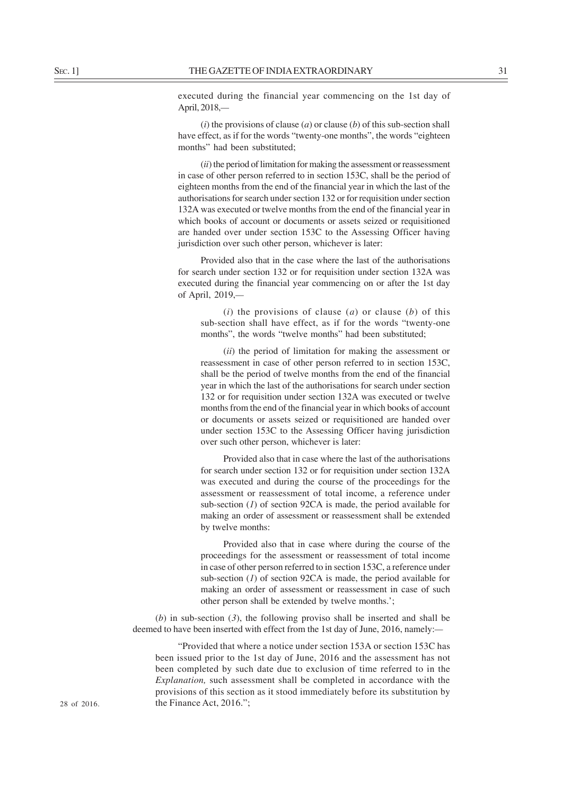executed during the financial year commencing on the 1st day of April, 2018,*—*

(*i*) the provisions of clause (*a*) or clause (*b*) of this sub-section shall have effect, as if for the words "twenty-one months", the words "eighteen months" had been substituted;

(*ii*) the period of limitation for making the assessment or reassessment in case of other person referred to in section 153C, shall be the period of eighteen months from the end of the financial year in which the last of the authorisations for search under section 132 or for requisition under section 132A was executed or twelve months from the end of the financial year in which books of account or documents or assets seized or requisitioned are handed over under section 153C to the Assessing Officer having jurisdiction over such other person, whichever is later:

Provided also that in the case where the last of the authorisations for search under section 132 or for requisition under section 132A was executed during the financial year commencing on or after the 1st day of April, 2019,*—*

(*i*) the provisions of clause (*a*) or clause (*b*) of this sub-section shall have effect, as if for the words "twenty-one months", the words "twelve months" had been substituted;

(*ii*) the period of limitation for making the assessment or reassessment in case of other person referred to in section 153C, shall be the period of twelve months from the end of the financial year in which the last of the authorisations for search under section 132 or for requisition under section 132A was executed or twelve months from the end of the financial year in which books of account or documents or assets seized or requisitioned are handed over under section 153C to the Assessing Officer having jurisdiction over such other person, whichever is later:

Provided also that in case where the last of the authorisations for search under section 132 or for requisition under section 132A was executed and during the course of the proceedings for the assessment or reassessment of total income, a reference under sub-section (*1*) of section 92CA is made, the period available for making an order of assessment or reassessment shall be extended by twelve months:

Provided also that in case where during the course of the proceedings for the assessment or reassessment of total income in case of other person referred to in section 153C, a reference under sub-section (*1*) of section 92CA is made, the period available for making an order of assessment or reassessment in case of such other person shall be extended by twelve months.';

(*b*) in sub-section (*3*), the following proviso shall be inserted and shall be deemed to have been inserted with effect from the 1st day of June, 2016, namely:*—*

"Provided that where a notice under section 153A or section 153C has been issued prior to the 1st day of June, 2016 and the assessment has not been completed by such date due to exclusion of time referred to in the *Explanation,* such assessment shall be completed in accordance with the provisions of this section as it stood immediately before its substitution by 28 of 2016. the Finance Act, 2016.";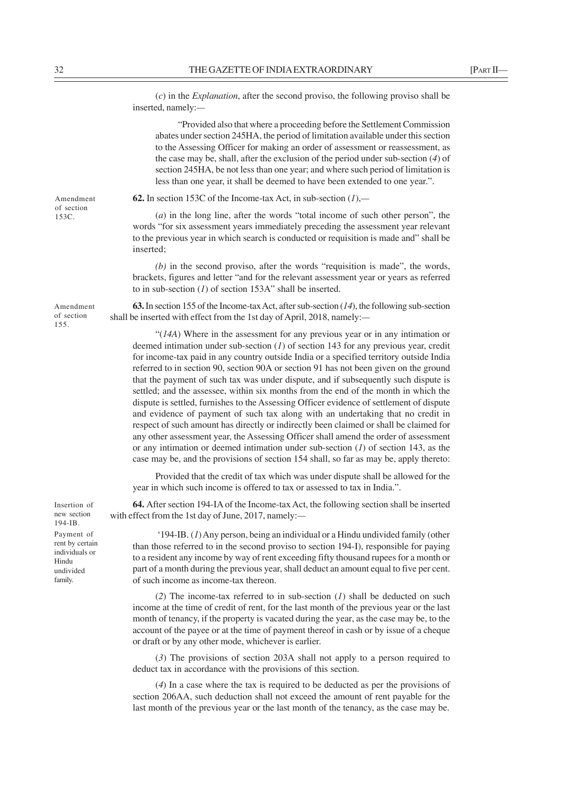(*c*) in the *Explanation*, after the second proviso, the following proviso shall be inserted, namely:*—*

"Provided also that where a proceeding before the Settlement Commission abates under section 245HA, the period of limitation available under this section to the Assessing Officer for making an order of assessment or reassessment, as the case may be, shall, after the exclusion of the period under sub-section (*4*) of section 245HA, be not less than one year; and where such period of limitation is less than one year, it shall be deemed to have been extended to one year.".

**62.** In section 153C of the Income-tax Act, in sub-section (*1*),*—*

(*a*) in the long line, after the words "total income of such other person", the words "for six assessment years immediately preceding the assessment year relevant to the previous year in which search is conducted or requisition is made and" shall be inserted;

*(b)* in the second proviso, after the words "requisition is made", the words, brackets, figures and letter "and for the relevant assessment year or years as referred to in sub-section (*1*) of section 153A" shall be inserted.

**63.** In section 155 of the Income-tax Act, after sub-section (*14*), the following sub-section shall be inserted with effect from the 1st day of April, 2018, namely:*—*

"(*14A*) Where in the assessment for any previous year or in any intimation or deemed intimation under sub-section (*1*) of section 143 for any previous year, credit for income-tax paid in any country outside India or a specified territory outside India referred to in section 90, section 90A or section 91 has not been given on the ground that the payment of such tax was under dispute, and if subsequently such dispute is settled; and the assessee, within six months from the end of the month in which the dispute is settled, furnishes to the Assessing Officer evidence of settlement of dispute and evidence of payment of such tax along with an undertaking that no credit in respect of such amount has directly or indirectly been claimed or shall be claimed for any other assessment year, the Assessing Officer shall amend the order of assessment or any intimation or deemed intimation under sub-section (*1*) of section 143, as the case may be, and the provisions of section 154 shall, so far as may be, apply thereto:

Provided that the credit of tax which was under dispute shall be allowed for the year in which such income is offered to tax or assessed to tax in India.".

**64.** After section 194-IA of the Income-tax Act, the following section shall be inserted with effect from the 1st day of June, 2017, namely:*—*

'194-IB. (*1*) Any person, being an individual or a Hindu undivided family (other than those referred to in the second proviso to section 194-I), responsible for paying to a resident any income by way of rent exceeding fifty thousand rupees for a month or part of a month during the previous year, shall deduct an amount equal to five per cent. of such income as income-tax thereon.

(*2*) The income-tax referred to in sub-section (*1*) shall be deducted on such income at the time of credit of rent, for the last month of the previous year or the last month of tenancy, if the property is vacated during the year, as the case may be, to the account of the payee or at the time of payment thereof in cash or by issue of a cheque or draft or by any other mode, whichever is earlier.

(*3*) The provisions of section 203A shall not apply to a person required to deduct tax in accordance with the provisions of this section.

(*4*) In a case where the tax is required to be deducted as per the provisions of section 206AA, such deduction shall not exceed the amount of rent payable for the last month of the previous year or the last month of the tenancy, as the case may be.

Amendment of section 153C.

Amendment of section 155.

Insertion of new section 194-IB. Payment of rent by certain individuals or

Hindu undivided family.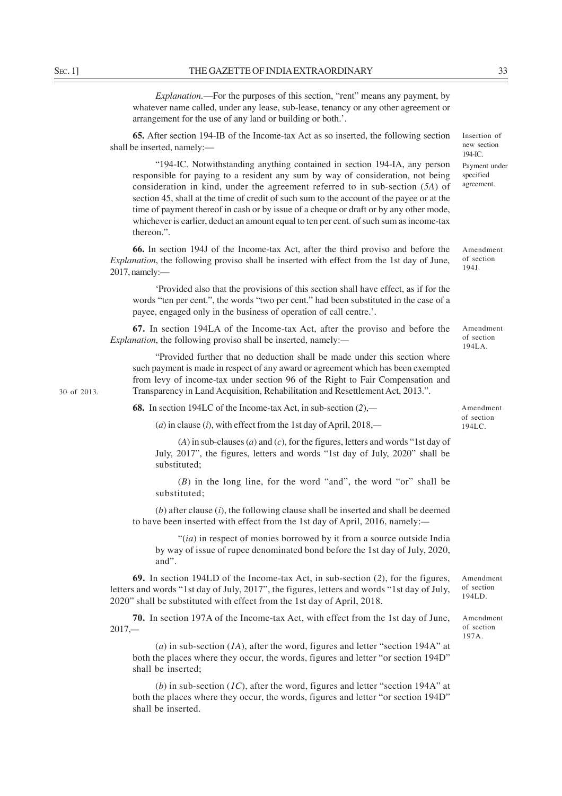*Explanation.*—For the purposes of this section, "rent" means any payment, by whatever name called, under any lease, sub-lease, tenancy or any other agreement or arrangement for the use of any land or building or both.'.

**65.** After section 194-IB of the Income-tax Act as so inserted, the following section shall be inserted, namely:—

"194-IC. Notwithstanding anything contained in section 194-IA, any person responsible for paying to a resident any sum by way of consideration, not being consideration in kind, under the agreement referred to in sub-section (*5A*) of section 45, shall at the time of credit of such sum to the account of the payee or at the time of payment thereof in cash or by issue of a cheque or draft or by any other mode, whichever is earlier, deduct an amount equal to ten per cent. of such sum as income-tax thereon.".

**66.** In section 194J of the Income-tax Act, after the third proviso and before the *Explanation*, the following proviso shall be inserted with effect from the 1st day of June, 2017, namely:—

'Provided also that the provisions of this section shall have effect, as if for the words "ten per cent.", the words "two per cent." had been substituted in the case of a payee, engaged only in the business of operation of call centre.'.

**67.** In section 194LA of the Income-tax Act, after the proviso and before the *Explanation*, the following proviso shall be inserted, namely:*—*

"Provided further that no deduction shall be made under this section where such payment is made in respect of any award or agreement which has been exempted from levy of income-tax under section 96 of the Right to Fair Compensation and Transparency in Land Acquisition, Rehabilitation and Resettlement Act, 2013.".

**68.** In section 194LC of the Income-tax Act, in sub-section (*2*),*—*

(*a*) in clause (*i*), with effect from the 1st day of April, 2018,*—*

(*A*) in sub-clauses (*a*) and (*c*), for the figures, letters and words "1st day of July, 2017", the figures, letters and words "1st day of July, 2020" shall be substituted;

(*B*) in the long line, for the word "and", the word "or" shall be substituted;

(*b*) after clause (*i*), the following clause shall be inserted and shall be deemed to have been inserted with effect from the 1st day of April, 2016, namely:*—*

"(*ia*) in respect of monies borrowed by it from a source outside India by way of issue of rupee denominated bond before the 1st day of July, 2020, and".

**69.** In section 194LD of the Income-tax Act, in sub-section (*2*), for the figures, letters and words "1st day of July, 2017", the figures, letters and words "1st day of July, 2020" shall be substituted with effect from the 1st day of April, 2018.

**70.** In section 197A of the Income-tax Act, with effect from the 1st day of June, 2017,*—*

(*a*) in sub-section (*1A*), after the word, figures and letter "section 194A" at both the places where they occur, the words, figures and letter "or section 194D" shall be inserted;

(*b*) in sub-section (*1C*), after the word, figures and letter "section 194A" at both the places where they occur, the words, figures and letter "or section 194D" shall be inserted.

30 of 2013.

agreement.

Amendment of section 194J.

Amendment of section 194LA.

Amendment of section 194LC.

Amendment of section 194LD.

Amendment of section 197A.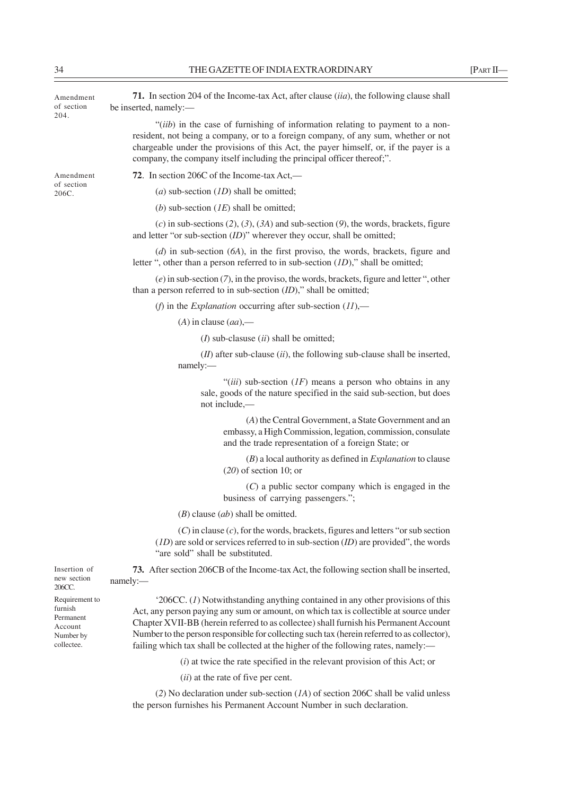| Amendment<br>of section<br>204.                                              | 71. In section 204 of the Income-tax Act, after clause <i>(iia)</i> , the following clause shall<br>be inserted, namely:-                                                                                                                                                                                                                                                                                                                                |
|------------------------------------------------------------------------------|----------------------------------------------------------------------------------------------------------------------------------------------------------------------------------------------------------------------------------------------------------------------------------------------------------------------------------------------------------------------------------------------------------------------------------------------------------|
|                                                                              | "(iib) in the case of furnishing of information relating to payment to a non-<br>resident, not being a company, or to a foreign company, of any sum, whether or not<br>chargeable under the provisions of this Act, the payer himself, or, if the payer is a<br>company, the company itself including the principal officer thereof;".                                                                                                                   |
| Amendment<br>of section<br>206C.                                             | 72. In section 206C of the Income-tax Act,—                                                                                                                                                                                                                                                                                                                                                                                                              |
|                                                                              | ( <i>a</i> ) sub-section $(ID)$ shall be omitted;                                                                                                                                                                                                                                                                                                                                                                                                        |
|                                                                              | (b) sub-section $(IE)$ shall be omitted;                                                                                                                                                                                                                                                                                                                                                                                                                 |
|                                                                              | (c) in sub-sections (2), (3), (3A) and sub-section (9), the words, brackets, figure<br>and letter "or sub-section $(ID)$ " wherever they occur, shall be omitted;                                                                                                                                                                                                                                                                                        |
|                                                                              | $(d)$ in sub-section $(6A)$ , in the first proviso, the words, brackets, figure and<br>letter ", other than a person referred to in sub-section $(1D)$ ," shall be omitted;                                                                                                                                                                                                                                                                              |
|                                                                              | $(e)$ in sub-section $(7)$ , in the proviso, the words, brackets, figure and letter ", other<br>than a person referred to in sub-section $(ID)$ ," shall be omitted;                                                                                                                                                                                                                                                                                     |
|                                                                              | (f) in the <i>Explanation</i> occurring after sub-section $(11)$ ,—                                                                                                                                                                                                                                                                                                                                                                                      |
|                                                                              | $(A)$ in clause $(aa)$ —                                                                                                                                                                                                                                                                                                                                                                                                                                 |
|                                                                              | $(I)$ sub-clasuse $(ii)$ shall be omitted;                                                                                                                                                                                                                                                                                                                                                                                                               |
|                                                                              | $(II)$ after sub-clause $(ii)$ , the following sub-clause shall be inserted,<br>namely:-                                                                                                                                                                                                                                                                                                                                                                 |
|                                                                              | "(iii) sub-section $(IF)$ means a person who obtains in any<br>sale, goods of the nature specified in the said sub-section, but does<br>not include,—                                                                                                                                                                                                                                                                                                    |
|                                                                              | (A) the Central Government, a State Government and an<br>embassy, a High Commission, legation, commission, consulate<br>and the trade representation of a foreign State; or                                                                                                                                                                                                                                                                              |
|                                                                              | $(B)$ a local authority as defined in <i>Explanation</i> to clause<br>$(20)$ of section 10; or                                                                                                                                                                                                                                                                                                                                                           |
|                                                                              | $(C)$ a public sector company which is engaged in the<br>business of carrying passengers.";                                                                                                                                                                                                                                                                                                                                                              |
|                                                                              | $(B)$ clause $(ab)$ shall be omitted.                                                                                                                                                                                                                                                                                                                                                                                                                    |
|                                                                              | $(C)$ in clause $(c)$ , for the words, brackets, figures and letters "or sub section<br>$(1D)$ are sold or services referred to in sub-section $(1D)$ are provided", the words<br>"are sold" shall be substituted.                                                                                                                                                                                                                                       |
| Insertion of<br>new section<br>206CC.                                        | 73. After section 206CB of the Income-tax Act, the following section shall be inserted,<br>namely:                                                                                                                                                                                                                                                                                                                                                       |
| Requirement to<br>furnish<br>Permanent<br>Account<br>Number by<br>collectee. | $206CC$ . (1) Notwithstanding anything contained in any other provisions of this<br>Act, any person paying any sum or amount, on which tax is collectible at source under<br>Chapter XVII-BB (herein referred to as collectee) shall furnish his Permanent Account<br>Number to the person responsible for collecting such tax (herein referred to as collector),<br>failing which tax shall be collected at the higher of the following rates, namely:— |
|                                                                              | $(i)$ at twice the rate specified in the relevant provision of this Act; or                                                                                                                                                                                                                                                                                                                                                                              |
|                                                                              | (ii) at the rate of five per cent.                                                                                                                                                                                                                                                                                                                                                                                                                       |
|                                                                              | (2) No declaration under sub-section $(1A)$ of section 206C shall be valid unless<br>the person furnishes his Permanent Account Number in such declaration.                                                                                                                                                                                                                                                                                              |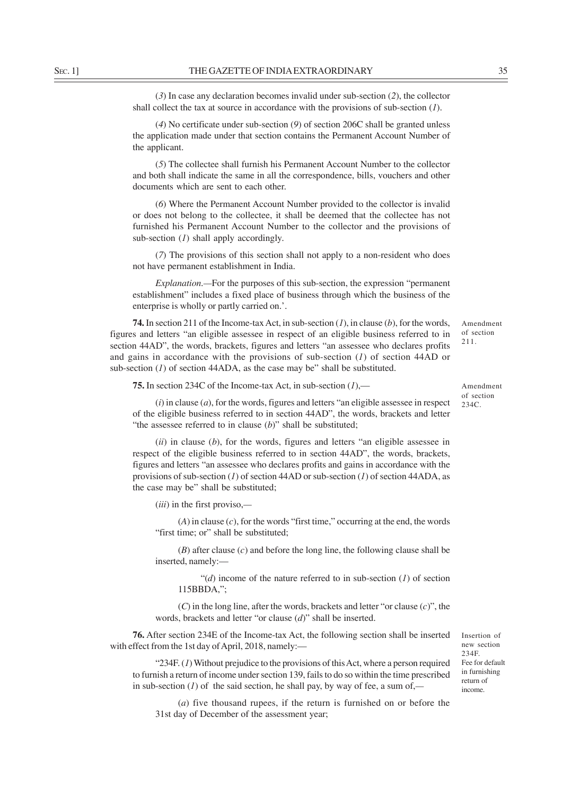(*3*) In case any declaration becomes invalid under sub-section (*2*), the collector shall collect the tax at source in accordance with the provisions of sub-section (*1*).

(*4*) No certificate under sub-section (*9*) of section 206C shall be granted unless the application made under that section contains the Permanent Account Number of the applicant.

(*5*) The collectee shall furnish his Permanent Account Number to the collector and both shall indicate the same in all the correspondence, bills, vouchers and other documents which are sent to each other.

(*6*) Where the Permanent Account Number provided to the collector is invalid or does not belong to the collectee, it shall be deemed that the collectee has not furnished his Permanent Account Number to the collector and the provisions of sub-section (*1*) shall apply accordingly.

(*7*) The provisions of this section shall not apply to a non-resident who does not have permanent establishment in India.

*Explanation*.*—*For the purposes of this sub-section, the expression "permanent establishment" includes a fixed place of business through which the business of the enterprise is wholly or partly carried on.'.

**74.** In section 211 of the Income-tax Act, in sub-section (*1*), in clause (*b*), for the words, figures and letters "an eligible assessee in respect of an eligible business referred to in section 44AD", the words, brackets, figures and letters "an assessee who declares profits and gains in accordance with the provisions of sub-section (*1*) of section 44AD or sub-section  $(I)$  of section 44ADA, as the case may be" shall be substituted.

**75.** In section 234C of the Income-tax Act, in sub-section (*1*),—

(*i*) in clause (*a*), for the words, figures and letters "an eligible assessee in respect of the eligible business referred to in section 44AD", the words, brackets and letter "the assessee referred to in clause (*b*)" shall be substituted;

(*ii*) in clause (*b*), for the words, figures and letters "an eligible assessee in respect of the eligible business referred to in section 44AD", the words, brackets, figures and letters "an assessee who declares profits and gains in accordance with the provisions of sub-section (*1*) of section 44AD or sub-section (*1*) of section 44ADA, as the case may be" shall be substituted;

(*iii*) in the first proviso,*—*

(*A*) in clause (*c*), for the words "first time," occurring at the end, the words "first time; or" shall be substituted;

(*B*) after clause (*c*) and before the long line, the following clause shall be inserted, namely:—

"(*d*) income of the nature referred to in sub-section (*1*) of section 115BBDA,";

(*C*) in the long line, after the words, brackets and letter "or clause (*c*)", the words, brackets and letter "or clause (*d*)" shall be inserted.

**76.** After section 234E of the Income-tax Act, the following section shall be inserted with effect from the 1st day of April, 2018, namely:—

"234F. (*1*) Without prejudice to the provisions of this Act, where a person required to furnish a return of income under section 139, fails to do so within the time prescribed in sub-section (*1*) of the said section, he shall pay, by way of fee, a sum of,*—*

(*a*) five thousand rupees, if the return is furnished on or before the 31st day of December of the assessment year;

Amendment of section 211.

Insertion of new section 234F. Fee for default in furnishing return of income.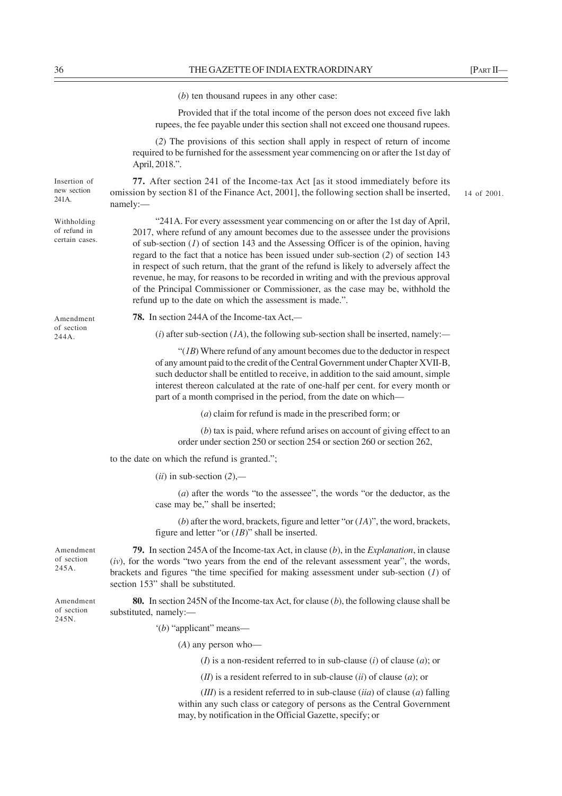|                                               | $(b)$ ten thousand rupees in any other case:                                                                                                                                                                                                                                                                                                                                                                                                                                                                                                                                                                                                                                                |             |
|-----------------------------------------------|---------------------------------------------------------------------------------------------------------------------------------------------------------------------------------------------------------------------------------------------------------------------------------------------------------------------------------------------------------------------------------------------------------------------------------------------------------------------------------------------------------------------------------------------------------------------------------------------------------------------------------------------------------------------------------------------|-------------|
|                                               | Provided that if the total income of the person does not exceed five lakh<br>rupees, the fee payable under this section shall not exceed one thousand rupees.                                                                                                                                                                                                                                                                                                                                                                                                                                                                                                                               |             |
|                                               | (2) The provisions of this section shall apply in respect of return of income<br>required to be furnished for the assessment year commencing on or after the 1st day of<br>April, 2018.".                                                                                                                                                                                                                                                                                                                                                                                                                                                                                                   |             |
| Insertion of<br>new section<br>241A.          | 77. After section 241 of the Income-tax Act [as it stood immediately before its<br>omission by section 81 of the Finance Act, 2001], the following section shall be inserted,<br>namely:-                                                                                                                                                                                                                                                                                                                                                                                                                                                                                                   | 14 of 2001. |
| Withholding<br>of refund in<br>certain cases. | "241A. For every assessment year commencing on or after the 1st day of April,<br>2017, where refund of any amount becomes due to the assessee under the provisions<br>of sub-section $(I)$ of section 143 and the Assessing Officer is of the opinion, having<br>regard to the fact that a notice has been issued under sub-section (2) of section 143<br>in respect of such return, that the grant of the refund is likely to adversely affect the<br>revenue, he may, for reasons to be recorded in writing and with the previous approval<br>of the Principal Commissioner or Commissioner, as the case may be, withhold the<br>refund up to the date on which the assessment is made.". |             |
| Amendment                                     | 78. In section 244A of the Income-tax Act,-                                                                                                                                                                                                                                                                                                                                                                                                                                                                                                                                                                                                                                                 |             |
| of section<br>244A.                           | (i) after sub-section $(IA)$ , the following sub-section shall be inserted, namely:—                                                                                                                                                                                                                                                                                                                                                                                                                                                                                                                                                                                                        |             |
|                                               | " $(1B)$ Where refund of any amount becomes due to the deductor in respect<br>of any amount paid to the credit of the Central Government under Chapter XVII-B,<br>such deductor shall be entitled to receive, in addition to the said amount, simple<br>interest thereon calculated at the rate of one-half per cent. for every month or<br>part of a month comprised in the period, from the date on which-                                                                                                                                                                                                                                                                                |             |
|                                               | $(a)$ claim for refund is made in the prescribed form; or                                                                                                                                                                                                                                                                                                                                                                                                                                                                                                                                                                                                                                   |             |
|                                               | $(b)$ tax is paid, where refund arises on account of giving effect to an<br>order under section 250 or section 254 or section 260 or section 262,                                                                                                                                                                                                                                                                                                                                                                                                                                                                                                                                           |             |
|                                               | to the date on which the refund is granted.";                                                                                                                                                                                                                                                                                                                                                                                                                                                                                                                                                                                                                                               |             |
|                                               | $(ii)$ in sub-section $(2)$ ,—                                                                                                                                                                                                                                                                                                                                                                                                                                                                                                                                                                                                                                                              |             |
|                                               | $(a)$ after the words "to the assessee", the words "or the deductor, as the<br>case may be," shall be inserted;                                                                                                                                                                                                                                                                                                                                                                                                                                                                                                                                                                             |             |
|                                               | (b) after the word, brackets, figure and letter "or $(IA)$ ", the word, brackets,<br>figure and letter "or $(IB)$ " shall be inserted.                                                                                                                                                                                                                                                                                                                                                                                                                                                                                                                                                      |             |
| Amendment<br>of section<br>245A.              | 79. In section 245A of the Income-tax Act, in clause (b), in the Explanation, in clause<br>$(iv)$ , for the words "two years from the end of the relevant assessment year", the words,<br>brackets and figures "the time specified for making assessment under sub-section $(l)$ of<br>section 153" shall be substituted.                                                                                                                                                                                                                                                                                                                                                                   |             |
| Amendment<br>of section<br>245N.              | 80. In section 245N of the Income-tax Act, for clause $(b)$ , the following clause shall be<br>substituted, namely:-                                                                                                                                                                                                                                                                                                                                                                                                                                                                                                                                                                        |             |
|                                               | $'(b)$ "applicant" means—                                                                                                                                                                                                                                                                                                                                                                                                                                                                                                                                                                                                                                                                   |             |
|                                               | $(A)$ any person who-                                                                                                                                                                                                                                                                                                                                                                                                                                                                                                                                                                                                                                                                       |             |
|                                               | ( <i>I</i> ) is a non-resident referred to in sub-clause ( <i>i</i> ) of clause ( <i>a</i> ); or                                                                                                                                                                                                                                                                                                                                                                                                                                                                                                                                                                                            |             |
|                                               | ( <i>II</i> ) is a resident referred to in sub-clause ( <i>ii</i> ) of clause ( <i>a</i> ); or                                                                                                                                                                                                                                                                                                                                                                                                                                                                                                                                                                                              |             |
|                                               | $(III)$ is a resident referred to in sub-clause $(iia)$ of clause $(a)$ falling<br>within any such class or category of persons as the Central Government<br>may, by notification in the Official Gazette, specify; or                                                                                                                                                                                                                                                                                                                                                                                                                                                                      |             |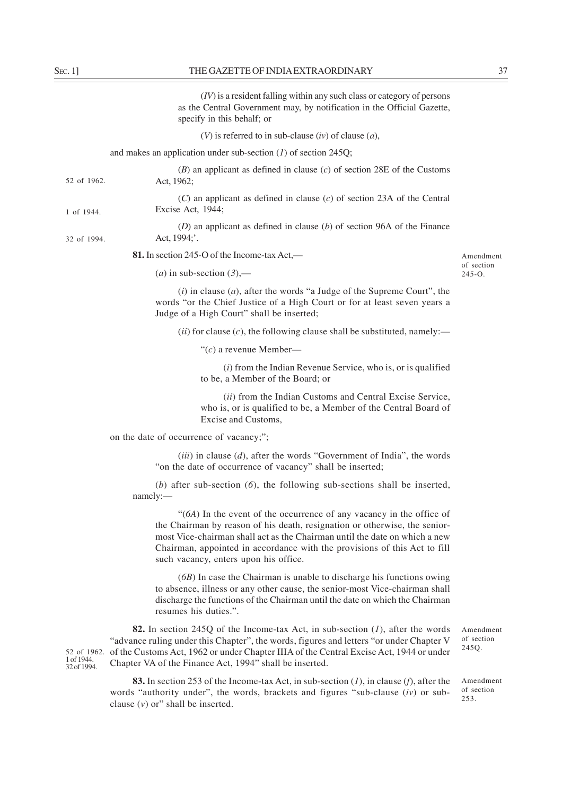|                                          | $(IV)$ is a resident falling within any such class or category of persons<br>as the Central Government may, by notification in the Official Gazette,<br>specify in this behalf; or                                                                                                                                                                     |                                  |
|------------------------------------------|--------------------------------------------------------------------------------------------------------------------------------------------------------------------------------------------------------------------------------------------------------------------------------------------------------------------------------------------------------|----------------------------------|
|                                          | (V) is referred to in sub-clause $(iv)$ of clause $(a)$ ,                                                                                                                                                                                                                                                                                              |                                  |
|                                          | and makes an application under sub-section $(I)$ of section 245Q;                                                                                                                                                                                                                                                                                      |                                  |
| 52 of 1962.                              | $(B)$ an applicant as defined in clause $(c)$ of section 28E of the Customs<br>Act, 1962;                                                                                                                                                                                                                                                              |                                  |
| 1 of 1944.                               | $(C)$ an applicant as defined in clause $(c)$ of section 23A of the Central<br>Excise Act, 1944;                                                                                                                                                                                                                                                       |                                  |
| 32 of 1994.                              | $(D)$ an applicant as defined in clause $(b)$ of section 96A of the Finance<br>Act, 1994;'.                                                                                                                                                                                                                                                            |                                  |
|                                          | 81. In section 245-O of the Income-tax Act,—                                                                                                                                                                                                                                                                                                           | Amendment                        |
|                                          | ( <i>a</i> ) in sub-section $(3)$ ,—                                                                                                                                                                                                                                                                                                                   | of section<br>$245 - 0.$         |
|                                          | $(i)$ in clause $(a)$ , after the words "a Judge of the Supreme Court", the<br>words "or the Chief Justice of a High Court or for at least seven years a<br>Judge of a High Court" shall be inserted;                                                                                                                                                  |                                  |
|                                          | (ii) for clause $(c)$ , the following clause shall be substituted, namely:—                                                                                                                                                                                                                                                                            |                                  |
|                                          | " $(c)$ a revenue Member—                                                                                                                                                                                                                                                                                                                              |                                  |
|                                          | $(i)$ from the Indian Revenue Service, who is, or is qualified<br>to be, a Member of the Board; or                                                                                                                                                                                                                                                     |                                  |
|                                          | (ii) from the Indian Customs and Central Excise Service,<br>who is, or is qualified to be, a Member of the Central Board of<br>Excise and Customs,                                                                                                                                                                                                     |                                  |
|                                          | on the date of occurrence of vacancy;";                                                                                                                                                                                                                                                                                                                |                                  |
|                                          | $(iii)$ in clause $(d)$ , after the words "Government of India", the words<br>"on the date of occurrence of vacancy" shall be inserted;                                                                                                                                                                                                                |                                  |
|                                          | $(b)$ after sub-section $(6)$ , the following sub-sections shall be inserted,<br>namely:                                                                                                                                                                                                                                                               |                                  |
|                                          | "(6A) In the event of the occurrence of any vacancy in the office of<br>the Chairman by reason of his death, resignation or otherwise, the senior-<br>most Vice-chairman shall act as the Chairman until the date on which a new<br>Chairman, appointed in accordance with the provisions of this Act to fill<br>such vacancy, enters upon his office. |                                  |
|                                          | $(6B)$ In case the Chairman is unable to discharge his functions owing<br>to absence, illness or any other cause, the senior-most Vice-chairman shall<br>discharge the functions of the Chairman until the date on which the Chairman<br>resumes his duties.".                                                                                         |                                  |
| 52 of 1962.<br>1 of 1944.<br>32 of 1994. | 82. In section 245Q of the Income-tax Act, in sub-section $(l)$ , after the words<br>"advance ruling under this Chapter", the words, figures and letters "or under Chapter V<br>of the Customs Act, 1962 or under Chapter IIIA of the Central Excise Act, 1944 or under<br>Chapter VA of the Finance Act, 1994" shall be inserted.                     | Amendment<br>of section<br>245Q. |
|                                          | <b>83.</b> In section 253 of the Income-tax Act, in sub-section $(I)$ , in clause $(f)$ , after the<br>words "authority under", the words, brackets and figures "sub-clause $(iv)$ or sub-                                                                                                                                                             | Amendment<br>of section          |

clause  $(v)$  or" shall be inserted.

 $nt$ 253.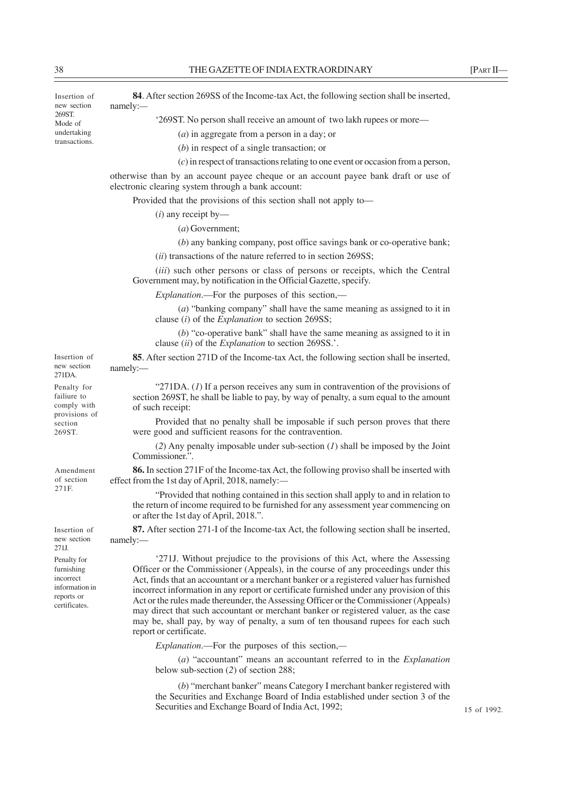Insertion of new section 269ST. Mode of undertaking transactions.

Insertion of new section 271DA. Penalty for failiure to comply with provisions of section 269ST.

Amendment of section 271F.

Insertion of new section 271J. Penalty for furnishing incorrect information in reports or certificates.

**84**. After section 269SS of the Income-tax Act, the following section shall be inserted, namely:*—*

'269ST. No person shall receive an amount of two lakh rupees or more—

(*a*) in aggregate from a person in a day; or

(*b*) in respect of a single transaction; or

(*c*) in respect of transactions relating to one event or occasion from a person,

otherwise than by an account payee cheque or an account payee bank draft or use of electronic clearing system through a bank account:

Provided that the provisions of this section shall not apply to—

(*i*) any receipt by—

(*a*) Government;

(*b*) any banking company, post office savings bank or co-operative bank;

(*ii*) transactions of the nature referred to in section 269SS;

(*iii*) such other persons or class of persons or receipts, which the Central Government may, by notification in the Official Gazette, specify.

*Explanation*.—For the purposes of this section,—

(*a*) "banking company" shall have the same meaning as assigned to it in clause (*i*) of the *Explanation* to section 269SS;

(*b*) "co-operative bank" shall have the same meaning as assigned to it in clause (*ii*) of the *Explanation* to section 269SS.'.

**85**. After section 271D of the Income-tax Act, the following section shall be inserted, namely:—

"271DA. (*1*) If a person receives any sum in contravention of the provisions of section 269ST, he shall be liable to pay, by way of penalty, a sum equal to the amount of such receipt:

Provided that no penalty shall be imposable if such person proves that there were good and sufficient reasons for the contravention.

(*2*) Any penalty imposable under sub-section (*1*) shall be imposed by the Joint Commissioner.".

**86.** In section 271F of the Income-tax Act, the following proviso shall be inserted with effect from the 1st day of April, 2018, namely:*—*

"Provided that nothing contained in this section shall apply to and in relation to the return of income required to be furnished for any assessment year commencing on or after the 1st day of April, 2018.".

**87.** After section 271-I of the Income-tax Act, the following section shall be inserted, namely:—

'271J. Without prejudice to the provisions of this Act, where the Assessing Officer or the Commissioner (Appeals), in the course of any proceedings under this Act, finds that an accountant or a merchant banker or a registered valuer has furnished incorrect information in any report or certificate furnished under any provision of this Act or the rules made thereunder, the Assessing Officer or the Commissioner (Appeals) may direct that such accountant or merchant banker or registered valuer, as the case may be, shall pay, by way of penalty, a sum of ten thousand rupees for each such report or certificate.

*Explanation*.––For the purposes of this section,*—*

(*a*) "accountant" means an accountant referred to in the *Explanation* below sub-section (*2*) of section 288;

(*b*) "merchant banker" means Category I merchant banker registered with the Securities and Exchange Board of India established under section 3 of the Securities and Exchange Board of India Act, 1992;

15 of 1992.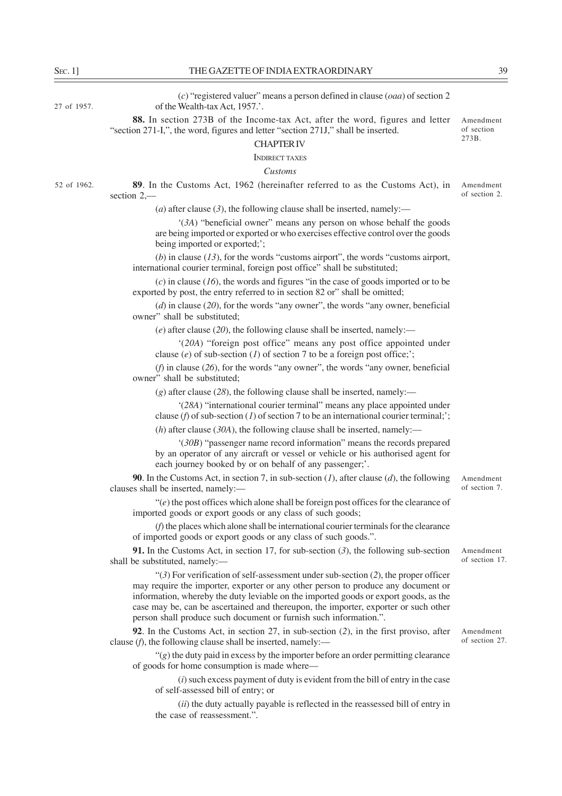Amendment of section 273B.

27 of 1957.

(*c*) "registered valuer" means a person defined in clause (*oaa*) of section 2 of the Wealth-tax Act, 1957.'.

**88.** In section 273B of the Income-tax Act, after the word, figures and letter "section 271-I,", the word, figures and letter "section 271J," shall be inserted.

CHAPTER IV

INDIRECT TAXES

#### *Customs*

**89**. In the Customs Act, 1962 (hereinafter referred to as the Customs Act), in section 2,–– Amendment of section 2. 52 of 1962.

(*a*) after clause (3), the following clause shall be inserted, namely:—

'(*3A*) "beneficial owner" means any person on whose behalf the goods are being imported or exported or who exercises effective control over the goods being imported or exported;';

(*b*) in clause (*13*), for the words "customs airport", the words "customs airport, international courier terminal, foreign post office" shall be substituted;

(*c*) in clause (*16*), the words and figures "in the case of goods imported or to be exported by post, the entry referred to in section 82 or" shall be omitted;

(*d*) in clause (*20*), for the words "any owner", the words "any owner, beneficial owner" shall be substituted;

(*e*) after clause (*20*), the following clause shall be inserted, namely:––

'(*20A*) "foreign post office" means any post office appointed under clause (*e*) of sub-section (*1*) of section 7 to be a foreign post office;';

(*f*) in clause (*26*), for the words "any owner", the words "any owner, beneficial owner" shall be substituted;

(*g*) after clause (*28*), the following clause shall be inserted, namely:––

'(*28A*) "international courier terminal" means any place appointed under clause (*f*) of sub-section (*1*) of section 7 to be an international courier terminal;';

(*h*) after clause (*30A*), the following clause shall be inserted, namely:––

'(*30B*) "passenger name record information" means the records prepared by an operator of any aircraft or vessel or vehicle or his authorised agent for each journey booked by or on behalf of any passenger;'.

**90**. In the Customs Act, in section 7, in sub-section (*1*), after clause (*d*), the following clauses shall be inserted, namely:––

"(*e*) the post offices which alone shall be foreign post offices for the clearance of imported goods or export goods or any class of such goods;

(*f*) the places which alone shall be international courier terminals for the clearance of imported goods or export goods or any class of such goods.".

**91.** In the Customs Act, in section 17, for sub-section (*3*), the following sub-section shall be substituted, namely:––

"(*3*) For verification of self-assessment under sub-section (*2*), the proper officer may require the importer, exporter or any other person to produce any document or information, whereby the duty leviable on the imported goods or export goods, as the case may be, can be ascertained and thereupon, the importer, exporter or such other person shall produce such document or furnish such information.".

**92**. In the Customs Act, in section 27, in sub-section (*2*), in the first proviso, after clause (*f*), the following clause shall be inserted, namely:—

"(*g*) the duty paid in excess by the importer before an order permitting clearance of goods for home consumption is made where—

(*i*) such excess payment of duty is evident from the bill of entry in the case of self-assessed bill of entry; or

(*ii*) the duty actually payable is reflected in the reassessed bill of entry in the case of reassessment.".

Amendment of section 7.

Amendment of section 17.

Amendment of section 27.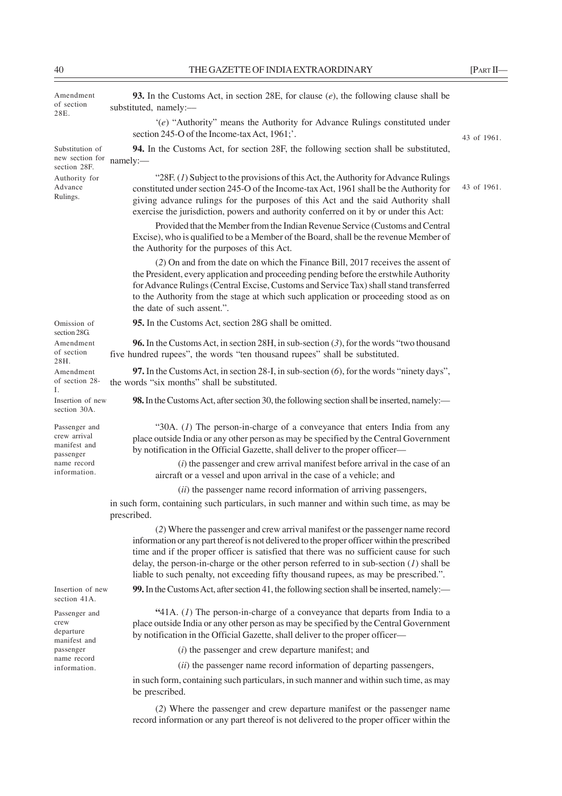| Amendment<br>of section<br>28E.                            | 93. In the Customs Act, in section 28E, for clause $(e)$ , the following clause shall be<br>substituted, namely:-                                                                                                                                                                                                                                                                                                                                              |             |
|------------------------------------------------------------|----------------------------------------------------------------------------------------------------------------------------------------------------------------------------------------------------------------------------------------------------------------------------------------------------------------------------------------------------------------------------------------------------------------------------------------------------------------|-------------|
|                                                            | $(e)$ "Authority" means the Authority for Advance Rulings constituted under<br>section 245-O of the Income-tax Act, 1961;'.                                                                                                                                                                                                                                                                                                                                    | 43 of 1961. |
| Substitution of<br>new section for<br>section 28F.         | 94. In the Customs Act, for section 28F, the following section shall be substituted,<br>namely:-                                                                                                                                                                                                                                                                                                                                                               |             |
| Authority for<br>Advance<br>Rulings.                       | "28F. (1) Subject to the provisions of this Act, the Authority for Advance Rulings<br>constituted under section 245-O of the Income-tax Act, 1961 shall be the Authority for<br>giving advance rulings for the purposes of this Act and the said Authority shall<br>exercise the jurisdiction, powers and authority conferred on it by or under this Act:                                                                                                      | 43 of 1961. |
|                                                            | Provided that the Member from the Indian Revenue Service (Customs and Central<br>Excise), who is qualified to be a Member of the Board, shall be the revenue Member of<br>the Authority for the purposes of this Act.                                                                                                                                                                                                                                          |             |
|                                                            | (2) On and from the date on which the Finance Bill, 2017 receives the assent of<br>the President, every application and proceeding pending before the erstwhile Authority<br>for Advance Rulings (Central Excise, Customs and Service Tax) shall stand transferred<br>to the Authority from the stage at which such application or proceeding stood as on<br>the date of such assent.".                                                                        |             |
| Omission of<br>section 28G.                                | 95. In the Customs Act, section 28G shall be omitted.                                                                                                                                                                                                                                                                                                                                                                                                          |             |
| Amendment<br>of section<br>28H.                            | <b>96.</b> In the Customs Act, in section 28H, in sub-section $(3)$ , for the words "two thousand<br>five hundred rupees", the words "ten thousand rupees" shall be substituted.                                                                                                                                                                                                                                                                               |             |
| Amendment<br>of section 28-<br>L                           | 97. In the Customs Act, in section 28-I, in sub-section $(6)$ , for the words "ninety days",<br>the words "six months" shall be substituted.                                                                                                                                                                                                                                                                                                                   |             |
| Insertion of new<br>section 30A.                           | 98. In the Customs Act, after section 30, the following section shall be inserted, namely:—                                                                                                                                                                                                                                                                                                                                                                    |             |
| Passenger and<br>crew arrival<br>manifest and<br>passenger | "30A. $(I)$ The person-in-charge of a conveyance that enters India from any<br>place outside India or any other person as may be specified by the Central Government<br>by notification in the Official Gazette, shall deliver to the proper officer-                                                                                                                                                                                                          |             |
| name record<br>information.                                | $(i)$ the passenger and crew arrival manifest before arrival in the case of an<br>aircraft or a vessel and upon arrival in the case of a vehicle; and                                                                                                                                                                                                                                                                                                          |             |
|                                                            | (ii) the passenger name record information of arriving passengers,                                                                                                                                                                                                                                                                                                                                                                                             |             |
|                                                            | in such form, containing such particulars, in such manner and within such time, as may be<br>prescribed.                                                                                                                                                                                                                                                                                                                                                       |             |
|                                                            | (2) Where the passenger and crew arrival manifest or the passenger name record<br>information or any part thereof is not delivered to the proper officer within the prescribed<br>time and if the proper officer is satisfied that there was no sufficient cause for such<br>delay, the person-in-charge or the other person referred to in sub-section $(l)$ shall be<br>liable to such penalty, not exceeding fifty thousand rupees, as may be prescribed.". |             |
| Insertion of new<br>section 41A.                           | 99. In the Customs Act, after section 41, the following section shall be inserted, namely:—                                                                                                                                                                                                                                                                                                                                                                    |             |
| Passenger and<br>crew<br>departure<br>manifest and         | $41A. (1)$ The person-in-charge of a conveyance that departs from India to a<br>place outside India or any other person as may be specified by the Central Government<br>by notification in the Official Gazette, shall deliver to the proper officer-                                                                                                                                                                                                         |             |
| passenger                                                  | ( <i>i</i> ) the passenger and crew departure manifest; and                                                                                                                                                                                                                                                                                                                                                                                                    |             |
| name record<br>information.                                | (ii) the passenger name record information of departing passengers,                                                                                                                                                                                                                                                                                                                                                                                            |             |
|                                                            | in such form, containing such particulars, in such manner and within such time, as may<br>be prescribed.                                                                                                                                                                                                                                                                                                                                                       |             |
|                                                            | (2) Where the passenger and crew departure manifest or the passenger name<br>record information or any part thereof is not delivered to the proper officer within the                                                                                                                                                                                                                                                                                          |             |
|                                                            |                                                                                                                                                                                                                                                                                                                                                                                                                                                                |             |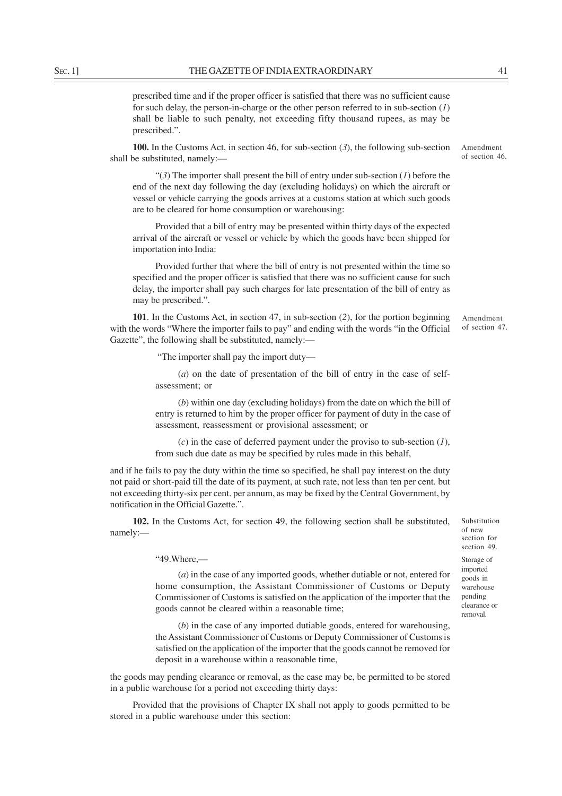prescribed time and if the proper officer is satisfied that there was no sufficient cause for such delay, the person-in-charge or the other person referred to in sub-section (*1*) shall be liable to such penalty, not exceeding fifty thousand rupees, as may be prescribed.".

**100.** In the Customs Act, in section 46, for sub-section (*3*), the following sub-section shall be substituted, namely:—

"(*3*) The importer shall present the bill of entry under sub-section (*1*) before the end of the next day following the day (excluding holidays) on which the aircraft or vessel or vehicle carrying the goods arrives at a customs station at which such goods are to be cleared for home consumption or warehousing:

Provided that a bill of entry may be presented within thirty days of the expected arrival of the aircraft or vessel or vehicle by which the goods have been shipped for importation into India:

Provided further that where the bill of entry is not presented within the time so specified and the proper officer is satisfied that there was no sufficient cause for such delay, the importer shall pay such charges for late presentation of the bill of entry as may be prescribed.".

**101**. In the Customs Act, in section 47, in sub-section (*2*), for the portion beginning with the words "Where the importer fails to pay" and ending with the words "in the Official Gazette", the following shall be substituted, namely:—

"The importer shall pay the import duty—

(*a*) on the date of presentation of the bill of entry in the case of selfassessment; or

(*b*) within one day (excluding holidays) from the date on which the bill of entry is returned to him by the proper officer for payment of duty in the case of assessment, reassessment or provisional assessment; or

(*c*) in the case of deferred payment under the proviso to sub-section (*1*), from such due date as may be specified by rules made in this behalf,

and if he fails to pay the duty within the time so specified, he shall pay interest on the duty not paid or short-paid till the date of its payment, at such rate, not less than ten per cent. but not exceeding thirty-six per cent. per annum, as may be fixed by the Central Government, by notification in the Official Gazette.".

**102.** In the Customs Act, for section 49, the following section shall be substituted, namely:––

Substitution of new section for section 49.

Storage of imported goods in warehouse pending clearance or removal.

"49.Where,––

(*a*) in the case of any imported goods, whether dutiable or not, entered for home consumption, the Assistant Commissioner of Customs or Deputy Commissioner of Customs is satisfied on the application of the importer that the goods cannot be cleared within a reasonable time;

(*b*) in the case of any imported dutiable goods, entered for warehousing, the Assistant Commissioner of Customs or Deputy Commissioner of Customs is satisfied on the application of the importer that the goods cannot be removed for deposit in a warehouse within a reasonable time,

the goods may pending clearance or removal, as the case may be, be permitted to be stored in a public warehouse for a period not exceeding thirty days:

Provided that the provisions of Chapter IX shall not apply to goods permitted to be stored in a public warehouse under this section:

Amendment of section 46.

Amendment of section 47.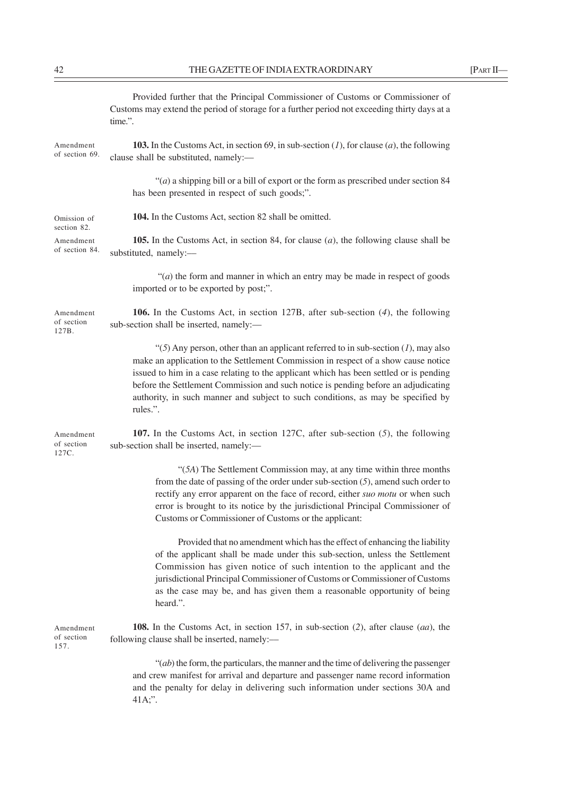|--|--|

|                                  | Provided further that the Principal Commissioner of Customs or Commissioner of<br>Customs may extend the period of storage for a further period not exceeding thirty days at a<br>time.".                                                                                                                                                                                                                                                                     |
|----------------------------------|---------------------------------------------------------------------------------------------------------------------------------------------------------------------------------------------------------------------------------------------------------------------------------------------------------------------------------------------------------------------------------------------------------------------------------------------------------------|
| Amendment<br>of section 69.      | 103. In the Customs Act, in section 69, in sub-section $(I)$ , for clause $(a)$ , the following<br>clause shall be substituted, namely:-                                                                                                                                                                                                                                                                                                                      |
|                                  | " $(a)$ a shipping bill or a bill of export or the form as prescribed under section 84<br>has been presented in respect of such goods;".                                                                                                                                                                                                                                                                                                                      |
| Omission of<br>section 82.       | 104. In the Customs Act, section 82 shall be omitted.                                                                                                                                                                                                                                                                                                                                                                                                         |
| Amendment<br>of section 84.      | <b>105.</b> In the Customs Act, in section 84, for clause $(a)$ , the following clause shall be<br>substituted, namely:-                                                                                                                                                                                                                                                                                                                                      |
|                                  | " $(a)$ the form and manner in which an entry may be made in respect of goods<br>imported or to be exported by post;".                                                                                                                                                                                                                                                                                                                                        |
| Amendment<br>of section<br>127B. | <b>106.</b> In the Customs Act, in section 127B, after sub-section $(4)$ , the following<br>sub-section shall be inserted, namely:-                                                                                                                                                                                                                                                                                                                           |
|                                  | " $(5)$ Any person, other than an applicant referred to in sub-section $(1)$ , may also<br>make an application to the Settlement Commission in respect of a show cause notice<br>issued to him in a case relating to the applicant which has been settled or is pending<br>before the Settlement Commission and such notice is pending before an adjudicating<br>authority, in such manner and subject to such conditions, as may be specified by<br>rules.". |
| Amendment<br>of section<br>127C. | 107. In the Customs Act, in section 127C, after sub-section $(5)$ , the following<br>sub-section shall be inserted, namely:-                                                                                                                                                                                                                                                                                                                                  |
|                                  | "(5A) The Settlement Commission may, at any time within three months<br>from the date of passing of the order under sub-section $(5)$ , amend such order to<br>rectify any error apparent on the face of record, either suo motu or when such<br>error is brought to its notice by the jurisdictional Principal Commissioner of<br>Customs or Commissioner of Customs or the applicant:                                                                       |
|                                  | Provided that no amendment which has the effect of enhancing the liability<br>of the applicant shall be made under this sub-section, unless the Settlement<br>Commission has given notice of such intention to the applicant and the<br>jurisdictional Principal Commissioner of Customs or Commissioner of Customs<br>as the case may be, and has given them a reasonable opportunity of being<br>heard.".                                                   |
| Amendment<br>of section<br>157.  | 108. In the Customs Act, in section 157, in sub-section $(2)$ , after clause $(aa)$ , the<br>following clause shall be inserted, namely:-                                                                                                                                                                                                                                                                                                                     |
|                                  | $\lq (ab)$ the form, the particulars, the manner and the time of delivering the passenger<br>and crew manifest for arrival and departure and passenger name record information<br>and the penalty for delay in delivering such information under sections 30A and<br>41A;".                                                                                                                                                                                   |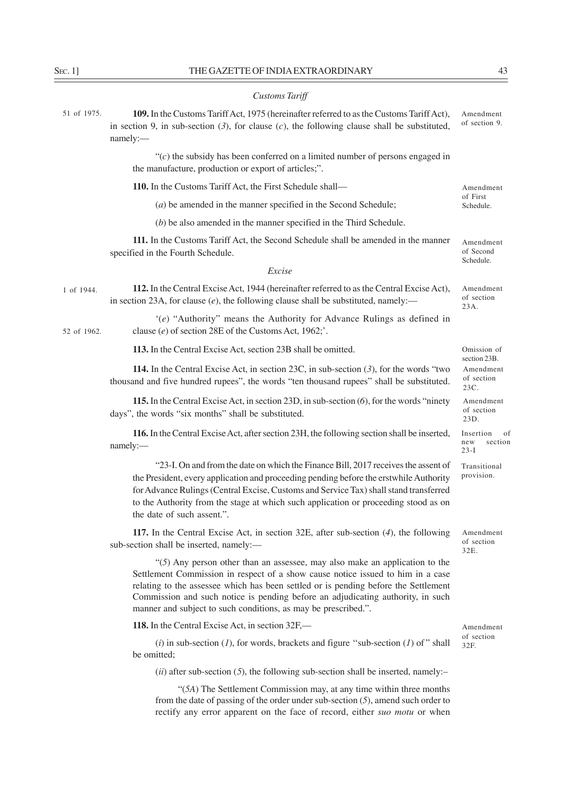| <b>Customs Tariff</b> |  |
|-----------------------|--|
|-----------------------|--|

| 51 of 1975. | 109. In the Customs Tariff Act, 1975 (hereinafter referred to as the Customs Tariff Act),<br>in section 9, in sub-section $(3)$ , for clause $(c)$ , the following clause shall be substituted,<br>namely:-                                                                                                                                                                                                   | Amendment<br>of section 9.                      |
|-------------|---------------------------------------------------------------------------------------------------------------------------------------------------------------------------------------------------------------------------------------------------------------------------------------------------------------------------------------------------------------------------------------------------------------|-------------------------------------------------|
|             | " $(c)$ the subsidy has been conferred on a limited number of persons engaged in<br>the manufacture, production or export of articles;".                                                                                                                                                                                                                                                                      |                                                 |
|             | 110. In the Customs Tariff Act, the First Schedule shall—                                                                                                                                                                                                                                                                                                                                                     | Amendment                                       |
|             | $(a)$ be amended in the manner specified in the Second Schedule;                                                                                                                                                                                                                                                                                                                                              | of First<br>Schedule.                           |
|             | $(b)$ be also amended in the manner specified in the Third Schedule.                                                                                                                                                                                                                                                                                                                                          |                                                 |
|             | 111. In the Customs Tariff Act, the Second Schedule shall be amended in the manner<br>specified in the Fourth Schedule.                                                                                                                                                                                                                                                                                       | Amendment<br>of Second<br>Schedule.             |
|             | Excise                                                                                                                                                                                                                                                                                                                                                                                                        |                                                 |
| 1 of 1944.  | 112. In the Central Excise Act, 1944 (hereinafter referred to as the Central Excise Act),<br>in section 23A, for clause $(e)$ , the following clause shall be substituted, namely:—                                                                                                                                                                                                                           | Amendment<br>of section<br>23A.                 |
| 52 of 1962. | $(e)$ "Authority" means the Authority for Advance Rulings as defined in<br>clause (e) of section 28E of the Customs Act, 1962;'.                                                                                                                                                                                                                                                                              |                                                 |
|             | 113. In the Central Excise Act, section 23B shall be omitted.                                                                                                                                                                                                                                                                                                                                                 | Omission of                                     |
|             | <b>114.</b> In the Central Excise Act, in section 23C, in sub-section $(3)$ , for the words "two<br>thousand and five hundred rupees", the words "ten thousand rupees" shall be substituted.                                                                                                                                                                                                                  | section 23B.<br>Amendment<br>of section<br>23C. |
|             | 115. In the Central Excise Act, in section 23D, in sub-section (6), for the words "ninety<br>days", the words "six months" shall be substituted.                                                                                                                                                                                                                                                              | Amendment<br>of section<br>23D.                 |
|             | 116. In the Central Excise Act, after section 23H, the following section shall be inserted,<br>namely:-                                                                                                                                                                                                                                                                                                       | Insertion<br>of<br>section<br>new<br>$23-I$     |
|             | "23-I. On and from the date on which the Finance Bill, 2017 receives the assent of<br>the President, every application and proceeding pending before the erstwhile Authority<br>for Advance Rulings (Central Excise, Customs and Service Tax) shall stand transferred<br>to the Authority from the stage at which such application or proceeding stood as on<br>the date of such assent.".                    | Transitional<br>provision.                      |
|             | 117. In the Central Excise Act, in section 32E, after sub-section $(4)$ , the following<br>sub-section shall be inserted, namely:-                                                                                                                                                                                                                                                                            | Amendment<br>of section<br>32E.                 |
|             | " $(5)$ Any person other than an assessee, may also make an application to the<br>Settlement Commission in respect of a show cause notice issued to him in a case<br>relating to the assessee which has been settled or is pending before the Settlement<br>Commission and such notice is pending before an adjudicating authority, in such<br>manner and subject to such conditions, as may be prescribed.". |                                                 |
|             | 118. In the Central Excise Act, in section 32F,—                                                                                                                                                                                                                                                                                                                                                              | Amendment                                       |
|             | (i) in sub-section (1), for words, brackets and figure "sub-section (1) of " shall<br>be omitted;                                                                                                                                                                                                                                                                                                             | of section<br>32F.                              |
|             | $(ii)$ after sub-section (5), the following sub-section shall be inserted, namely:-                                                                                                                                                                                                                                                                                                                           |                                                 |

"(*5A*) The Settlement Commission may, at any time within three months from the date of passing of the order under sub-section (*5*), amend such order to rectify any error apparent on the face of record, either *suo motu* or when

 $\overline{\phantom{0}}$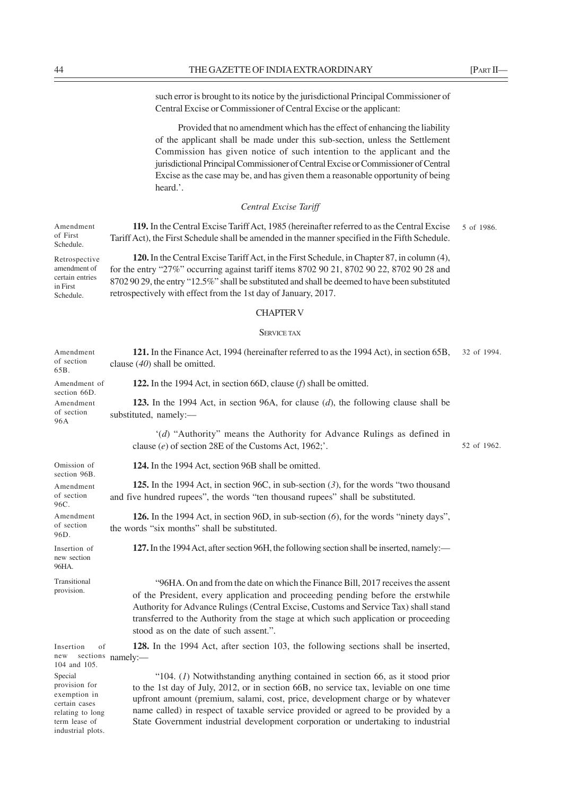such error is brought to its notice by the jurisdictional Principal Commissioner of Central Excise or Commissioner of Central Excise or the applicant:

Provided that no amendment which has the effect of enhancing the liability of the applicant shall be made under this sub-section, unless the Settlement Commission has given notice of such intention to the applicant and the jurisdictional Principal Commissioner of Central Excise or Commissioner of Central Excise as the case may be, and has given them a reasonable opportunity of being heard.'.

# *Central Excise Tariff*

**119.** In the Central Excise Tariff Act, 1985 (hereinafter referred to as the Central Excise Tariff Act), the First Schedule shall be amended in the manner specified in the Fifth Schedule. Amendment of First Schedule. 5 of 1986.

**120.** In the Central Excise Tariff Act, in the First Schedule, in Chapter 87, in column (4), for the entry "27%" occurring against tariff items 8702 90 21, 8702 90 22, 8702 90 28 and 8702 90 29, the entry "12.5%" shall be substituted and shall be deemed to have been substituted retrospectively with effect from the 1st day of January, 2017. Retrospective amendment of certain entries

#### CHAPTER V

### SERVICE TAX

| Amendment<br>of section<br>65B.                                                                | 121. In the Finance Act, 1994 (hereinafter referred to as the 1994 Act), in section 65B,<br>clause $(40)$ shall be omitted.                                                                                                                                                                                                                                                                                                          | 32 of 1994. |
|------------------------------------------------------------------------------------------------|--------------------------------------------------------------------------------------------------------------------------------------------------------------------------------------------------------------------------------------------------------------------------------------------------------------------------------------------------------------------------------------------------------------------------------------|-------------|
| Amendment of<br>section 66D.                                                                   | 122. In the 1994 Act, in section 66D, clause $(f)$ shall be omitted.                                                                                                                                                                                                                                                                                                                                                                 |             |
| Amendment<br>of section<br>96A                                                                 | 123. In the 1994 Act, in section 96A, for clause $(d)$ , the following clause shall be<br>substituted, namely:-                                                                                                                                                                                                                                                                                                                      |             |
|                                                                                                | '(d) "Authority" means the Authority for Advance Rulings as defined in<br>clause (e) of section 28E of the Customs Act, 1962;'.                                                                                                                                                                                                                                                                                                      | 52 of 1962. |
| Omission of<br>section 96B.                                                                    | 124. In the 1994 Act, section 96B shall be omitted.                                                                                                                                                                                                                                                                                                                                                                                  |             |
| Amendment<br>of section<br>96C.                                                                | 125. In the 1994 Act, in section 96C, in sub-section $(3)$ , for the words "two thousand<br>and five hundred rupees", the words "ten thousand rupees" shall be substituted.                                                                                                                                                                                                                                                          |             |
| Amendment<br>of section<br>96D.                                                                | 126. In the 1994 Act, in section 96D, in sub-section (6), for the words "ninety days",<br>the words "six months" shall be substituted.                                                                                                                                                                                                                                                                                               |             |
| Insertion of<br>new section<br>96HA.                                                           | 127. In the 1994 Act, after section 96H, the following section shall be inserted, namely:—                                                                                                                                                                                                                                                                                                                                           |             |
| Transitional<br>provision.                                                                     | "96HA. On and from the date on which the Finance Bill, 2017 receives the assent<br>of the President, every application and proceeding pending before the erstwhile<br>Authority for Advance Rulings (Central Excise, Customs and Service Tax) shall stand<br>transferred to the Authority from the stage at which such application or proceeding<br>stood as on the date of such assent.".                                           |             |
| Insertion<br>of<br>new<br>104 and 105.                                                         | 128. In the 1994 Act, after section 103, the following sections shall be inserted,<br>sections namely:-                                                                                                                                                                                                                                                                                                                              |             |
| Special<br>provision for<br>exemption in<br>certain cases<br>relating to long<br>term lease of | "104. $(I)$ Notwithstanding anything contained in section 66, as it stood prior<br>to the 1st day of July, 2012, or in section 66B, no service tax, leviable on one time<br>upfront amount (premium, salami, cost, price, development charge or by whatever<br>name called) in respect of taxable service provided or agreed to be provided by a<br>State Government industrial development corporation or undertaking to industrial |             |

in First Schedule.

industrial plots.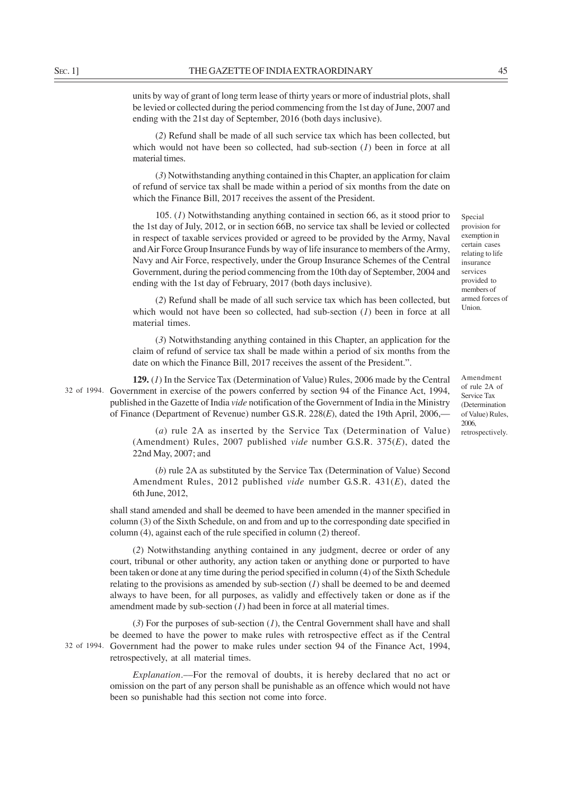units by way of grant of long term lease of thirty years or more of industrial plots, shall be levied or collected during the period commencing from the 1st day of June, 2007 and ending with the 21st day of September, 2016 (both days inclusive).

(*2*) Refund shall be made of all such service tax which has been collected, but which would not have been so collected, had sub-section (*I*) been in force at all material times.

(*3*) Notwithstanding anything contained in this Chapter, an application for claim of refund of service tax shall be made within a period of six months from the date on which the Finance Bill, 2017 receives the assent of the President.

105. (*1*) Notwithstanding anything contained in section 66, as it stood prior to the 1st day of July, 2012, or in section 66B, no service tax shall be levied or collected in respect of taxable services provided or agreed to be provided by the Army, Naval and Air Force Group Insurance Funds by way of life insurance to members of the Army, Navy and Air Force, respectively, under the Group Insurance Schemes of the Central Government, during the period commencing from the 10th day of September, 2004 and ending with the 1st day of February, 2017 (both days inclusive).

(*2*) Refund shall be made of all such service tax which has been collected, but which would not have been so collected, had sub-section (*I*) been in force at all material times.

(*3*) Notwithstanding anything contained in this Chapter, an application for the claim of refund of service tax shall be made within a period of six months from the date on which the Finance Bill, 2017 receives the assent of the President.".

**129.** (*1*) In the Service Tax (Determination of Value) Rules, 2006 made by the Central 32 of 1994. Government in exercise of the powers conferred by section 94 of the Finance Act, 1994, published in the Gazette of India *vide* notification of the Government of India in the Ministry of Finance (Department of Revenue) number G.S.R. 228(*E*), dated the 19th April, 2006,—

> (*a*) rule 2A as inserted by the Service Tax (Determination of Value) (Amendment) Rules, 2007 published *vide* number G.S.R. 375(*E*), dated the 22nd May, 2007; and

> (*b*) rule 2A as substituted by the Service Tax (Determination of Value) Second Amendment Rules, 2012 published *vide* number G.S.R. 431(*E*), dated the 6th June, 2012,

shall stand amended and shall be deemed to have been amended in the manner specified in column (3) of the Sixth Schedule, on and from and up to the corresponding date specified in column (4), against each of the rule specified in column (2) thereof.

(*2*) Notwithstanding anything contained in any judgment, decree or order of any court, tribunal or other authority, any action taken or anything done or purported to have been taken or done at any time during the period specified in column (4) of the Sixth Schedule relating to the provisions as amended by sub-section  $(I)$  shall be deemed to be and deemed always to have been, for all purposes, as validly and effectively taken or done as if the amendment made by sub-section (*1*) had been in force at all material times.

(*3*) For the purposes of sub-section (*1*), the Central Government shall have and shall be deemed to have the power to make rules with retrospective effect as if the Central 32 of 1994. Government had the power to make rules under section 94 of the Finance Act, 1994, retrospectively, at all material times.

> *Explanation*.––For the removal of doubts, it is hereby declared that no act or omission on the part of any person shall be punishable as an offence which would not have been so punishable had this section not come into force.

Special provision for exemption in certain cases relating to life insurance services provided to members of armed forces of Union.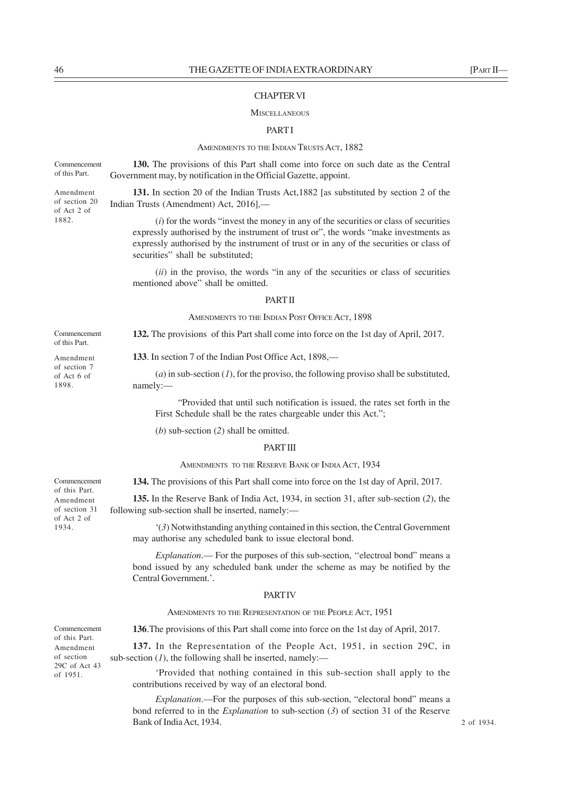### CHAPTER VI

#### **MISCELLANEOUS**

### PART I

#### AMENDMENTS TO THE INDIAN TRUSTS ACT, 1882

**130.** The provisions of this Part shall come into force on such date as the Central Government may, by notification in the Official Gazette, appoint. Commencement of this Part.

> **131.** In section 20 of the Indian Trusts Act,1882 [as substituted by section 2 of the Indian Trusts (Amendment) Act, 2016],––

(*i*) for the words "invest the money in any of the securities or class of securities expressly authorised by the instrument of trust or", the words "make investments as expressly authorised by the instrument of trust or in any of the securities or class of securities" shall be substituted:

(*ii*) in the proviso, the words "in any of the securities or class of securities mentioned above" shall be omitted.

# PART II

### AMENDMENTS TO THE INDIAN POST OFFICE ACT, 1898

**132.** The provisions of this Part shall come into force on the 1st day of April, 2017.

**133**. In section 7 of the Indian Post Office Act, 1898,—

"Provided that until such notification is issued, the rates set forth in the First Schedule shall be the rates chargeable under this Act.";

(*b*) sub-section (*2*) shall be omitted.

### PART III

AMENDMENTS TO THE RESERVE BANK OF INDIA ACT, 1934

**134.** The provisions of this Part shall come into force on the 1st day of April, 2017.

**135.** In the Reserve Bank of India Act, 1934, in section 31, after sub-section (*2*), the following sub-section shall be inserted, namely:—

'(*3*) Notwithstanding anything contained in this section, the Central Government may authorise any scheduled bank to issue electoral bond.

*Explanation*.— For the purposes of this sub-section, "electroal bond" means a bond issued by any scheduled bank under the scheme as may be notified by the Central Government.'.

### **PART IV**

AMENDMENTS TO THE REPRESENTATION OF THE PEOPLE ACT, 1951

**136**.The provisions of this Part shall come into force on the 1st day of April, 2017.

**137.** In the Representation of the People Act, 1951, in section 29C, in sub-section  $(I)$ , the following shall be inserted, namely:—

'Provided that nothing contained in this sub-section shall apply to the contributions received by way of an electoral bond.

*Explanation*.—For the purposes of this sub-section, "electoral bond" means a bond referred to in the *Explanation* to sub-section (*3*) of section 31 of the Reserve Bank of India Act, 1934.

Commencement of this Part. Amendment of section 31 of Act 2 of 1934.

Amendment of section 20 of Act 2 of 1882.

Commencement of this Part. Amendment of section 7 of Act 6 of 1898.

of this Part. Amendment of section 29C of Act 43 of 1951.

Commencement

 $(a)$  in sub-section  $(I)$ , for the proviso, the following proviso shall be substituted,

namely:—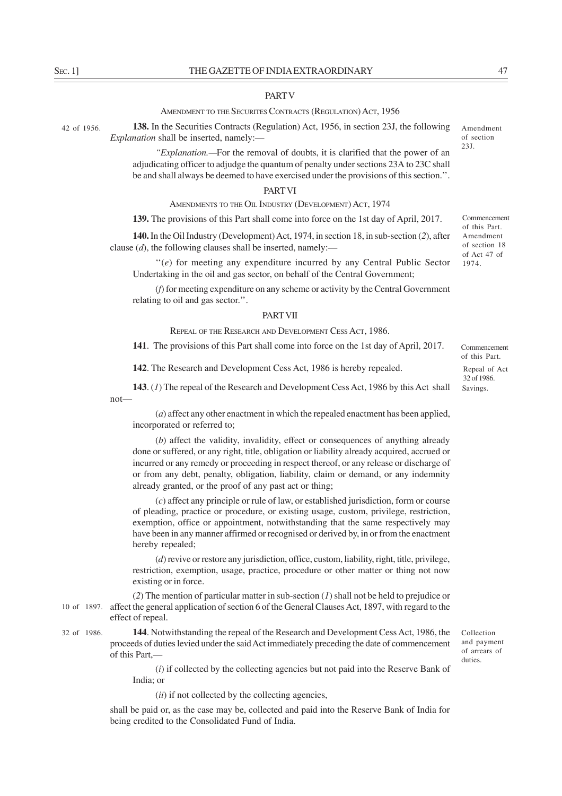### **PART V**

#### AMENDMENT TO THE SECURITES CONTRACTS (REGULATION) ACT, 1956

138. In the Securities Contracts (Regulation) Act, 1956, in section 23J, the following Amendment *Explanation* shall be inserted, namely:—

> *"Explanation.—*For the removal of doubts, it is clarified that the power of an adjudicating officer to adjudge the quantum of penalty under sections 23A to 23C shall be and shall always be deemed to have exercised under the provisions of this section.''.

### PART VI

AMENDMENTS TO THE OIL INDUSTRY (DEVELOPMENT) ACT, 1974

**139.** The provisions of this Part shall come into force on the 1st day of April, 2017.

**140.** In the Oil Industry (Development) Act, 1974, in section 18, in sub-section (*2*), after clause (*d*), the following clauses shall be inserted, namely:—

''(*e*) for meeting any expenditure incurred by any Central Public Sector Undertaking in the oil and gas sector, on behalf of the Central Government;

(*f*) for meeting expenditure on any scheme or activity by the Central Government relating to oil and gas sector.''.

### PART VII

REPEAL OF THE RESEARCH AND DEVELOPMENT CESS ACT, 1986.

**141**. The provisions of this Part shall come into force on the 1st day of April, 2017.

**142**. The Research and Development Cess Act, 1986 is hereby repealed.

**143**. (*1*) The repeal of the Research and Development Cess Act, 1986 by this Act shall  $not$ —

(*a*) affect any other enactment in which the repealed enactment has been applied, incorporated or referred to;

(*b*) affect the validity, invalidity, effect or consequences of anything already done or suffered, or any right, title, obligation or liability already acquired, accrued or incurred or any remedy or proceeding in respect thereof, or any release or discharge of or from any debt, penalty, obligation, liability, claim or demand, or any indemnity already granted, or the proof of any past act or thing;

(*c*) affect any principle or rule of law, or established jurisdiction, form or course of pleading, practice or procedure, or existing usage, custom, privilege, restriction, exemption, office or appointment, notwithstanding that the same respectively may have been in any manner affirmed or recognised or derived by, in or from the enactment hereby repealed;

(*d*) revive or restore any jurisdiction, office, custom, liability, right, title, privilege, restriction, exemption, usage, practice, procedure or other matter or thing not now existing or in force.

(*2*) The mention of particular matter in sub-section (*1*) shall not be held to prejudice or 10 of 1897. affect the general application of section 6 of the General Clauses Act, 1897, with regard to the effect of repeal.

**144**. Notwithstanding the repeal of the Research and Development Cess Act, 1986, the proceeds of duties levied under the said Act immediately preceding the date of commencement of this Part,— 32 of 1986.

> (*i*) if collected by the collecting agencies but not paid into the Reserve Bank of India; or

(*ii*) if not collected by the collecting agencies,

shall be paid or, as the case may be, collected and paid into the Reserve Bank of India for being credited to the Consolidated Fund of India.

of section 23J.

Commencement of this Part. Amendment of section 18 of Act 47 of 1974.

Commencement of this Part.

Repeal of Act 32 of 1986. Savings.

Collection and payment of arrears of duties.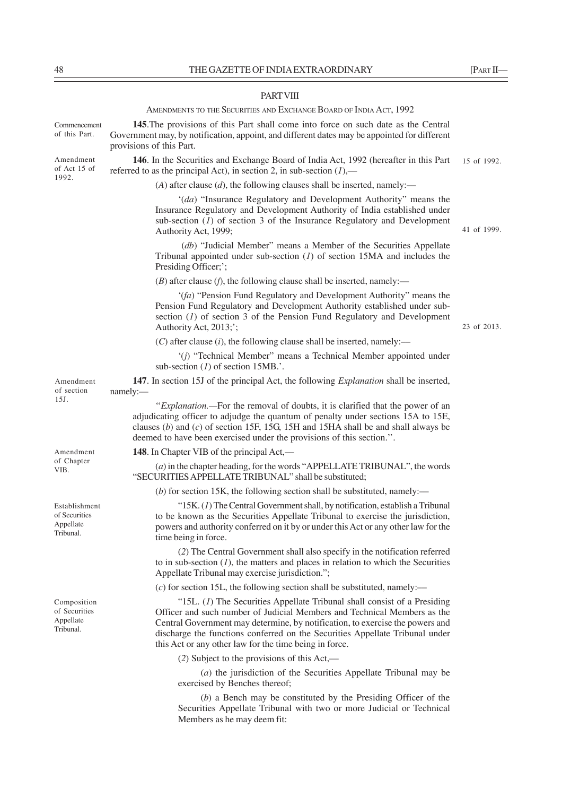### **PART VIII**

AMENDMENTS TO THE SECURITIES AND EXCHANGE BOARD OF INDIA ACT, 1992

**145**.The provisions of this Part shall come into force on such date as the Central Government may, by notification, appoint, and different dates may be appointed for different provisions of this Part.

**146**. In the Securities and Exchange Board of India Act, 1992 (hereafter in this Part referred to as the principal Act), in section 2, in sub-section  $(1)$ ,— Amendment of Act 15 of 15 of 1992.

 $(A)$  after clause  $(d)$ , the following clauses shall be inserted, namely:—

'(*da*) "Insurance Regulatory and Development Authority" means the Insurance Regulatory and Development Authority of India established under sub-section  $(I)$  of section 3 of the Insurance Regulatory and Development Authority Act, 1999;

 (*db*) "Judicial Member" means a Member of the Securities Appellate Tribunal appointed under sub-section (*1*) of section 15MA and includes the Presiding Officer;';

(*B*) after clause (*f*), the following clause shall be inserted, namely:––

'(*fa*) "Pension Fund Regulatory and Development Authority" means the Pension Fund Regulatory and Development Authority established under subsection (*1*) of section 3 of the Pension Fund Regulatory and Development Authority Act, 2013;';

(*C*) after clause (*i*), the following clause shall be inserted, namely:––

'(*j*) "Technical Member" means a Technical Member appointed under sub-section (*1*) of section 15MB.'.

**147**. In section 15J of the principal Act, the following *Explanation* shall be inserted, namely:—

''*Explanation.—*For the removal of doubts, it is clarified that the power of an adjudicating officer to adjudge the quantum of penalty under sections 15A to 15E, clauses (*b*) and (*c*) of section 15F, 15G, 15H and 15HA shall be and shall always be deemed to have been exercised under the provisions of this section.''.

**148**. In Chapter VIB of the principal Act,––

(*a*) in the chapter heading, for the words "APPELLATE TRIBUNAL", the words "SECURITIES APPELLATE TRIBUNAL" shall be substituted;

 $(b)$  for section 15K, the following section shall be substituted, namely:—

"15K. (*1*) The Central Government shall, by notification, establish a Tribunal to be known as the Securities Appellate Tribunal to exercise the jurisdiction, powers and authority conferred on it by or under this Act or any other law for the time being in force.

(*2*) The Central Government shall also specify in the notification referred to in sub-section  $(1)$ , the matters and places in relation to which the Securities Appellate Tribunal may exercise jurisdiction.";

(*c*) for section 15L, the following section shall be substituted, namely:––

"15L. (*1*) The Securities Appellate Tribunal shall consist of a Presiding Officer and such number of Judicial Members and Technical Members as the Central Government may determine, by notification, to exercise the powers and discharge the functions conferred on the Securities Appellate Tribunal under this Act or any other law for the time being in force.

(*2*) Subject to the provisions of this Act,—

(*a*) the jurisdiction of the Securities Appellate Tribunal may be exercised by Benches thereof;

(*b*) a Bench may be constituted by the Presiding Officer of the Securities Appellate Tribunal with two or more Judicial or Technical Members as he may deem fit:

of Chapter VIB.

Establishment of Securities **Appellate** Tribunal.

Composition of Securities Appellate Tribunal.

41 of 1999.

23 of 2013.

Commencement of this Part.

1992.

of section 15J.

Amendment

Amendment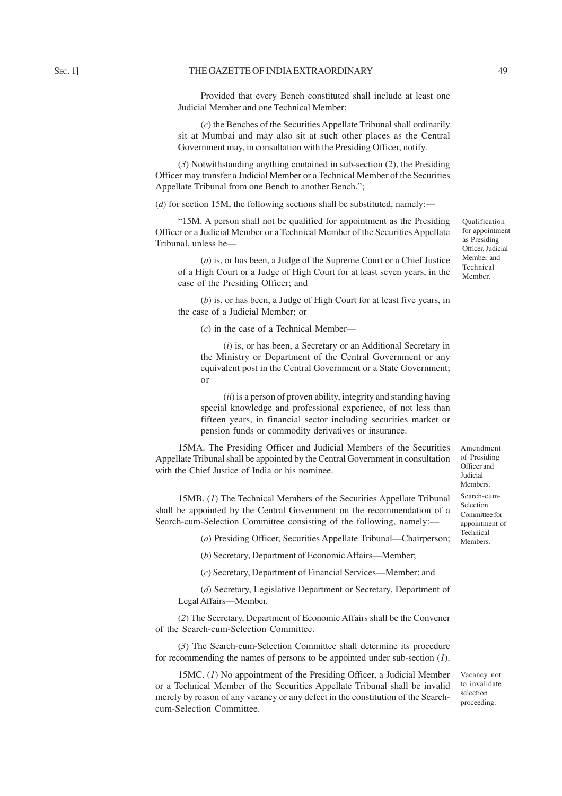Provided that every Bench constituted shall include at least one Judicial Member and one Technical Member;

(*c*) the Benches of the Securities Appellate Tribunal shall ordinarily sit at Mumbai and may also sit at such other places as the Central Government may, in consultation with the Presiding Officer, notify.

(*3*) Notwithstanding anything contained in sub-section (*2*), the Presiding Officer may transfer a Judicial Member or a Technical Member of the Securities Appellate Tribunal from one Bench to another Bench.";

 $(d)$  for section 15M, the following sections shall be substituted, namely:—

"15M. A person shall not be qualified for appointment as the Presiding Officer or a Judicial Member or a Technical Member of the Securities Appellate Tribunal, unless he—

(*a*) is, or has been, a Judge of the Supreme Court or a Chief Justice of a High Court or a Judge of High Court for at least seven years, in the case of the Presiding Officer; and

(*b*) is, or has been, a Judge of High Court for at least five years, in the case of a Judicial Member; or

(*c*) in the case of a Technical Member––

(*i*) is, or has been, a Secretary or an Additional Secretary in the Ministry or Department of the Central Government or any equivalent post in the Central Government or a State Government; or

(*ii*) is a person of proven ability, integrity and standing having special knowledge and professional experience, of not less than fifteen years, in financial sector including securities market or pension funds or commodity derivatives or insurance.

15MA. The Presiding Officer and Judicial Members of the Securities Appellate Tribunal shall be appointed by the Central Government in consultation with the Chief Justice of India or his nominee.

15MB. (*1*) The Technical Members of the Securities Appellate Tribunal shall be appointed by the Central Government on the recommendation of a Search-cum-Selection Committee consisting of the following, namely:––

(*a*) Presiding Officer, Securities Appellate Tribunal—Chairperson;

(*b*) Secretary, Department of Economic Affairs—Member;

(*c*) Secretary, Department of Financial Services—Member; and

(*d*) Secretary, Legislative Department or Secretary, Department of Legal Affairs—Member.

(*2*) The Secretary, Department of Economic Affairs shall be the Convener of the Search-cum-Selection Committee.

(*3*) The Search-cum-Selection Committee shall determine its procedure for recommending the names of persons to be appointed under sub-section (*1*).

15MC. (*1*) No appointment of the Presiding Officer, a Judicial Member or a Technical Member of the Securities Appellate Tribunal shall be invalid merely by reason of any vacancy or any defect in the constitution of the Searchcum-Selection Committee.

for appointment as Presiding Officer, Judicial Member and Technical Member.

Qualification

of Presiding Officer and Judicial Members. Search-cum-Selection Committee for appointment of Technical Members.

Amendment

Vacancy not to invalidate selection proceeding.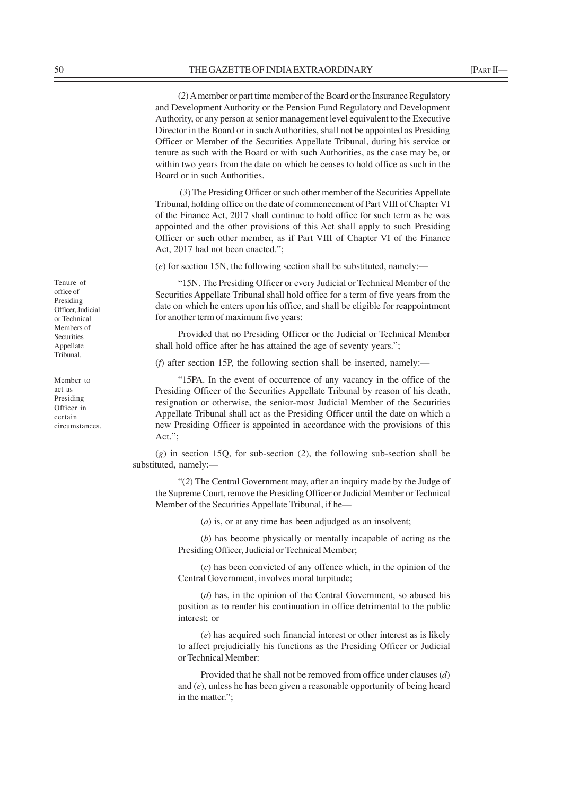(*2*) A member or part time member of the Board or the Insurance Regulatory and Development Authority or the Pension Fund Regulatory and Development Authority, or any person at senior management level equivalent to the Executive Director in the Board or in such Authorities, shall not be appointed as Presiding Officer or Member of the Securities Appellate Tribunal, during his service or tenure as such with the Board or with such Authorities, as the case may be, or within two years from the date on which he ceases to hold office as such in the Board or in such Authorities.

 (*3*) The Presiding Officer or such other member of the Securities Appellate Tribunal, holding office on the date of commencement of Part VIII of Chapter VI of the Finance Act, 2017 shall continue to hold office for such term as he was appointed and the other provisions of this Act shall apply to such Presiding Officer or such other member, as if Part VIII of Chapter VI of the Finance Act, 2017 had not been enacted.";

(*e*) for section 15N, the following section shall be substituted, namely:––

"15N. The Presiding Officer or every Judicial or Technical Member of the Securities Appellate Tribunal shall hold office for a term of five years from the date on which he enters upon his office, and shall be eligible for reappointment for another term of maximum five years:

Provided that no Presiding Officer or the Judicial or Technical Member shall hold office after he has attained the age of seventy years.";

(*f*) after section 15P, the following section shall be inserted, namely:—

"15PA. In the event of occurrence of any vacancy in the office of the Presiding Officer of the Securities Appellate Tribunal by reason of his death, resignation or otherwise, the senior-most Judicial Member of the Securities Appellate Tribunal shall act as the Presiding Officer until the date on which a new Presiding Officer is appointed in accordance with the provisions of this Act.";

(*g*) in section 15Q, for sub-section (*2*), the following sub-section shall be substituted, namely:—

"(*2*) The Central Government may, after an inquiry made by the Judge of the Supreme Court, remove the Presiding Officer or Judicial Member or Technical Member of the Securities Appellate Tribunal, if he—

(*a*) is, or at any time has been adjudged as an insolvent;

(*b*) has become physically or mentally incapable of acting as the Presiding Officer, Judicial or Technical Member;

(*c*) has been convicted of any offence which, in the opinion of the Central Government, involves moral turpitude;

(*d*) has, in the opinion of the Central Government, so abused his position as to render his continuation in office detrimental to the public interest; or

(*e*) has acquired such financial interest or other interest as is likely to affect prejudicially his functions as the Presiding Officer or Judicial or Technical Member:

Provided that he shall not be removed from office under clauses (*d*) and (*e*), unless he has been given a reasonable opportunity of being heard in the matter.";

Tenure of office of Presiding Officer, Judicial or Technical Members of **Securities** Appellate Tribunal.

Member to act as Presiding Officer in certain circumstances.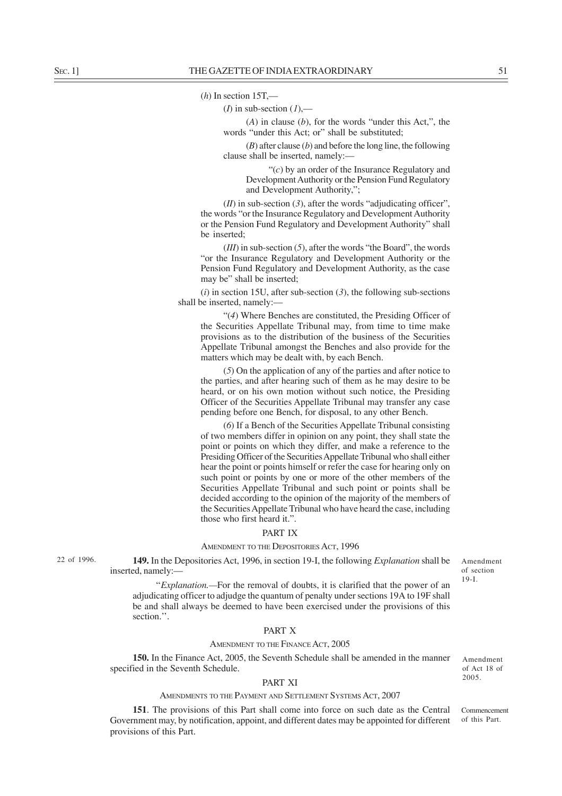### (*h*) In section 15T,—

(*I*) in sub-section  $(1)$ ,—

(*A*) in clause (*b*), for the words "under this Act,", the words "under this Act; or" shall be substituted;

(*B*) after clause (*b*) and before the long line, the following clause shall be inserted, namely:––

"(*c*) by an order of the Insurance Regulatory and Development Authority or the Pension Fund Regulatory and Development Authority,";

 $(II)$  in sub-section  $(3)$ , after the words "adjudicating officer". the words "or the Insurance Regulatory and Development Authority or the Pension Fund Regulatory and Development Authority" shall be inserted;

(*III*) in sub-section (*5*), after the words "the Board", the words "or the Insurance Regulatory and Development Authority or the Pension Fund Regulatory and Development Authority, as the case may be" shall be inserted;

(*i*) in section 15U, after sub-section (*3*), the following sub-sections shall be inserted, namely:––

"(*4*) Where Benches are constituted, the Presiding Officer of the Securities Appellate Tribunal may, from time to time make provisions as to the distribution of the business of the Securities Appellate Tribunal amongst the Benches and also provide for the matters which may be dealt with, by each Bench.

(*5*) On the application of any of the parties and after notice to the parties, and after hearing such of them as he may desire to be heard, or on his own motion without such notice, the Presiding Officer of the Securities Appellate Tribunal may transfer any case pending before one Bench, for disposal, to any other Bench.

(*6*) If a Bench of the Securities Appellate Tribunal consisting of two members differ in opinion on any point, they shall state the point or points on which they differ, and make a reference to the Presiding Officer of the Securities Appellate Tribunal who shall either hear the point or points himself or refer the case for hearing only on such point or points by one or more of the other members of the Securities Appellate Tribunal and such point or points shall be decided according to the opinion of the majority of the members of the Securities Appellate Tribunal who have heard the case, including those who first heard it.".

# PART IX

### AMENDMENT TO THE DEPOSITORIES ACT, 1996

22 of 1996.

**149.** In the Depositories Act, 1996, in section 19-I, the following *Explanation* shall be inserted, namely:—

Amendment of section 19-I.

''*Explanation.—*For the removal of doubts, it is clarified that the power of an adjudicating officer to adjudge the quantum of penalty under sections 19A to 19F shall be and shall always be deemed to have been exercised under the provisions of this section.''.

### PART X

#### AMENDMENT TO THE FINANCE ACT, 2005

**150.** In the Finance Act, 2005, the Seventh Schedule shall be amended in the manner specified in the Seventh Schedule.

### PART XI

### AMENDMENTS TO THE PAYMENT AND SETTLEMENT SYSTEMS ACT, 2007

**151**. The provisions of this Part shall come into force on such date as the Central Government may, by notification, appoint, and different dates may be appointed for different provisions of this Part.

Amendment of Act 18 of 2005.

Commencement of this Part.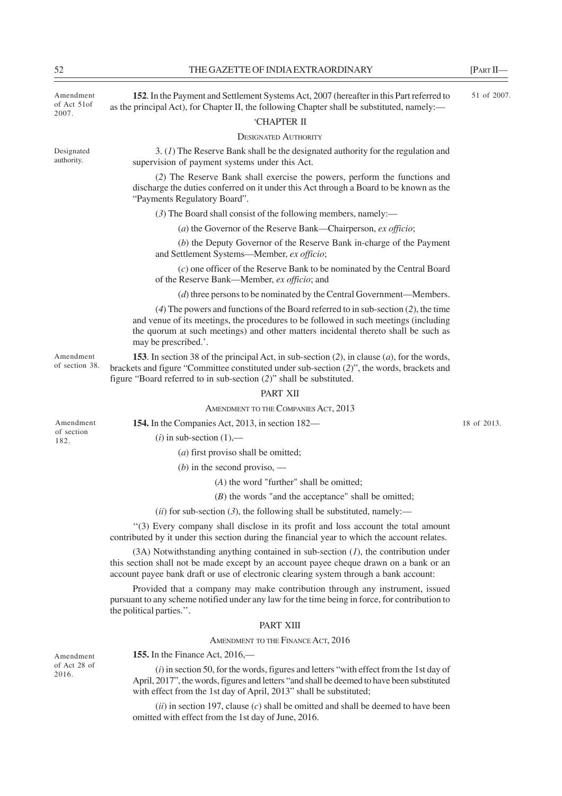of Act 51of 2007.

Designated authority.

Amendment **152**. In the Payment and Settlement Systems Act, 2007 (hereafter in this Part referred to 51 of 2007. as the principal Act), for Chapter II, the following Chapter shall be substituted, namely:—

# 'CHAPTER II

### DESIGNATED AUTHORITY

3. (*1*) The Reserve Bank shall be the designated authority for the regulation and supervision of payment systems under this Act.

(*2*) The Reserve Bank shall exercise the powers, perform the functions and discharge the duties conferred on it under this Act through a Board to be known as the "Payments Regulatory Board".

(*3*) The Board shall consist of the following members, namely:––

(*a*) the Governor of the Reserve Bank—Chairperson, *ex officio*;

(*b*) the Deputy Governor of the Reserve Bank in-charge of the Payment and Settlement Systems—Member, *ex officio*;

(*c*) one officer of the Reserve Bank to be nominated by the Central Board of the Reserve Bank—Member, *ex officio*; and

(*d*) three persons to be nominated by the Central Government—Members.

(*4*) The powers and functions of the Board referred to in sub-section (*2*), the time and venue of its meetings, the procedures to be followed in such meetings (including the quorum at such meetings) and other matters incidental thereto shall be such as may be prescribed.'.

**153**. In section 38 of the principal Act, in sub-section (*2*), in clause (*a*), for the words, brackets and figure "Committee constituted under sub-section (*2*)", the words, brackets and figure "Board referred to in sub-section (*2*)" shall be substituted. of section 38.

#### PART XII

#### AMENDMENT TO THE COMPANIES ACT, 2013

Amendment of section 182.

Amendment

 $(i)$  in sub-section  $(1)$ ,—

(*a*) first proviso shall be omitted;

(*b*) in the second proviso, —

**154.** In the Companies Act, 2013, in section 182—

(*A*) the word "further" shall be omitted;

(*B*) the words "and the acceptance" shall be omitted;

 $(iii)$  for sub-section  $(3)$ , the following shall be substituted, namely:—

''(3) Every company shall disclose in its profit and loss account the total amount contributed by it under this section during the financial year to which the account relates.

(3A) Notwithstanding anything contained in sub-section (*1*), the contribution under this section shall not be made except by an account payee cheque drawn on a bank or an account payee bank draft or use of electronic clearing system through a bank account:

Provided that a company may make contribution through any instrument, issued pursuant to any scheme notified under any law for the time being in force, for contribution to the political parties.''.

# PART XIII

### AMENDMENT TO THE FINANCE ACT, 2016

**155.** In the Finance Act, 2016,––

(*i*) in section 50, for the words, figures and letters "with effect from the 1st day of April, 2017", the words, figures and letters "and shall be deemed to have been substituted with effect from the 1st day of April, 2013" shall be substituted;

(*ii*) in section 197, clause (*c*) shall be omitted and shall be deemed to have been omitted with effect from the 1st day of June, 2016.

Amendment of Act 28 of 2016.

18 of 2013.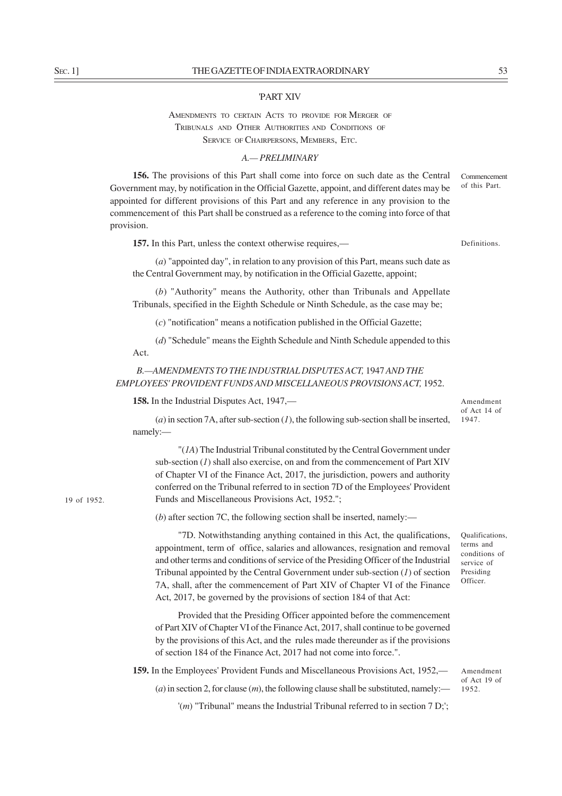#### 'PART XIV

# AMENDMENTS TO CERTAIN ACTS TO PROVIDE FOR MERGER OF TRIBUNALS AND OTHER AUTHORITIES AND CONDITIONS OF SERVICE OF CHAIRPERSONS, MEMBERS, ETC.

## *A.— PRELIMINARY*

**156.** The provisions of this Part shall come into force on such date as the Central Government may, by notification in the Official Gazette, appoint, and different dates may be appointed for different provisions of this Part and any reference in any provision to the commencement of this Part shall be construed as a reference to the coming into force of that provision. Commencement of this Part.

**157.** In this Part, unless the context otherwise requires,—

Definitions.

(*a*) "appointed day", in relation to any provision of this Part, means such date as the Central Government may, by notification in the Official Gazette, appoint;

(*b*) "Authority" means the Authority, other than Tribunals and Appellate Tribunals, specified in the Eighth Schedule or Ninth Schedule, as the case may be;

(*c*) "notification" means a notification published in the Official Gazette;

(*d*) "Schedule" means the Eighth Schedule and Ninth Schedule appended to this Act.

*B.—AMENDMENTS TO THE INDUSTRIAL DISPUTES ACT,* 1947 *AND THE EMPLOYEES' PROVIDENT FUNDS AND MISCELLANEOUS PROVISIONS ACT,* 1952.

**158.** In the Industrial Disputes Act, 1947,—

Amendment of Act 14 of 1947.

(*a*) in section 7A, after sub-section (*1*), the following sub-section shall be inserted, namely:—

"(*1A*) The Industrial Tribunal constituted by the Central Government under sub-section (*1*) shall also exercise, on and from the commencement of Part XIV of Chapter VI of the Finance Act, 2017, the jurisdiction, powers and authority conferred on the Tribunal referred to in section 7D of the Employees' Provident Funds and Miscellaneous Provisions Act, 1952.";

(*b*) after section 7C, the following section shall be inserted, namely:—

"7D. Notwithstanding anything contained in this Act, the qualifications, appointment, term of office, salaries and allowances, resignation and removal and other terms and conditions of service of the Presiding Officer of the Industrial Tribunal appointed by the Central Government under sub-section (*1*) of section 7A, shall, after the commencement of Part XIV of Chapter VI of the Finance Act, 2017, be governed by the provisions of section 184 of that Act:

Provided that the Presiding Officer appointed before the commencement of Part XIV of Chapter VI of the Finance Act, 2017, shall continue to be governed by the provisions of this Act, and the rules made thereunder as if the provisions of section 184 of the Finance Act, 2017 had not come into force.".

**159.** In the Employees' Provident Funds and Miscellaneous Provisions Act, 1952,—  $(a)$  in section 2, for clause  $(m)$ , the following clause shall be substituted, namely:—

'(*m*) "Tribunal" means the Industrial Tribunal referred to in section 7 D;';

19 of 1952.

Qualifications, terms and conditions of service of

Presiding Officer.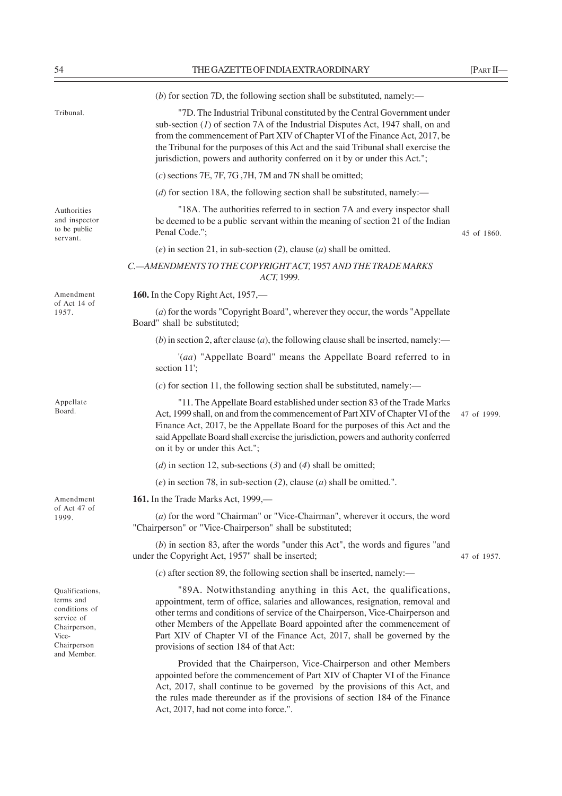|                                                                                                                    | (b) for section 7D, the following section shall be substituted, namely:—                                                                                                                                                                                                                                                                                                                                                               |             |
|--------------------------------------------------------------------------------------------------------------------|----------------------------------------------------------------------------------------------------------------------------------------------------------------------------------------------------------------------------------------------------------------------------------------------------------------------------------------------------------------------------------------------------------------------------------------|-------------|
| Tribunal.                                                                                                          | "7D. The Industrial Tribunal constituted by the Central Government under<br>sub-section $(I)$ of section 7A of the Industrial Disputes Act, 1947 shall, on and<br>from the commencement of Part XIV of Chapter VI of the Finance Act, 2017, be<br>the Tribunal for the purposes of this Act and the said Tribunal shall exercise the<br>jurisdiction, powers and authority conferred on it by or under this Act.";                     |             |
|                                                                                                                    | $(c)$ sections 7E, 7F, 7G, 7H, 7M and 7N shall be omitted;                                                                                                                                                                                                                                                                                                                                                                             |             |
|                                                                                                                    | (d) for section 18A, the following section shall be substituted, namely:—                                                                                                                                                                                                                                                                                                                                                              |             |
| Authorities<br>and inspector<br>to be public<br>servant.                                                           | "18A. The authorities referred to in section 7A and every inspector shall<br>be deemed to be a public servant within the meaning of section 21 of the Indian<br>Penal Code.";                                                                                                                                                                                                                                                          | 45 of 1860. |
|                                                                                                                    | (e) in section 21, in sub-section (2), clause (a) shall be omitted.                                                                                                                                                                                                                                                                                                                                                                    |             |
|                                                                                                                    | C. - AMENDMENTS TO THE COPYRIGHT ACT, 1957 AND THE TRADE MARKS<br>ACT, 1999.                                                                                                                                                                                                                                                                                                                                                           |             |
| Amendment                                                                                                          | <b>160.</b> In the Copy Right Act, 1957,—                                                                                                                                                                                                                                                                                                                                                                                              |             |
| of Act 14 of<br>1957.                                                                                              | (a) for the words "Copyright Board", wherever they occur, the words "Appellate<br>Board" shall be substituted;                                                                                                                                                                                                                                                                                                                         |             |
|                                                                                                                    | (b) in section 2, after clause (a), the following clause shall be inserted, namely: $-$                                                                                                                                                                                                                                                                                                                                                |             |
|                                                                                                                    | '(aa) "Appellate Board" means the Appellate Board referred to in<br>section 11';                                                                                                                                                                                                                                                                                                                                                       |             |
|                                                                                                                    | $(c)$ for section 11, the following section shall be substituted, namely:—                                                                                                                                                                                                                                                                                                                                                             |             |
| Appellate<br>Board.                                                                                                | "11. The Appellate Board established under section 83 of the Trade Marks<br>Act, 1999 shall, on and from the commencement of Part XIV of Chapter VI of the<br>Finance Act, 2017, be the Appellate Board for the purposes of this Act and the<br>said Appellate Board shall exercise the jurisdiction, powers and authority conferred<br>on it by or under this Act.";                                                                  | 47 of 1999. |
|                                                                                                                    | (d) in section 12, sub-sections (3) and (4) shall be omitted;                                                                                                                                                                                                                                                                                                                                                                          |             |
|                                                                                                                    | (e) in section 78, in sub-section (2), clause (a) shall be omitted.".                                                                                                                                                                                                                                                                                                                                                                  |             |
| Amendment                                                                                                          | 161. In the Trade Marks Act, 1999,—                                                                                                                                                                                                                                                                                                                                                                                                    |             |
| of Act 47 of<br>1999.                                                                                              | (a) for the word "Chairman" or "Vice-Chairman", wherever it occurs, the word<br>"Chairperson" or "Vice-Chairperson" shall be substituted;                                                                                                                                                                                                                                                                                              |             |
|                                                                                                                    | $(b)$ in section 83, after the words "under this Act", the words and figures "and<br>under the Copyright Act, 1957" shall be inserted;                                                                                                                                                                                                                                                                                                 | 47 of 1957. |
|                                                                                                                    | $(c)$ after section 89, the following section shall be inserted, namely:—                                                                                                                                                                                                                                                                                                                                                              |             |
| Qualifications,<br>terms and<br>conditions of<br>service of<br>Chairperson,<br>Vice-<br>Chairperson<br>and Member. | "89A. Notwithstanding anything in this Act, the qualifications,<br>appointment, term of office, salaries and allowances, resignation, removal and<br>other terms and conditions of service of the Chairperson, Vice-Chairperson and<br>other Members of the Appellate Board appointed after the commencement of<br>Part XIV of Chapter VI of the Finance Act, 2017, shall be governed by the<br>provisions of section 184 of that Act: |             |
|                                                                                                                    | Provided that the Chairperson, Vice-Chairperson and other Members<br>appointed before the commencement of Part XIV of Chapter VI of the Finance<br>Act, 2017, shall continue to be governed by the provisions of this Act, and<br>the rules made thereunder as if the provisions of section 184 of the Finance                                                                                                                         |             |

Act, 2017, had not come into force.".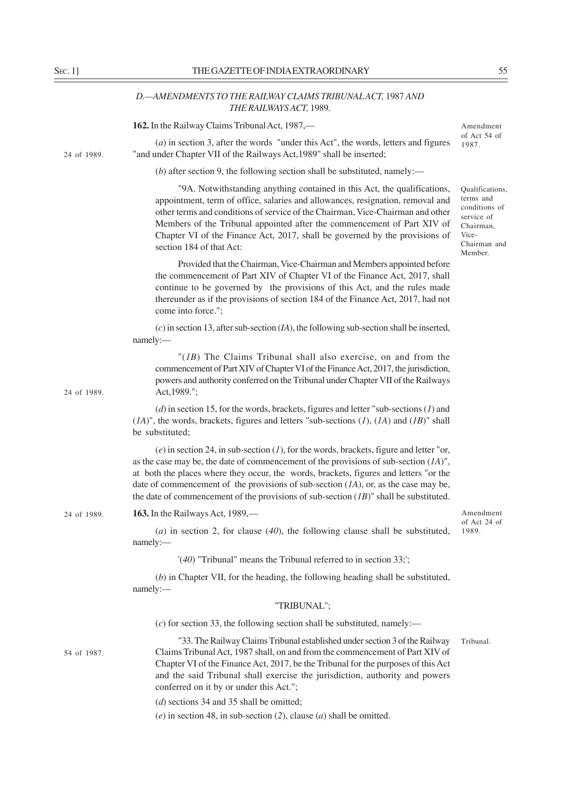# *D.—AMENDMENTS TO THE RAILWAY CLAIMS TRIBUNAL ACT,* 1987 *AND THE RAILWAYS ACT,* 1989.

|             | 162. In the Railway Claims Tribunal Act, 1987,—                                                                                                                                                                                                                                                                                                                                                                                                                    | Amendment                                                                                                    |
|-------------|--------------------------------------------------------------------------------------------------------------------------------------------------------------------------------------------------------------------------------------------------------------------------------------------------------------------------------------------------------------------------------------------------------------------------------------------------------------------|--------------------------------------------------------------------------------------------------------------|
| 24 of 1989. | $(a)$ in section 3, after the words "under this Act", the words, letters and figures<br>"and under Chapter VII of the Railways Act, 1989" shall be inserted;                                                                                                                                                                                                                                                                                                       | of Act 54 of<br>1987.                                                                                        |
|             | (b) after section 9, the following section shall be substituted, namely:—                                                                                                                                                                                                                                                                                                                                                                                          |                                                                                                              |
|             | "9A. Notwithstanding anything contained in this Act, the qualifications,<br>appointment, term of office, salaries and allowances, resignation, removal and<br>other terms and conditions of service of the Chairman, Vice-Chairman and other<br>Members of the Tribunal appointed after the commencement of Part XIV of<br>Chapter VI of the Finance Act, 2017, shall be governed by the provisions of<br>section 184 of that Act:                                 | Qualifications,<br>terms and<br>conditions of<br>service of<br>Chairman,<br>Vice-<br>Chairman and<br>Member. |
|             | Provided that the Chairman, Vice-Chairman and Members appointed before<br>the commencement of Part XIV of Chapter VI of the Finance Act, 2017, shall<br>continue to be governed by the provisions of this Act, and the rules made<br>thereunder as if the provisions of section 184 of the Finance Act, 2017, had not<br>come into force.";                                                                                                                        |                                                                                                              |
|             | $(c)$ in section 13, after sub-section $(IA)$ , the following sub-section shall be inserted,<br>namely:-                                                                                                                                                                                                                                                                                                                                                           |                                                                                                              |
| 24 of 1989. | "( $IB$ ) The Claims Tribunal shall also exercise, on and from the<br>commencement of Part XIV of Chapter VI of the Finance Act, 2017, the jurisdiction,<br>powers and authority conferred on the Tribunal under Chapter VII of the Railways<br>Act, 1989.";                                                                                                                                                                                                       |                                                                                                              |
|             | $(d)$ in section 15, for the words, brackets, figures and letter "sub-sections (1) and<br>$(IA)$ ", the words, brackets, figures and letters "sub-sections $(1)$ , $(IA)$ and $(IB)$ " shall<br>be substituted;                                                                                                                                                                                                                                                    |                                                                                                              |
|             | (e) in section 24, in sub-section $(I)$ , for the words, brackets, figure and letter "or,<br>as the case may be, the date of commencement of the provisions of sub-section $(A)$ ",<br>at both the places where they occur, the words, brackets, figures and letters "or the<br>date of commencement of the provisions of sub-section $(1A)$ , or, as the case may be,<br>the date of commencement of the provisions of sub-section $(IB)$ " shall be substituted. |                                                                                                              |
| 24 of 1989. | 163. In the Railways Act, 1989,—                                                                                                                                                                                                                                                                                                                                                                                                                                   | Amendment                                                                                                    |
|             | (a) in section 2, for clause $(40)$ , the following clause shall be substituted,<br>namely:-                                                                                                                                                                                                                                                                                                                                                                       | of Act 24 of<br>1989.                                                                                        |
|             | $'(40)$ "Tribunal" means the Tribunal referred to in section 33;';                                                                                                                                                                                                                                                                                                                                                                                                 |                                                                                                              |
|             | $(b)$ in Chapter VII, for the heading, the following heading shall be substituted,<br>namely:                                                                                                                                                                                                                                                                                                                                                                      |                                                                                                              |
|             | "TRIBUNAL";                                                                                                                                                                                                                                                                                                                                                                                                                                                        |                                                                                                              |
|             | $(c)$ for section 33, the following section shall be substituted, namely:—                                                                                                                                                                                                                                                                                                                                                                                         |                                                                                                              |
| 54 of 1987. | "33. The Railway Claims Tribunal established under section 3 of the Railway<br>Claims Tribunal Act, 1987 shall, on and from the commencement of Part XIV of<br>Chapter VI of the Finance Act, 2017, be the Tribunal for the purposes of this Act<br>and the said Tribunal shall exercise the jurisdiction, authority and powers<br>conferred on it by or under this Act.";                                                                                         | Tribunal.                                                                                                    |
|             | $(d)$ sections 34 and 35 shall be omitted;                                                                                                                                                                                                                                                                                                                                                                                                                         |                                                                                                              |
|             | $(e)$ in section 48, in sub-section (2), clause (a) shall be omitted.                                                                                                                                                                                                                                                                                                                                                                                              |                                                                                                              |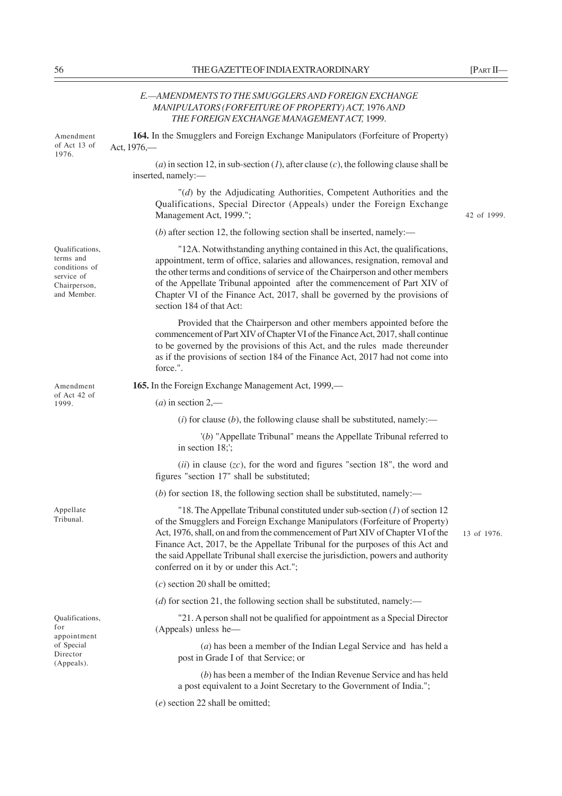*E.—AMENDMENTS TO THE SMUGGLERS AND FOREIGN EXCHANGE MANIPULATORS (FORFEITURE OF PROPERTY) ACT,* 1976 *AND THE FOREIGN EXCHANGE MANAGEMENT ACT,* 1999. **164.** In the Smugglers and Foreign Exchange Manipulators (Forfeiture of Property) Act, 1976,— (*a*) in section 12, in sub-section (*l*), after clause (*c*), the following clause shall be inserted, namely:— "(*d*) by the Adjudicating Authorities, Competent Authorities and the Qualifications, Special Director (Appeals) under the Foreign Exchange Management Act, 1999."; (*b*) after section 12, the following section shall be inserted, namely:— "12A. Notwithstanding anything contained in this Act, the qualifications, appointment, term of office, salaries and allowances, resignation, removal and the other terms and conditions of service of the Chairperson and other members of the Appellate Tribunal appointed after the commencement of Part XIV of Chapter VI of the Finance Act, 2017, shall be governed by the provisions of section 184 of that Act: Provided that the Chairperson and other members appointed before the commencement of Part XIV of Chapter VI of the Finance Act, 2017, shall continue to be governed by the provisions of this Act, and the rules made thereunder as if the provisions of section 184 of the Finance Act, 2017 had not come into force.". **165.** In the Foreign Exchange Management Act, 1999,— (*a*) in section 2,—  $(i)$  for clause  $(b)$ , the following clause shall be substituted, namely:— '(*b*) "Appellate Tribunal" means the Appellate Tribunal referred to in section 18;'; (*ii*) in clause (*zc*), for the word and figures "section 18", the word and figures "section 17" shall be substituted; (*b*) for section 18, the following section shall be substituted, namely:— "18. The Appellate Tribunal constituted under sub-section (*1*) of section 12 of the Smugglers and Foreign Exchange Manipulators (Forfeiture of Property) Act, 1976, shall, on and from the commencement of Part XIV of Chapter VI of the Finance Act, 2017, be the Appellate Tribunal for the purposes of this Act and the said Appellate Tribunal shall exercise the jurisdiction, powers and authority conferred on it by or under this Act."; (*c*) section 20 shall be omitted; (*d*) for section 21, the following section shall be substituted, namely:— "21. A person shall not be qualified for appointment as a Special Director (Appeals) unless he— (*a*) has been a member of the Indian Legal Service and has held a post in Grade I of that Service; or (*b*) has been a member of the Indian Revenue Service and has held a post equivalent to a Joint Secretary to the Government of India."; (*e*) section 22 shall be omitted; Amendment of Act 13 of 1976. Qualifications, terms and conditions of service of Chairperson, and Member. Amendment Appellate Qualifications, 13 of 1976.

42 of 1999.

of Act 42 of 1999.

Tribunal.

for appointment of Special Director (Appeals).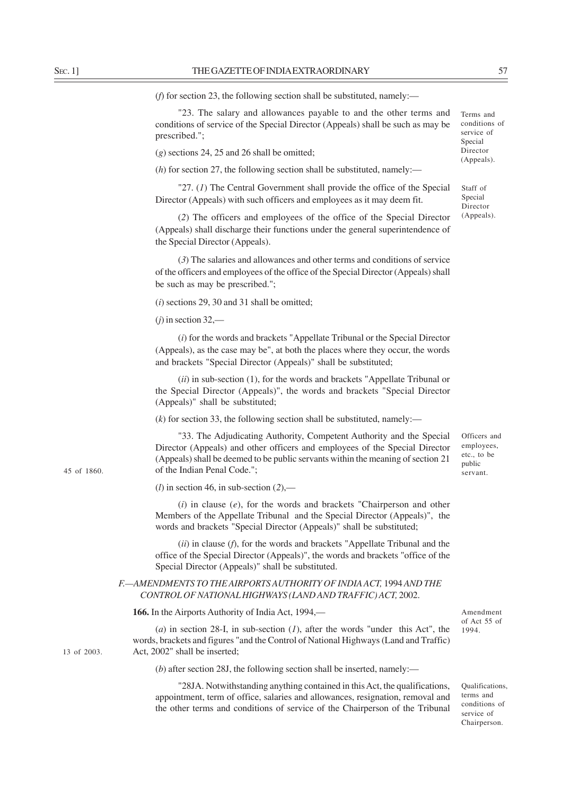45 of 1860.

13 of 2003.

(*f*) for section 23, the following section shall be substituted, namely:—

"23. The salary and allowances payable to and the other terms and conditions of service of the Special Director (Appeals) shall be such as may be prescribed.";

(*g*) sections 24, 25 and 26 shall be omitted;

(*h*) for section 27, the following section shall be substituted, namely:—

"27. (*1*) The Central Government shall provide the office of the Special Director (Appeals) with such officers and employees as it may deem fit.

(*2*) The officers and employees of the office of the Special Director (Appeals) shall discharge their functions under the general superintendence of the Special Director (Appeals).

(*3*) The salaries and allowances and other terms and conditions of service of the officers and employees of the office of the Special Director (Appeals) shall be such as may be prescribed.";

(*i*) sections 29, 30 and 31 shall be omitted;

(*j*) in section 32,—

(*i*) for the words and brackets "Appellate Tribunal or the Special Director (Appeals), as the case may be", at both the places where they occur, the words and brackets "Special Director (Appeals)" shall be substituted;

(*ii*) in sub-section (1), for the words and brackets "Appellate Tribunal or the Special Director (Appeals)", the words and brackets "Special Director (Appeals)" shall be substituted;

 $(k)$  for section 33, the following section shall be substituted, namely:—

"33. The Adjudicating Authority, Competent Authority and the Special Director (Appeals) and other officers and employees of the Special Director (Appeals) shall be deemed to be public servants within the meaning of section 21 of the Indian Penal Code.";

(*l*) in section 46, in sub-section (*2*),—

(*i*) in clause (*e*), for the words and brackets "Chairperson and other Members of the Appellate Tribunal and the Special Director (Appeals)", the words and brackets "Special Director (Appeals)" shall be substituted;

(*ii*) in clause (*f*), for the words and brackets "Appellate Tribunal and the office of the Special Director (Appeals)", the words and brackets "office of the Special Director (Appeals)" shall be substituted.

# *F.—AMENDMENTS TO THE AIRPORTS AUTHORITY OF INDIA ACT,* 1994 *AND THE CONTROL OF NATIONAL HIGHWAYS (LAND AND TRAFFIC) ACT,* 2002.

**166.** In the Airports Authority of India Act, 1994,—

(*a*) in section 28-I, in sub-section (*1*), after the words "under this Act", the words, brackets and figures "and the Control of National Highways (Land and Traffic) Act, 2002" shall be inserted;

(*b*) after section 28J, the following section shall be inserted, namely:—

"28JA. Notwithstanding anything contained in this Act, the qualifications, appointment, term of office, salaries and allowances, resignation, removal and the other terms and conditions of service of the Chairperson of the Tribunal

Amendment of Act 55 of 1994.

conditions of service of Special Director (Appeals).

Terms and

Staff of Special Director (Appeals).

Officers and employees, etc., to be public servant.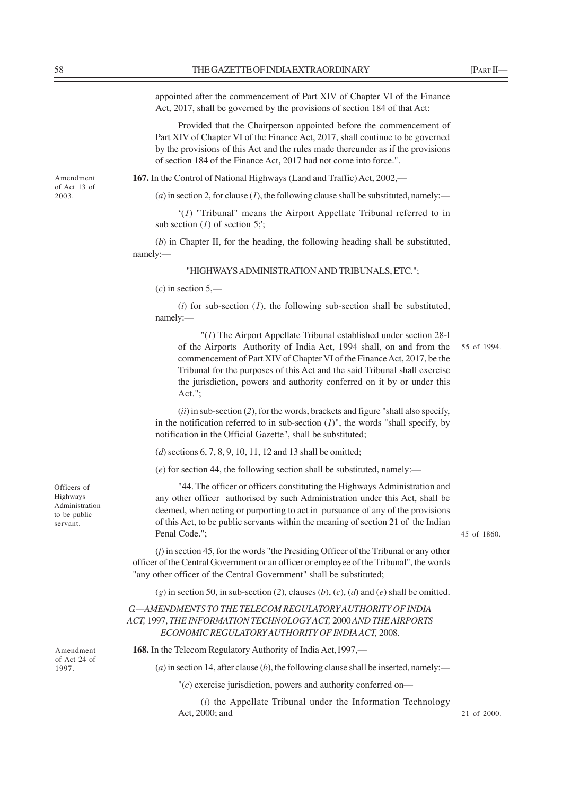Amendment of Act 13 of 2003.

appointed after the commencement of Part XIV of Chapter VI of the Finance Act, 2017, shall be governed by the provisions of section 184 of that Act:

Provided that the Chairperson appointed before the commencement of Part XIV of Chapter VI of the Finance Act, 2017, shall continue to be governed by the provisions of this Act and the rules made thereunder as if the provisions of section 184 of the Finance Act, 2017 had not come into force.".

**167.** In the Control of National Highways (Land and Traffic) Act, 2002,—

 $(a)$  in section 2, for clause  $(I)$ , the following clause shall be substituted, namely:—

'(*1*) "Tribunal" means the Airport Appellate Tribunal referred to in sub section (*1*) of section 5;';

(*b*) in Chapter II, for the heading, the following heading shall be substituted, namely:—

#### "HIGHWAYS ADMINISTRATION AND TRIBUNALS, ETC.";

 $(c)$  in section 5.—

(*i*) for sub-section (*1*), the following sub-section shall be substituted, namely:—

"(*1*) The Airport Appellate Tribunal established under section 28-I of the Airports Authority of India Act, 1994 shall, on and from the 55 of 1994.commencement of Part XIV of Chapter VI of the Finance Act, 2017, be the Tribunal for the purposes of this Act and the said Tribunal shall exercise the jurisdiction, powers and authority conferred on it by or under this Act.";

(*ii*) in sub-section (*2*), for the words, brackets and figure "shall also specify, in the notification referred to in sub-section  $(I)$ ", the words "shall specify, by notification in the Official Gazette", shall be substituted;

(*d*) sections 6, 7, 8, 9, 10, 11, 12 and 13 shall be omitted;

(*e*) for section 44, the following section shall be substituted, namely:—

"44. The officer or officers constituting the Highways Administration and any other officer authorised by such Administration under this Act, shall be deemed, when acting or purporting to act in pursuance of any of the provisions of this Act, to be public servants within the meaning of section 21 of the Indian Penal Code.";

45 of 1860.

(*f*) in section 45, for the words "the Presiding Officer of the Tribunal or any other officer of the Central Government or an officer or employee of the Tribunal", the words "any other officer of the Central Government" shall be substituted;

 $(g)$  in section 50, in sub-section (2), clauses (*b*), (*c*), (*d*) and (*e*) shall be omitted.

# *G.—AMENDMENTS TO THE TELECOM REGULATORY AUTHORITY OF INDIA ACT,* 1997, *THE INFORMATION TECHNOLOGY ACT,* 2000 *AND THE AIRPORTS ECONOMIC REGULATORY AUTHORITY OF INDIA ACT,* 2008.

**168.** In the Telecom Regulatory Authority of India Act,1997,—

 $(a)$  in section 14, after clause  $(b)$ , the following clause shall be inserted, namely:—

"(*c*) exercise jurisdiction, powers and authority conferred on—

(*i*) the Appellate Tribunal under the Information Technology Act, 2000; and

Officers of Highways Administration to be public servant.

Amendment of Act 24 of 1997.

21 of 2000.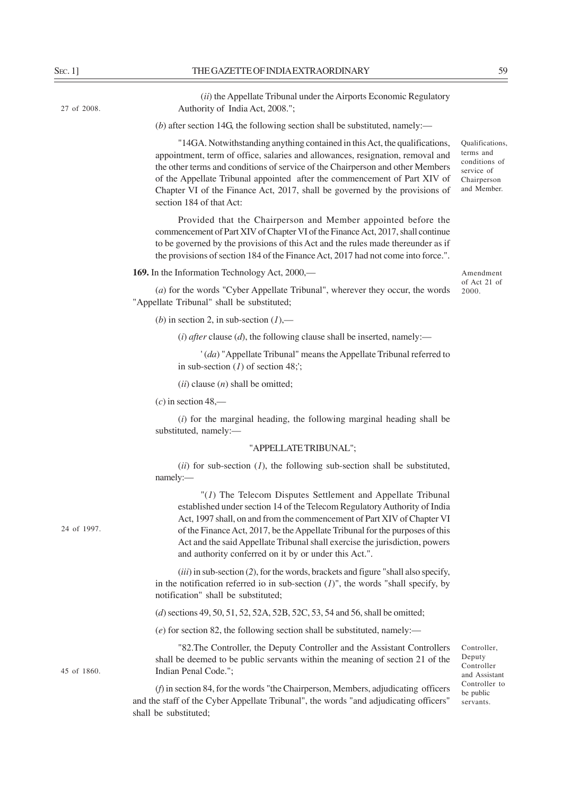27 of 2008.

(*ii*) the Appellate Tribunal under the Airports Economic Regulatory Authority of India Act, 2008.";

(*b*) after section 14G, the following section shall be substituted, namely:—

"14GA. Notwithstanding anything contained in this Act, the qualifications, appointment, term of office, salaries and allowances, resignation, removal and the other terms and conditions of service of the Chairperson and other Members of the Appellate Tribunal appointed after the commencement of Part XIV of Chapter VI of the Finance Act, 2017, shall be governed by the provisions of section 184 of that Act:

Provided that the Chairperson and Member appointed before the commencement of Part XIV of Chapter VI of the Finance Act, 2017, shall continue to be governed by the provisions of this Act and the rules made thereunder as if the provisions of section 184 of the Finance Act, 2017 had not come into force.".

**169.** In the Information Technology Act, 2000,—

Amendment of Act 21 of 2000.

Qualifications, terms and conditions of service of Chairperson and Member.

(*a*) for the words "Cyber Appellate Tribunal", wherever they occur, the words "Appellate Tribunal" shall be substituted;

(*b*) in section 2, in sub-section  $(l)$ ,—

 $(i)$  *after* clause  $(d)$ , the following clause shall be inserted, namely:—

' (*da*) "Appellate Tribunal" means the Appellate Tribunal referred to in sub-section (*1*) of section 48;';

(*ii*) clause (*n*) shall be omitted;

 $(c)$  in section 48,—

shall be substituted;

(*i*) for the marginal heading, the following marginal heading shall be substituted, namely:—

### "APPELLATE TRIBUNAL";

(*ii*) for sub-section (*1*), the following sub-section shall be substituted, namely:—

"(*1*) The Telecom Disputes Settlement and Appellate Tribunal established under section 14 of the Telecom Regulatory Authority of India Act, 1997 shall, on and from the commencement of Part XIV of Chapter VI of the Finance Act, 2017, be the Appellate Tribunal for the purposes of this Act and the said Appellate Tribunal shall exercise the jurisdiction, powers and authority conferred on it by or under this Act.".

(*iii*) in sub-section (*2*), for the words, brackets and figure "shall also specify, in the notification referred io in sub-section  $(I)$ ", the words "shall specify, by notification" shall be substituted;

(*d*) sections 49, 50, 51, 52, 52A, 52B, 52C, 53, 54 and 56, shall be omitted;

(*e*) for section 82, the following section shall be substituted, namely:—

"82.The Controller, the Deputy Controller and the Assistant Controllers shall be deemed to be public servants within the meaning of section 21 of the Indian Penal Code.";

(*f*) in section 84, for the words "the Chairperson, Members, adjudicating officers and the staff of the Cyber Appellate Tribunal", the words "and adjudicating officers"

Controller, Deputy Controller and Assistant Controller to be public servants.

24 of 1997.

45 of 1860.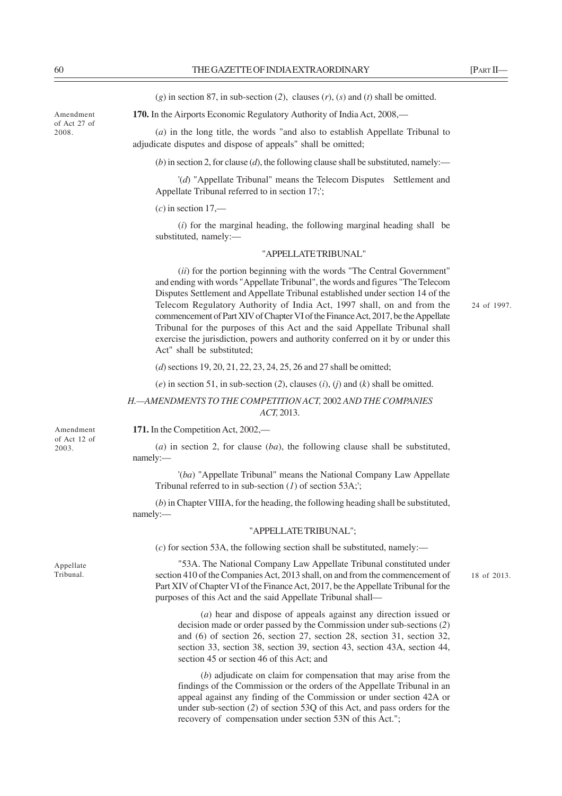(*g*) in section 87, in sub-section (*2*), clauses (*r*), (*s*) and (*t*) shall be omitted.

**170.** In the Airports Economic Regulatory Authority of India Act, 2008,—

(*a*) in the long title, the words "and also to establish Appellate Tribunal to adjudicate disputes and dispose of appeals" shall be omitted;

 $(b)$  in section 2, for clause (*d*), the following clause shall be substituted, namely:—

'(*d*) "Appellate Tribunal" means the Telecom Disputes Settlement and Appellate Tribunal referred to in section 17;';

### $(c)$  in section  $17$ —

(*i*) for the marginal heading, the following marginal heading shall be substituted, namely:—

# "APPELLATE TRIBUNAL"

(*ii*) for the portion beginning with the words "The Central Government" and ending with words "Appellate Tribunal", the words and figures "The Telecom Disputes Settlement and Appellate Tribunal established under section 14 of the Telecom Regulatory Authority of India Act, 1997 shall, on and from the commencement of Part XIV of Chapter VI of the Finance Act, 2017, be the Appellate Tribunal for the purposes of this Act and the said Appellate Tribunal shall exercise the jurisdiction, powers and authority conferred on it by or under this Act" shall be substituted;

(*d*) sections 19, 20, 21, 22, 23, 24, 25, 26 and 27 shall be omitted;

(*e*) in section 51, in sub-section (*2*), clauses (*i*), (*j*) and (*k*) shall be omitted.

*H.—AMENDMENTS TO THE COMPETITION ACT,* 2002 *AND THE COMPANIES ACT,* 2013.

**171.** In the Competition Act, 2002,—

(*a*) in section 2, for clause (*ba*), the following clause shall be substituted, namely:—

'(*ba*) "Appellate Tribunal" means the National Company Law Appellate Tribunal referred to in sub-section (*1*) of section 53A;';

(*b*) in Chapter VIIIA, for the heading, the following heading shall be substituted, namely:—

### "APPELLATE TRIBUNAL";

(*c*) for section 53A, the following section shall be substituted, namely:—

"53A. The National Company Law Appellate Tribunal constituted under section 410 of the Companies Act, 2013 shall, on and from the commencement of Part XIV of Chapter VI of the Finance Act, 2017, be the Appellate Tribunal for the purposes of this Act and the said Appellate Tribunal shall—

(*a*) hear and dispose of appeals against any direction issued or decision made or order passed by the Commission under sub-sections (*2*) and (6) of section 26, section 27, section 28, section 31, section 32, section 33, section 38, section 39, section 43, section 43A, section 44, section 45 or section 46 of this Act; and

(*b*) adjudicate on claim for compensation that may arise from the findings of the Commission or the orders of the Appellate Tribunal in an appeal against any finding of the Commission or under section 42A or under sub-section (*2*) of section 53Q of this Act, and pass orders for the recovery of compensation under section 53N of this Act.";

Amendment of Act 12 of 2003.

Appellate Tribunal.

Amendment of Act 27 of 2008.

24 of 1997.

18 of 2013.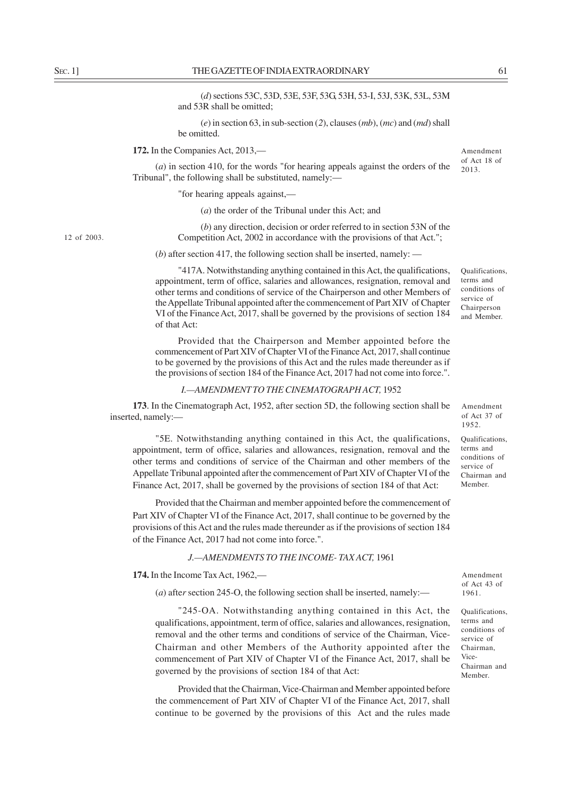(*d*) sections 53C, 53D, 53E, 53F, 53G, 53H, 53-I, 53J, 53K, 53L, 53M and 53R shall be omitted;

(*e*) in section 63, in sub-section (*2*), clauses (*mb*), (*mc*) and (*md*) shall be omitted.

**172.** In the Companies Act, 2013,—

(*a*) in section 410, for the words "for hearing appeals against the orders of the Tribunal", the following shall be substituted, namely:—

"for hearing appeals against,—

(*a*) the order of the Tribunal under this Act; and

(*b*) any direction, decision or order referred to in section 53N of the Competition Act, 2002 in accordance with the provisions of that Act.";

(*b*) after section 417, the following section shall be inserted, namely: —

"417A. Notwithstanding anything contained in this Act, the qualifications, appointment, term of office, salaries and allowances, resignation, removal and other terms and conditions of service of the Chairperson and other Members of the Appellate Tribunal appointed after the commencement of Part XIV of Chapter VI of the Finance Act, 2017, shall be governed by the provisions of section 184 of that Act:

Provided that the Chairperson and Member appointed before the commencement of Part XIV of Chapter VI of the Finance Act, 2017, shall continue to be governed by the provisions of this Act and the rules made thereunder as if the provisions of section 184 of the Finance Act, 2017 had not come into force.".

### *I.—AMENDMENT TO THE CINEMATOGRAPH ACT,* 1952

**173**. In the Cinematograph Act, 1952, after section 5D, the following section shall be inserted, namely:—

"5E. Notwithstanding anything contained in this Act, the qualifications, appointment, term of office, salaries and allowances, resignation, removal and the other terms and conditions of service of the Chairman and other members of the Appellate Tribunal appointed after the commencement of Part XIV of Chapter VI of the Finance Act, 2017, shall be governed by the provisions of section 184 of that Act:

Provided that the Chairman and member appointed before the commencement of Part XIV of Chapter VI of the Finance Act, 2017, shall continue to be governed by the provisions of this Act and the rules made thereunder as if the provisions of section 184 of the Finance Act, 2017 had not come into force.".

### *J.—AMENDMENTS TO THE INCOME- TAX ACT,* 1961

**174.** In the Income Tax Act, 1962,—

(*a*) afte*r* section 245-O, the following section shall be inserted, namely:—

"245-OA. Notwithstanding anything contained in this Act, the qualifications, appointment, term of office, salaries and allowances, resignation, removal and the other terms and conditions of service of the Chairman, Vice-Chairman and other Members of the Authority appointed after the commencement of Part XIV of Chapter VI of the Finance Act, 2017, shall be governed by the provisions of section 184 of that Act:

Provided that the Chairman, Vice-Chairman and Member appointed before the commencement of Part XIV of Chapter VI of the Finance Act, 2017, shall continue to be governed by the provisions of this Act and the rules made

Amendment of Act 43 of 1961.

Qualifications, terms and conditions of service of Chairman, Vice-Chairman and Member.

12 of 2003.

Qualifications, terms and conditions of service of Chairperson and Member.

Amendment of Act 18 of 2013.

Amendment of Act 37 of 1952.

Qualifications, terms and conditions of service of Chairman and Member.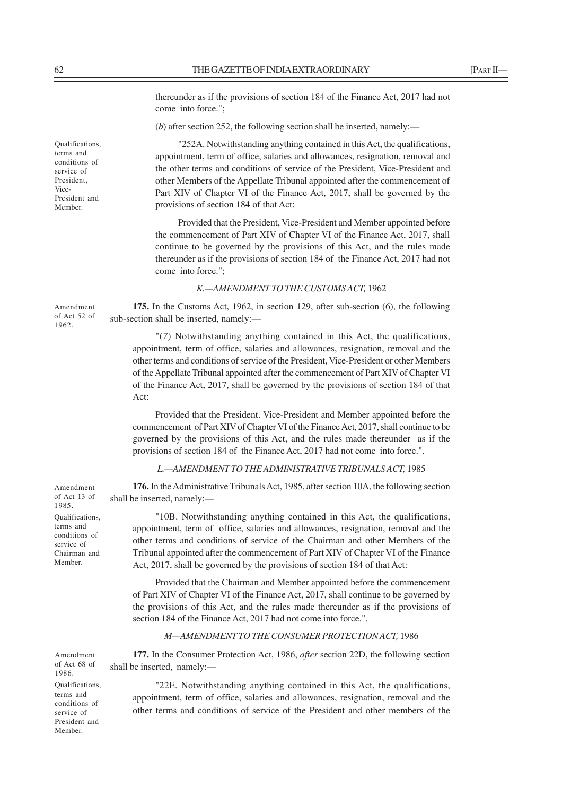thereunder as if the provisions of section 184 of the Finance Act, 2017 had not come into force.";

(*b*) after section 252, the following section shall be inserted, namely:—

"252A. Notwithstanding anything contained in this Act, the qualifications, appointment, term of office, salaries and allowances, resignation, removal and the other terms and conditions of service of the President, Vice-President and other Members of the Appellate Tribunal appointed after the commencement of Part XIV of Chapter VI of the Finance Act, 2017, shall be governed by the provisions of section 184 of that Act:

Provided that the President, Vice-President and Member appointed before the commencement of Part XIV of Chapter VI of the Finance Act, 2017, shall continue to be governed by the provisions of this Act, and the rules made thereunder as if the provisions of section 184 of the Finance Act, 2017 had not come into force.";

### *K.—AMENDMENT TO THE CUSTOMS ACT,* 1962

**175.** In the Customs Act, 1962, in section 129, after sub-section (6), the following sub-section shall be inserted, namely:—

"(*7*) Notwithstanding anything contained in this Act, the qualifications, appointment, term of office, salaries and allowances, resignation, removal and the other terms and conditions of service of the President, Vice-President or other Members of the Appellate Tribunal appointed after the commencement of Part XIV of Chapter VI of the Finance Act, 2017, shall be governed by the provisions of section 184 of that Act:

Provided that the President. Vice-President and Member appointed before the commencement of Part XIV of Chapter VI of the Finance Act, 2017, shall continue to be governed by the provisions of this Act, and the rules made thereunder as if the provisions of section 184 of the Finance Act, 2017 had not come into force.".

# *L.—AMENDMENT TO THE ADMINISTRATIVE TRIBUNALS ACT,* 1985

**176.** In the Administrative Tribunals Act, 1985, after section 10A, the following section shall be inserted, namely:—

"10B. Notwithstanding anything contained in this Act, the qualifications, appointment, term of office, salaries and allowances, resignation, removal and the other terms and conditions of service of the Chairman and other Members of the Tribunal appointed after the commencement of Part XIV of Chapter VI of the Finance Act, 2017, shall be governed by the provisions of section 184 of that Act:

Provided that the Chairman and Member appointed before the commencement of Part XIV of Chapter VI of the Finance Act, 2017, shall continue to be governed by the provisions of this Act, and the rules made thereunder as if the provisions of section 184 of the Finance Act, 2017 had not come into force.".

### *M—AMENDMENT TO THE CONSUMER PROTECTION ACT,* 1986

**177.** In the Consumer Protection Act, 1986, *after* section 22D, the following section shall be inserted, namely:—

"22E. Notwithstanding anything contained in this Act, the qualifications, appointment, term of office, salaries and allowances, resignation, removal and the other terms and conditions of service of the President and other members of the

**Qualifications** terms and conditions of service of President, Vice-President and Member.

Amendment of Act 52 of 1962.

Amendment of Act 13 of 1985.

Qualifications, terms and conditions of service of Chairman and Member.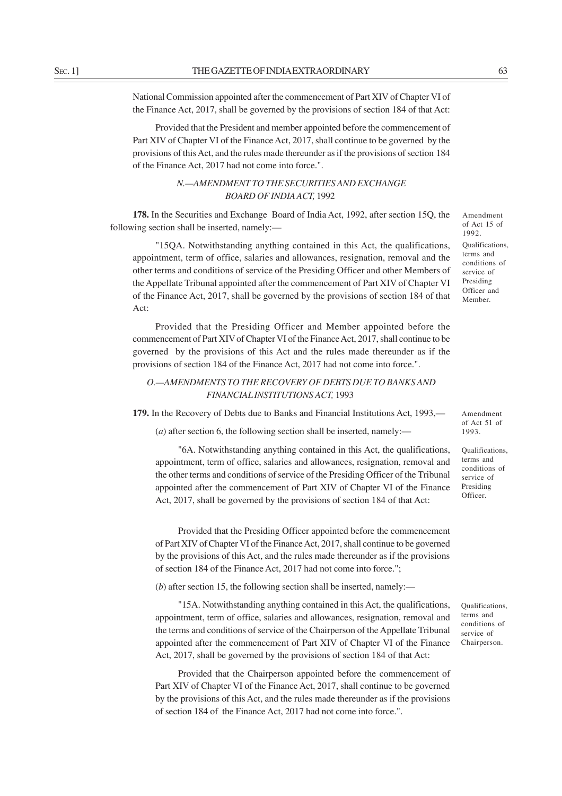National Commission appointed after the commencement of Part XIV of Chapter VI of the Finance Act, 2017, shall be governed by the provisions of section 184 of that Act:

Provided that the President and member appointed before the commencement of Part XIV of Chapter VI of the Finance Act, 2017, shall continue to be governed by the provisions of this Act, and the rules made thereunder as if the provisions of section 184 of the Finance Act, 2017 had not come into force.".

# *N.—AMENDMENT TO THE SECURITIES AND EXCHANGE BOARD OF INDIA ACT,* 1992

**178.** In the Securities and Exchange Board of India Act, 1992, after section 15Q, the following section shall be inserted, namely:—

"15QA. Notwithstanding anything contained in this Act, the qualifications, appointment, term of office, salaries and allowances, resignation, removal and the other terms and conditions of service of the Presiding Officer and other Members of the Appellate Tribunal appointed after the commencement of Part XIV of Chapter VI of the Finance Act, 2017, shall be governed by the provisions of section 184 of that Act:

Provided that the Presiding Officer and Member appointed before the commencement of Part XIV of Chapter VI of the Finance Act, 2017, shall continue to be governed by the provisions of this Act and the rules made thereunder as if the provisions of section 184 of the Finance Act, 2017 had not come into force.".

# *O.—AMENDMENTS TO THE RECOVERY OF DEBTS DUE TO BANKS AND FINANCIAL INSTITUTIONS ACT,* 1993

**179.** In the Recovery of Debts due to Banks and Financial Institutions Act, 1993,—

(*a*) after section 6, the following section shall be inserted, namely:—

"6A. Notwithstanding anything contained in this Act, the qualifications, appointment, term of office, salaries and allowances, resignation, removal and the other terms and conditions of service of the Presiding Officer of the Tribunal appointed after the commencement of Part XIV of Chapter VI of the Finance Act, 2017, shall be governed by the provisions of section 184 of that Act:

Provided that the Presiding Officer appointed before the commencement of Part XIV of Chapter VI of the Finance Act, 2017, shall continue to be governed by the provisions of this Act, and the rules made thereunder as if the provisions of section 184 of the Finance Act, 2017 had not come into force.";

(*b*) after section 15, the following section shall be inserted, namely:—

"15A. Notwithstanding anything contained in this Act, the qualifications, appointment, term of office, salaries and allowances, resignation, removal and the terms and conditions of service of the Chairperson of the Appellate Tribunal appointed after the commencement of Part XIV of Chapter VI of the Finance Act, 2017, shall be governed by the provisions of section 184 of that Act:

Provided that the Chairperson appointed before the commencement of Part XIV of Chapter VI of the Finance Act, 2017, shall continue to be governed by the provisions of this Act, and the rules made thereunder as if the provisions of section 184 of the Finance Act, 2017 had not come into force.".

Amendment of Act 15 of 1992. Qualifications, terms and conditions of service of Presiding Officer and Member.

of Act 51 of 1993. Qualifications,

Amendment

terms and conditions of service of Presiding Officer.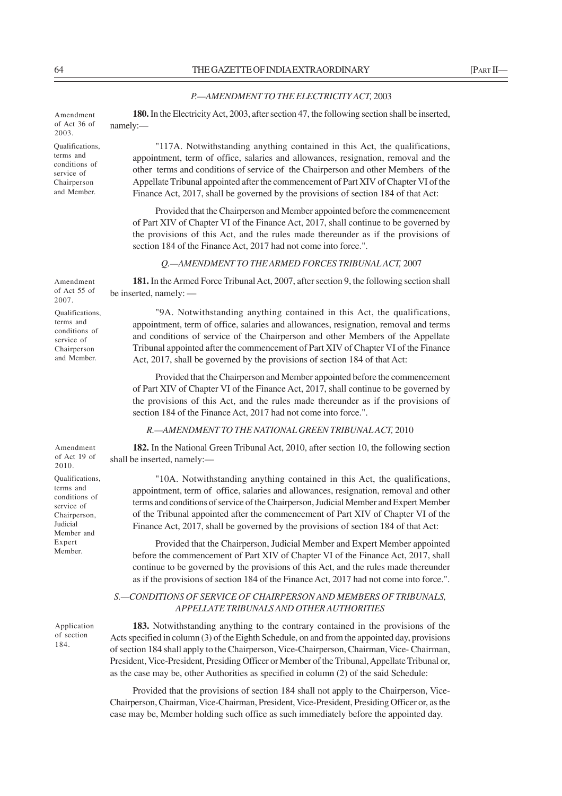### *P.—AMENDMENT TO THE ELECTRICITY ACT,* 2003

**180.** In the Electricity Act, 2003, after section 47, the following section shall be inserted, namely:— Amendment of Act 36 of 2003.

Qualifications, terms and conditions of service of Chairperson and Member.

"117A. Notwithstanding anything contained in this Act, the qualifications, appointment, term of office, salaries and allowances, resignation, removal and the other terms and conditions of service of the Chairperson and other Members of the Appellate Tribunal appointed after the commencement of Part XIV of Chapter VI of the Finance Act, 2017, shall be governed by the provisions of section 184 of that Act:

Provided that the Chairperson and Member appointed before the commencement of Part XIV of Chapter VI of the Finance Act, 2017, shall continue to be governed by the provisions of this Act, and the rules made thereunder as if the provisions of section 184 of the Finance Act, 2017 had not come into force.".

## *Q.—AMENDMENT TO THE ARMED FORCES TRIBUNAL ACT,* 2007

**181.** In the Armed Force Tribunal Act, 2007, after section 9, the following section shall be inserted, namely: — Amendment of Act 55 of 2007.

Qualifications, terms and conditions of service of Chairperson and Member.

"9A. Notwithstanding anything contained in this Act, the qualifications, appointment, term of office, salaries and allowances, resignation, removal and terms and conditions of service of the Chairperson and other Members of the Appellate Tribunal appointed after the commencement of Part XIV of Chapter VI of the Finance Act, 2017, shall be governed by the provisions of section 184 of that Act:

Provided that the Chairperson and Member appointed before the commencement of Part XIV of Chapter VI of the Finance Act, 2017, shall continue to be governed by the provisions of this Act, and the rules made thereunder as if the provisions of section 184 of the Finance Act, 2017 had not come into force.".

*R.—AMENDMENT TO THE NATIONAL GREEN TRIBUNAL ACT,* 2010

**182.** In the National Green Tribunal Act, 2010, after section 10, the following section shall be inserted, namely:— Amendment of Act 19 of

> "10A. Notwithstanding anything contained in this Act, the qualifications, appointment, term of office, salaries and allowances, resignation, removal and other terms and conditions of service of the Chairperson, Judicial Member and Expert Member of the Tribunal appointed after the commencement of Part XIV of Chapter VI of the Finance Act, 2017, shall be governed by the provisions of section 184 of that Act:

> Provided that the Chairperson, Judicial Member and Expert Member appointed before the commencement of Part XIV of Chapter VI of the Finance Act, 2017, shall continue to be governed by the provisions of this Act, and the rules made thereunder as if the provisions of section 184 of the Finance Act, 2017 had not come into force.".

# *S.—CONDITIONS OF SERVICE OF CHAIRPERSON AND MEMBERS OF TRIBUNALS, APPELLATE TRIBUNALS AND OTHER AUTHORITIES*

**183.** Notwithstanding anything to the contrary contained in the provisions of the Acts specified in column (3) of the Eighth Schedule, on and from the appointed day, provisions of section 184 shall apply to the Chairperson, Vice-Chairperson, Chairman, Vice- Chairman, President, Vice-President, Presiding Officer or Member of the Tribunal, Appellate Tribunal or, as the case may be, other Authorities as specified in column (2) of the said Schedule:

Provided that the provisions of section 184 shall not apply to the Chairperson, Vice-Chairperson, Chairman, Vice-Chairman, President, Vice-President, Presiding Officer or, as the case may be, Member holding such office as such immediately before the appointed day.

Qualifications, 2010.

terms and conditions of service of Chairperson, Judicial Member and Expert Member.

Application of section 184.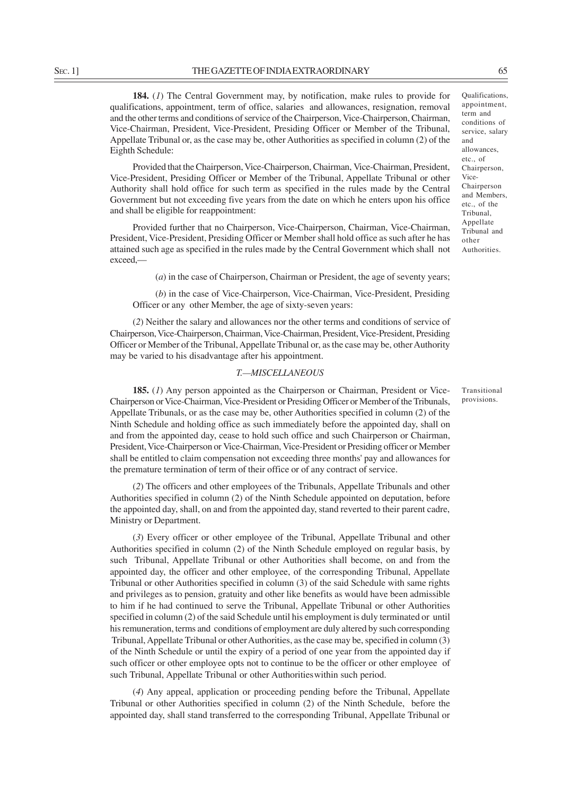**184.** (*1*) The Central Government may, by notification, make rules to provide for qualifications, appointment, term of office, salaries and allowances, resignation, removal and the other terms and conditions of service of the Chairperson, Vice-Chairperson, Chairman, Vice-Chairman, President, Vice-President, Presiding Officer or Member of the Tribunal, Appellate Tribunal or, as the case may be, other Authorities as specified in column (2) of the Eighth Schedule:

Provided that the Chairperson, Vice-Chairperson, Chairman, Vice-Chairman, President, Vice-President, Presiding Officer or Member of the Tribunal, Appellate Tribunal or other Authority shall hold office for such term as specified in the rules made by the Central Government but not exceeding five years from the date on which he enters upon his office and shall be eligible for reappointment:

Provided further that no Chairperson, Vice-Chairperson, Chairman, Vice-Chairman, President, Vice-President, Presiding Officer or Member shall hold office as such after he has attained such age as specified in the rules made by the Central Government which shall not exceed,—

(*a*) in the case of Chairperson, Chairman or President, the age of seventy years;

(*b*) in the case of Vice-Chairperson, Vice-Chairman, Vice-President, Presiding Officer or any other Member, the age of sixty-seven years:

(*2*) Neither the salary and allowances nor the other terms and conditions of service of Chairperson, Vice-Chairperson, Chairman, Vice-Chairman, President, Vice-President, Presiding Officer or Member of the Tribunal, Appellate Tribunal or, as the case may be, other Authority may be varied to his disadvantage after his appointment.

### *T.—MISCELLANEOUS*

**185.** (*1*) Any person appointed as the Chairperson or Chairman, President or Vice-Chairperson or Vice-Chairman, Vice-President or Presiding Officer or Member of the Tribunals, Appellate Tribunals, or as the case may be, other Authorities specified in column (2) of the Ninth Schedule and holding office as such immediately before the appointed day, shall on and from the appointed day, cease to hold such office and such Chairperson or Chairman, President, Vice-Chairperson or Vice-Chairman, Vice-President or Presiding officer or Member shall be entitled to claim compensation not exceeding three months' pay and allowances for the premature termination of term of their office or of any contract of service.

(*2*) The officers and other employees of the Tribunals, Appellate Tribunals and other Authorities specified in column (2) of the Ninth Schedule appointed on deputation, before the appointed day, shall, on and from the appointed day, stand reverted to their parent cadre, Ministry or Department.

(*3*) Every officer or other employee of the Tribunal, Appellate Tribunal and other Authorities specified in column (2) of the Ninth Schedule employed on regular basis, by such Tribunal, Appellate Tribunal or other Authorities shall become, on and from the appointed day, the officer and other employee, of the corresponding Tribunal, Appellate Tribunal or other Authorities specified in column (3) of the said Schedule with same rights and privileges as to pension, gratuity and other like benefits as would have been admissible to him if he had continued to serve the Tribunal, Appellate Tribunal or other Authorities specified in column (2) of the said Schedule until his employment is duly terminated or until his remuneration, terms and conditions of employment are duly altered by such corresponding Tribunal, Appellate Tribunal or other Authorities, as the case may be, specified in column (3) of the Ninth Schedule or until the expiry of a period of one year from the appointed day if such officer or other employee opts not to continue to be the officer or other employee of such Tribunal, Appellate Tribunal or other Authoritieswithin such period.

(*4*) Any appeal, application or proceeding pending before the Tribunal, Appellate Tribunal or other Authorities specified in column (2) of the Ninth Schedule, before the appointed day, shall stand transferred to the corresponding Tribunal, Appellate Tribunal or

Transitional provisions.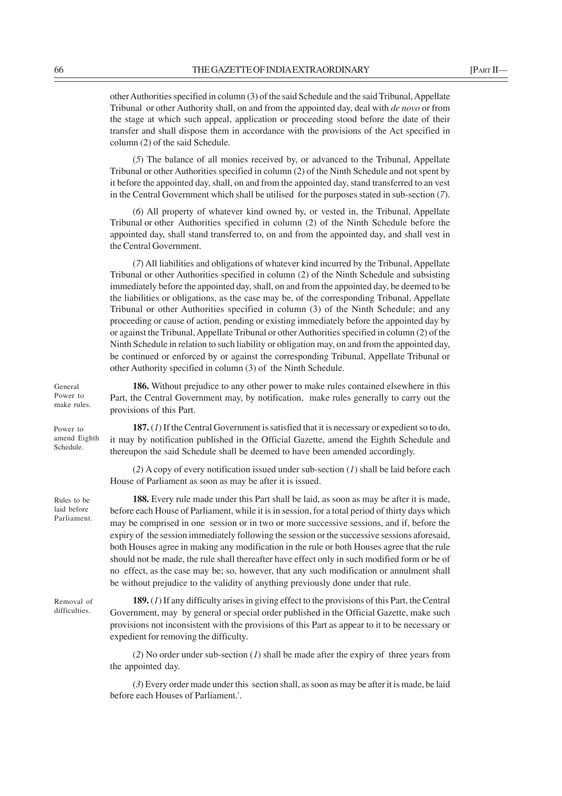(*5*) The balance of all monies received by, or advanced to the Tribunal, Appellate Tribunal or other Authorities specified in column (2) of the Ninth Schedule and not spent by it before the appointed day, shall, on and from the appointed day, stand transferred to an vest in the Central Government which shall be utilised for the purposes stated in sub-section (*7*).

(*6*) All property of whatever kind owned by, or vested in, the Tribunal, Appellate Tribunal or other Authorities specified in column (2) of the Ninth Schedule before the appointed day, shall stand transferred to, on and from the appointed day, and shall vest in the Central Government.

(*7*) All liabilities and obligations of whatever kind incurred by the Tribunal, Appellate Tribunal or other Authorities specified in column (2) of the Ninth Schedule and subsisting immediately before the appointed day, shall, on and from the appointed day, be deemed to be the liabilities or obligations, as the case may be, of the corresponding Tribunal, Appellate Tribunal or other Authorities specified in column (3) of the Ninth Schedule; and any proceeding or cause of action, pending or existing immediately before the appointed day by or against the Tribunal, Appellate Tribunal or other Authorities specified in column (2) of the Ninth Schedule in relation to such liability or obligation may, on and from the appointed day, be continued or enforced by or against the corresponding Tribunal, Appellate Tribunal or other Authority specified in column (3) of the Ninth Schedule.

**186.** Without prejudice to any other power to make rules contained elsewhere in this Part, the Central Government may, by notification, make rules generally to carry out the provisions of this Part.

**187.** (*1*) If the Central Government is satisfied that it is necessary or expedient so to do, it may by notification published in the Official Gazette, amend the Eighth Schedule and thereupon the said Schedule shall be deemed to have been amended accordingly. amend Eighth

> (*2*) A copy of every notification issued under sub-section (*1*) shall be laid before each House of Parliament as soon as may be after it is issued.

> **188.** Every rule made under this Part shall be laid, as soon as may be after it is made, before each House of Parliament, while it is in session, for a total period of thirty days which may be comprised in one session or in two or more successive sessions, and if, before the expiry of the session immediately following the session or the successive sessions aforesaid, both Houses agree in making any modification in the rule or both Houses agree that the rule should not be made, the rule shall thereafter have effect only in such modified form or be of no effect, as the case may be; so, however, that any such modification or annulment shall be without prejudice to the validity of anything previously done under that rule.

Removal of difficulties.

General Power to make rules.

Power to

Schedule.

Rules to be laid before Parliament.

> **189.** (*1*) If any difficulty arises in giving effect to the provisions of this Part, the Central Government, may by general or special order published in the Official Gazette, make such provisions not inconsistent with the provisions of this Part as appear to it to be necessary or expedient for removing the difficulty.

> (*2*) No order under sub-section (*1*) shall be made after the expiry of three years from the appointed day.

> (*3*) Every order made under this section shall, as soon as may be after it is made, be laid before each Houses of Parliament.'.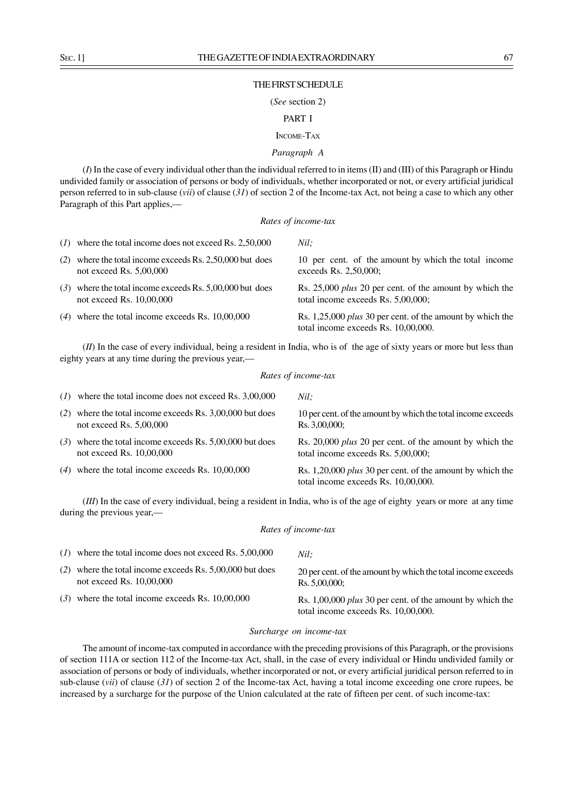### THE FIRST SCHEDULE

### (*See* section 2)

# PART I

# INCOME-TAX

# *Paragraph A*

(*I*) In the case of every individual other than the individual referred to in items (II) and (III) of this Paragraph or Hindu undivided family or association of persons or body of individuals, whether incorporated or not, or every artificial juridical person referred to in sub-clause (*vii*) of clause (*31*) of section 2 of the Income-tax Act, not being a case to which any other Paragraph of this Part applies,—

### *Rates of income-tax*

*Nil;*

|     | $(1)$ where the total income does not exceed Rs. 2,50,000                              | Nil:                                                                                                    |
|-----|----------------------------------------------------------------------------------------|---------------------------------------------------------------------------------------------------------|
| (2) | where the total income exceeds Rs. 2,50,000 but does<br>not exceed Rs. $5,00,000$      | 10 per cent. of the amount by which the total income<br>exceeds Rs. 2,50,000;                           |
|     | $(3)$ where the total income exceeds Rs. 5,00,000 but does<br>not exceed Rs. 10,00,000 | Rs. 25,000 <i>plus</i> 20 per cent. of the amount by which the<br>total income exceeds Rs. 5,00,000;    |
|     | $(4)$ where the total income exceeds Rs. 10,00,000                                     | Rs. 1,25,000 <i>plus</i> 30 per cent. of the amount by which the<br>total income exceeds Rs. 10,00,000. |

(*II*) In the case of every individual, being a resident in India, who is of the age of sixty years or more but less than eighty years at any time during the previous year,—

### *Rates of income-tax*

|     | $(1)$ where the total income does not exceed Rs. 3,00,000                              | Nil:                                                                                                    |
|-----|----------------------------------------------------------------------------------------|---------------------------------------------------------------------------------------------------------|
| (2) | where the total income exceeds Rs. 3,00,000 but does<br>not exceed Rs. $5,00,000$      | 10 per cent. of the amount by which the total income exceeds<br>Rs. 3,00,000;                           |
|     | $(3)$ where the total income exceeds Rs. 5,00,000 but does<br>not exceed Rs. 10,00,000 | Rs. 20,000 <i>plus</i> 20 per cent. of the amount by which the<br>total income exceeds Rs. 5,00,000;    |
|     | $(4)$ where the total income exceeds Rs. 10,00,000                                     | Rs. 1,20,000 <i>plus</i> 30 per cent. of the amount by which the<br>total income exceeds Rs. 10,00,000. |

(*III*) In the case of every individual, being a resident in India, who is of the age of eighty years or more at any time during the previous year,—

#### *Rates of income-tax*

| $(1)$ where the total income does not exceed Rs. 5,00,000                              | Nil:                                                                                                    |
|----------------------------------------------------------------------------------------|---------------------------------------------------------------------------------------------------------|
| (2) where the total income exceeds Rs. $5,00,000$ but does<br>not exceed Rs. 10,00,000 | 20 per cent. of the amount by which the total income exceeds<br>Rs. 5,00,000;                           |
| $(3)$ where the total income exceeds Rs. 10,00,000                                     | Rs. 1,00,000 <i>plus</i> 30 per cent. of the amount by which the<br>total income exceeds Rs. 10,00,000. |

### *Surcharge on income-tax*

The amount of income-tax computed in accordance with the preceding provisions of this Paragraph, or the provisions of section 111A or section 112 of the Income-tax Act, shall, in the case of every individual or Hindu undivided family or association of persons or body of individuals, whether incorporated or not, or every artificial juridical person referred to in sub-clause (*vii*) of clause (*31*) of section 2 of the Income-tax Act, having a total income exceeding one crore rupees, be increased by a surcharge for the purpose of the Union calculated at the rate of fifteen per cent. of such income-tax: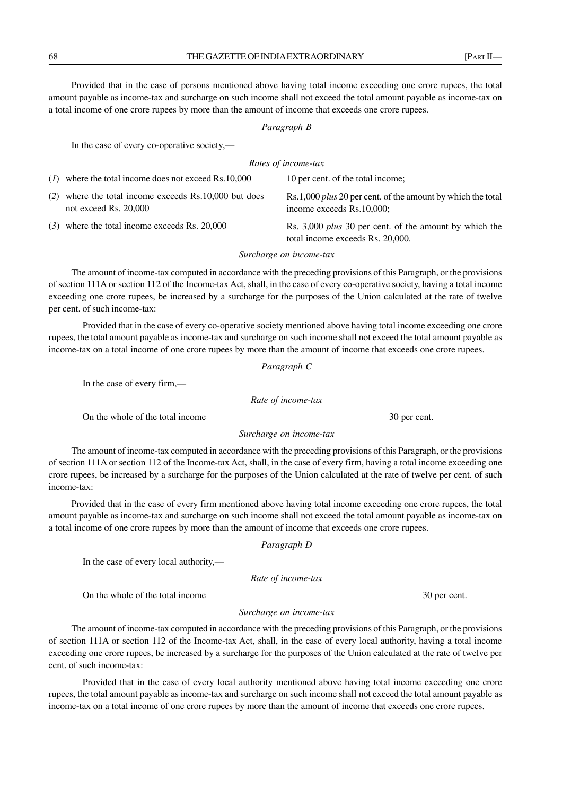Provided that in the case of persons mentioned above having total income exceeding one crore rupees, the total amount payable as income-tax and surcharge on such income shall not exceed the total amount payable as income-tax on a total income of one crore rupees by more than the amount of income that exceeds one crore rupees.

### *Paragraph B*

In the case of every co-operative society,—

# *Rates of income-tax*

| $(1)$ where the total income does not exceed Rs.10,000                           | 10 per cent. of the total income;                                                                 |
|----------------------------------------------------------------------------------|---------------------------------------------------------------------------------------------------|
| $(2)$ where the total income exceeds Rs.10,000 but does<br>not exceed Rs. 20,000 | Rs.1,000 <i>plus</i> 20 per cent. of the amount by which the total<br>income exceeds Rs.10,000;   |
| $(3)$ where the total income exceeds Rs. 20,000                                  | Rs. 3,000 <i>plus</i> 30 per cent. of the amount by which the<br>total income exceeds Rs. 20.000. |

### *Surcharge on income-tax*

The amount of income-tax computed in accordance with the preceding provisions of this Paragraph, or the provisions of section 111A or section 112 of the Income-tax Act, shall, in the case of every co-operative society, having a total income exceeding one crore rupees, be increased by a surcharge for the purposes of the Union calculated at the rate of twelve per cent. of such income-tax:

Provided that in the case of every co-operative society mentioned above having total income exceeding one crore rupees, the total amount payable as income-tax and surcharge on such income shall not exceed the total amount payable as income-tax on a total income of one crore rupees by more than the amount of income that exceeds one crore rupees.

# *Paragraph C*

In the case of every firm,—

*Rate of income-tax*

On the whole of the total income 30 per cent.

# *Surcharge on income-tax*

The amount of income-tax computed in accordance with the preceding provisions of this Paragraph, or the provisions of section 111A or section 112 of the Income-tax Act, shall, in the case of every firm, having a total income exceeding one crore rupees, be increased by a surcharge for the purposes of the Union calculated at the rate of twelve per cent. of such income-tax:

Provided that in the case of every firm mentioned above having total income exceeding one crore rupees, the total amount payable as income-tax and surcharge on such income shall not exceed the total amount payable as income-tax on a total income of one crore rupees by more than the amount of income that exceeds one crore rupees.

### *Paragraph D*

In the case of every local authority,—

*Rate of income-tax*

On the whole of the total income 30 per cent.

### *Surcharge on income-tax*

The amount of income-tax computed in accordance with the preceding provisions of this Paragraph, or the provisions of section 111A or section 112 of the Income-tax Act, shall, in the case of every local authority, having a total income exceeding one crore rupees, be increased by a surcharge for the purposes of the Union calculated at the rate of twelve per cent. of such income-tax:

Provided that in the case of every local authority mentioned above having total income exceeding one crore rupees, the total amount payable as income-tax and surcharge on such income shall not exceed the total amount payable as income-tax on a total income of one crore rupees by more than the amount of income that exceeds one crore rupees.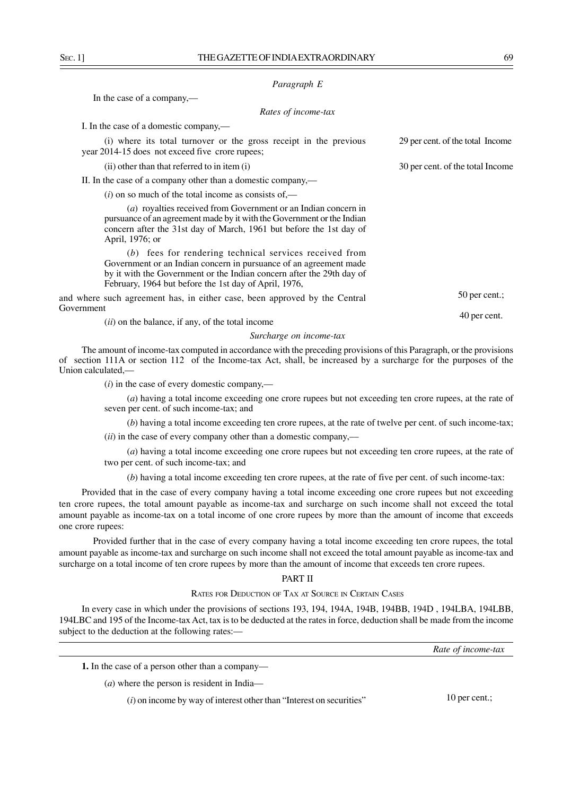### *Paragraph E*

In the case of a company,—

## *Rates of income-tax*

I. In the case of a domestic company,—

(i) where its total turnover or the gross receipt in the previous 29 per cent. of the total Income year 2014-15 does not exceed five crore rupees; (ii) other than that referred to in item (i) 30 per cent. of the total Income

II. In the case of a company other than a domestic company,—

 $(i)$  on so much of the total income as consists of,—

(*a*) royalties received from Government or an Indian concern in pursuance of an agreement made by it with the Government or the Indian concern after the 31st day of March, 1961 but before the 1st day of April, 1976; or

(*b*) fees for rendering technical services received from Government or an Indian concern in pursuance of an agreement made by it with the Government or the Indian concern after the 29th day of February, 1964 but before the 1st day of April, 1976,

and where such agreement has, in either case, been approved by the Central Government

(*ii*) on the balance, if any, of the total income

*Surcharge on income-tax*

The amount of income-tax computed in accordance with the preceding provisions of this Paragraph, or the provisions of section 111A or section 112 of the Income-tax Act, shall, be increased by a surcharge for the purposes of the Union calculated,—

(*i*) in the case of every domestic company,––

(*a*) having a total income exceeding one crore rupees but not exceeding ten crore rupees, at the rate of seven per cent. of such income-tax; and

(*b*) having a total income exceeding ten crore rupees, at the rate of twelve per cent. of such income-tax; (*ii*) in the case of every company other than a domestic company,––

(*a*) having a total income exceeding one crore rupees but not exceeding ten crore rupees, at the rate of two per cent. of such income-tax; and

(*b*) having a total income exceeding ten crore rupees, at the rate of five per cent. of such income-tax:

Provided that in the case of every company having a total income exceeding one crore rupees but not exceeding ten crore rupees, the total amount payable as income-tax and surcharge on such income shall not exceed the total amount payable as income-tax on a total income of one crore rupees by more than the amount of income that exceeds one crore rupees:

Provided further that in the case of every company having a total income exceeding ten crore rupees, the total amount payable as income-tax and surcharge on such income shall not exceed the total amount payable as income-tax and surcharge on a total income of ten crore rupees by more than the amount of income that exceeds ten crore rupees.

### PART II

#### RATES FOR DEDUCTION OF TAX AT SOURCE IN CERTAIN CASES

In every case in which under the provisions of sections 193, 194, 194A, 194B, 194BB, 194D , 194LBA, 194LBB, 194LBC and 195 of the Income-tax Act, tax is to be deducted at the rates in force, deduction shall be made from the income subject to the deduction at the following rates:—

*Rate of income-tax*

**1.** In the case of a person other than a company—

(*a*) where the person is resident in India—

(*i*) on income by way of interest other than "Interest on securities"

10 per cent.;

50 per cent.;

40 per cent.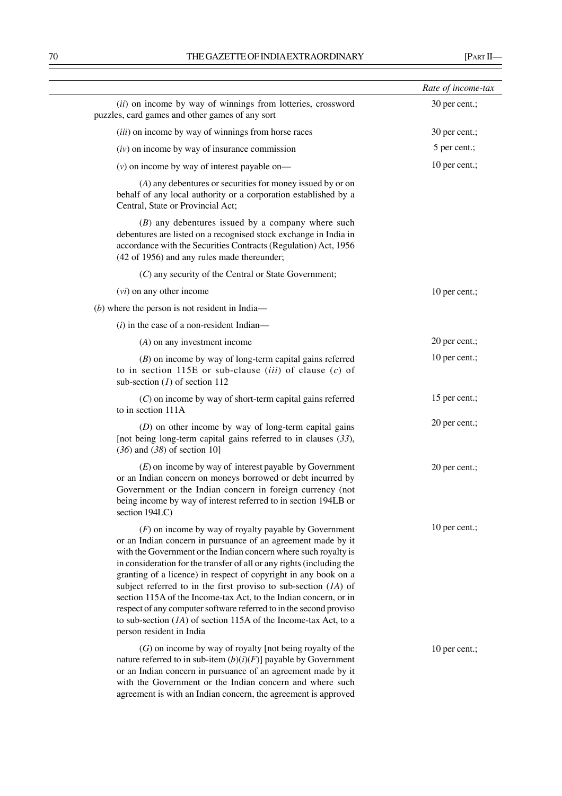|                                                                                                                                                                                                                                                                                                                                                                                                                                                                                                                                                                                                                                                       | Rate of income-tax |
|-------------------------------------------------------------------------------------------------------------------------------------------------------------------------------------------------------------------------------------------------------------------------------------------------------------------------------------------------------------------------------------------------------------------------------------------------------------------------------------------------------------------------------------------------------------------------------------------------------------------------------------------------------|--------------------|
| (ii) on income by way of winnings from lotteries, crossword<br>puzzles, card games and other games of any sort                                                                                                                                                                                                                                                                                                                                                                                                                                                                                                                                        | 30 per cent.;      |
| (iii) on income by way of winnings from horse races                                                                                                                                                                                                                                                                                                                                                                                                                                                                                                                                                                                                   | 30 per cent.;      |
| $(iv)$ on income by way of insurance commission                                                                                                                                                                                                                                                                                                                                                                                                                                                                                                                                                                                                       | 5 per cent.;       |
| $(v)$ on income by way of interest payable on—                                                                                                                                                                                                                                                                                                                                                                                                                                                                                                                                                                                                        | 10 per cent.;      |
| (A) any debentures or securities for money issued by or on<br>behalf of any local authority or a corporation established by a<br>Central, State or Provincial Act;                                                                                                                                                                                                                                                                                                                                                                                                                                                                                    |                    |
| $(B)$ any debentures issued by a company where such<br>debentures are listed on a recognised stock exchange in India in<br>accordance with the Securities Contracts (Regulation) Act, 1956<br>(42 of 1956) and any rules made thereunder;                                                                                                                                                                                                                                                                                                                                                                                                             |                    |
| (C) any security of the Central or State Government;                                                                                                                                                                                                                                                                                                                                                                                                                                                                                                                                                                                                  |                    |
| $(vi)$ on any other income                                                                                                                                                                                                                                                                                                                                                                                                                                                                                                                                                                                                                            | 10 per cent.;      |
| $(b)$ where the person is not resident in India—                                                                                                                                                                                                                                                                                                                                                                                                                                                                                                                                                                                                      |                    |
| $(i)$ in the case of a non-resident Indian—                                                                                                                                                                                                                                                                                                                                                                                                                                                                                                                                                                                                           |                    |
| $(A)$ on any investment income                                                                                                                                                                                                                                                                                                                                                                                                                                                                                                                                                                                                                        | 20 per cent.;      |
| $(B)$ on income by way of long-term capital gains referred<br>to in section 115E or sub-clause ( <i>iii</i> ) of clause ( <i>c</i> ) of<br>sub-section $(l)$ of section 112                                                                                                                                                                                                                                                                                                                                                                                                                                                                           | 10 per cent.;      |
| $(C)$ on income by way of short-term capital gains referred<br>to in section 111A                                                                                                                                                                                                                                                                                                                                                                                                                                                                                                                                                                     | 15 per cent.;      |
| $(D)$ on other income by way of long-term capital gains<br>[not being long-term capital gains referred to in clauses $(33)$ ,<br>$(36)$ and $(38)$ of section 10]                                                                                                                                                                                                                                                                                                                                                                                                                                                                                     | 20 per cent.;      |
| $(E)$ on income by way of interest payable by Government<br>or an Indian concern on moneys borrowed or debt incurred by<br>Government or the Indian concern in foreign currency (not<br>being income by way of interest referred to in section 194LB or<br>section 194LC)                                                                                                                                                                                                                                                                                                                                                                             | 20 per cent.;      |
| $(F)$ on income by way of royalty payable by Government<br>or an Indian concern in pursuance of an agreement made by it<br>with the Government or the Indian concern where such royalty is<br>in consideration for the transfer of all or any rights (including the<br>granting of a licence) in respect of copyright in any book on a<br>subject referred to in the first proviso to sub-section $(A)$ of<br>section 115A of the Income-tax Act, to the Indian concern, or in<br>respect of any computer software referred to in the second proviso<br>to sub-section $(IA)$ of section 115A of the Income-tax Act, to a<br>person resident in India | 10 per cent.;      |
| $(G)$ on income by way of royalty [not being royalty of the<br>nature referred to in sub-item $(b)(i)(F)$ ] payable by Government<br>or an Indian concern in pursuance of an agreement made by it<br>with the Government or the Indian concern and where such<br>agreement is with an Indian concern, the agreement is approved                                                                                                                                                                                                                                                                                                                       | 10 per cent.;      |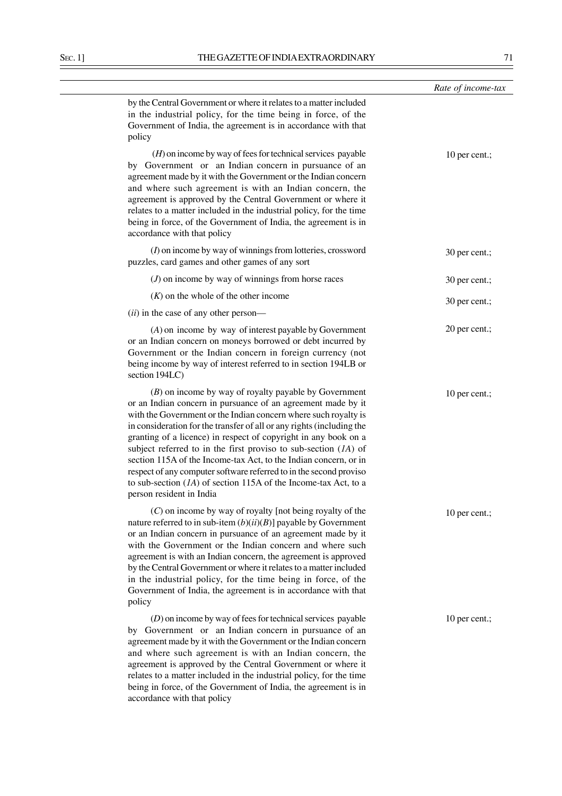|                                                                                                                                                                                                                                                                                                                                                                                                                                                                                                                                                                                                                                                        | Rate of income-tax |
|--------------------------------------------------------------------------------------------------------------------------------------------------------------------------------------------------------------------------------------------------------------------------------------------------------------------------------------------------------------------------------------------------------------------------------------------------------------------------------------------------------------------------------------------------------------------------------------------------------------------------------------------------------|--------------------|
| by the Central Government or where it relates to a matter included<br>in the industrial policy, for the time being in force, of the<br>Government of India, the agreement is in accordance with that<br>policy                                                                                                                                                                                                                                                                                                                                                                                                                                         |                    |
| $(H)$ on income by way of fees for technical services payable<br>by Government or an Indian concern in pursuance of an<br>agreement made by it with the Government or the Indian concern<br>and where such agreement is with an Indian concern, the<br>agreement is approved by the Central Government or where it<br>relates to a matter included in the industrial policy, for the time<br>being in force, of the Government of India, the agreement is in<br>accordance with that policy                                                                                                                                                            | 10 per cent.;      |
| $(I)$ on income by way of winnings from lotteries, crossword<br>puzzles, card games and other games of any sort                                                                                                                                                                                                                                                                                                                                                                                                                                                                                                                                        | 30 per cent.;      |
| $(J)$ on income by way of winnings from horse races                                                                                                                                                                                                                                                                                                                                                                                                                                                                                                                                                                                                    | 30 per cent.;      |
| $(K)$ on the whole of the other income                                                                                                                                                                                                                                                                                                                                                                                                                                                                                                                                                                                                                 | 30 per cent.;      |
| (ii) in the case of any other person-                                                                                                                                                                                                                                                                                                                                                                                                                                                                                                                                                                                                                  |                    |
| $(A)$ on income by way of interest payable by Government<br>or an Indian concern on moneys borrowed or debt incurred by<br>Government or the Indian concern in foreign currency (not<br>being income by way of interest referred to in section 194LB or<br>section 194LC)                                                                                                                                                                                                                                                                                                                                                                              | 20 per cent.;      |
| $(B)$ on income by way of royalty payable by Government<br>or an Indian concern in pursuance of an agreement made by it<br>with the Government or the Indian concern where such royalty is<br>in consideration for the transfer of all or any rights (including the<br>granting of a licence) in respect of copyright in any book on a<br>subject referred to in the first proviso to sub-section $(IA)$ of<br>section 115A of the Income-tax Act, to the Indian concern, or in<br>respect of any computer software referred to in the second proviso<br>to sub-section $(IA)$ of section 115A of the Income-tax Act, to a<br>person resident in India | 10 per cent.;      |
| $(C)$ on income by way of royalty [not being royalty of the<br>nature referred to in sub-item $(b)(ii)(B)$ ] payable by Government<br>or an Indian concern in pursuance of an agreement made by it<br>with the Government or the Indian concern and where such<br>agreement is with an Indian concern, the agreement is approved<br>by the Central Government or where it relates to a matter included<br>in the industrial policy, for the time being in force, of the<br>Government of India, the agreement is in accordance with that<br>policy                                                                                                     | 10 per cent.;      |
| $(D)$ on income by way of fees for technical services payable<br>by Government or an Indian concern in pursuance of an<br>agreement made by it with the Government or the Indian concern<br>and where such agreement is with an Indian concern, the<br>agreement is approved by the Central Government or where it<br>relates to a matter included in the industrial policy, for the time                                                                                                                                                                                                                                                              | 10 per cent.;      |

being in force, of the Government of India, the agreement is in

accordance with that policy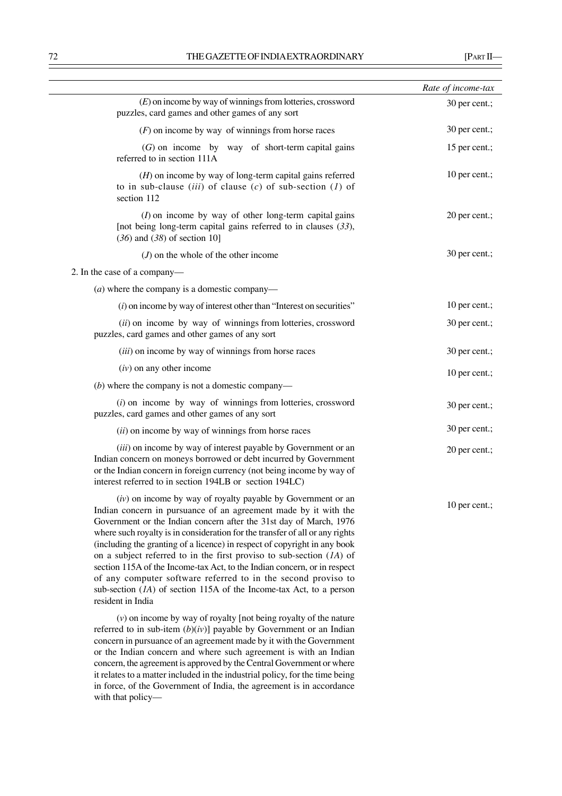|                                                                                                                                                                                                                                                                                                                                                                                                                                                                                                                                                                                                                                                                                           | Rate of income-tax |
|-------------------------------------------------------------------------------------------------------------------------------------------------------------------------------------------------------------------------------------------------------------------------------------------------------------------------------------------------------------------------------------------------------------------------------------------------------------------------------------------------------------------------------------------------------------------------------------------------------------------------------------------------------------------------------------------|--------------------|
| $(E)$ on income by way of winnings from lotteries, crossword<br>puzzles, card games and other games of any sort                                                                                                                                                                                                                                                                                                                                                                                                                                                                                                                                                                           | 30 per cent.;      |
| $(F)$ on income by way of winnings from horse races                                                                                                                                                                                                                                                                                                                                                                                                                                                                                                                                                                                                                                       | 30 per cent.;      |
| $(G)$ on income by way of short-term capital gains<br>referred to in section 111A                                                                                                                                                                                                                                                                                                                                                                                                                                                                                                                                                                                                         | 15 per cent.;      |
| $(H)$ on income by way of long-term capital gains referred<br>to in sub-clause (iii) of clause (c) of sub-section (1) of<br>section 112                                                                                                                                                                                                                                                                                                                                                                                                                                                                                                                                                   | 10 per cent.;      |
| $(I)$ on income by way of other long-term capital gains<br>[not being long-term capital gains referred to in clauses $(33)$ ,<br>$(36)$ and $(38)$ of section 10]                                                                                                                                                                                                                                                                                                                                                                                                                                                                                                                         | 20 per cent.;      |
| $(J)$ on the whole of the other income                                                                                                                                                                                                                                                                                                                                                                                                                                                                                                                                                                                                                                                    | 30 per cent.;      |
| 2. In the case of a company—                                                                                                                                                                                                                                                                                                                                                                                                                                                                                                                                                                                                                                                              |                    |
| ( <i>a</i> ) where the company is a domestic company—                                                                                                                                                                                                                                                                                                                                                                                                                                                                                                                                                                                                                                     |                    |
| $(i)$ on income by way of interest other than "Interest on securities"                                                                                                                                                                                                                                                                                                                                                                                                                                                                                                                                                                                                                    | 10 per cent.;      |
| (ii) on income by way of winnings from lotteries, crossword<br>puzzles, card games and other games of any sort                                                                                                                                                                                                                                                                                                                                                                                                                                                                                                                                                                            | 30 per cent.;      |
| (iii) on income by way of winnings from horse races                                                                                                                                                                                                                                                                                                                                                                                                                                                                                                                                                                                                                                       | 30 per cent.;      |
| $(iv)$ on any other income                                                                                                                                                                                                                                                                                                                                                                                                                                                                                                                                                                                                                                                                | 10 per cent.;      |
| $(b)$ where the company is not a domestic company—                                                                                                                                                                                                                                                                                                                                                                                                                                                                                                                                                                                                                                        |                    |
| $(i)$ on income by way of winnings from lotteries, crossword<br>puzzles, card games and other games of any sort                                                                                                                                                                                                                                                                                                                                                                                                                                                                                                                                                                           | 30 per cent.;      |
| (ii) on income by way of winnings from horse races                                                                                                                                                                                                                                                                                                                                                                                                                                                                                                                                                                                                                                        | 30 per cent.;      |
| (iii) on income by way of interest payable by Government or an<br>Indian concern on moneys borrowed or debt incurred by Government<br>or the Indian concern in foreign currency (not being income by way of<br>interest referred to in section 194LB or section 194LC)                                                                                                                                                                                                                                                                                                                                                                                                                    | 20 per cent.;      |
| $(iv)$ on income by way of royalty payable by Government or an<br>Indian concern in pursuance of an agreement made by it with the<br>Government or the Indian concern after the 31st day of March, 1976<br>where such royalty is in consideration for the transfer of all or any rights<br>(including the granting of a licence) in respect of copyright in any book<br>on a subject referred to in the first proviso to sub-section $(IA)$ of<br>section 115A of the Income-tax Act, to the Indian concern, or in respect<br>of any computer software referred to in the second proviso to<br>sub-section $(IA)$ of section 115A of the Income-tax Act, to a person<br>resident in India | 10 per cent.;      |

(*v*) on income by way of royalty [not being royalty of the nature referred to in sub-item (*b*)(*iv*)] payable by Government or an Indian concern in pursuance of an agreement made by it with the Government or the Indian concern and where such agreement is with an Indian concern, the agreement is approved by the Central Government or where it relates to a matter included in the industrial policy, for the time being in force, of the Government of India, the agreement is in accordance with that policy—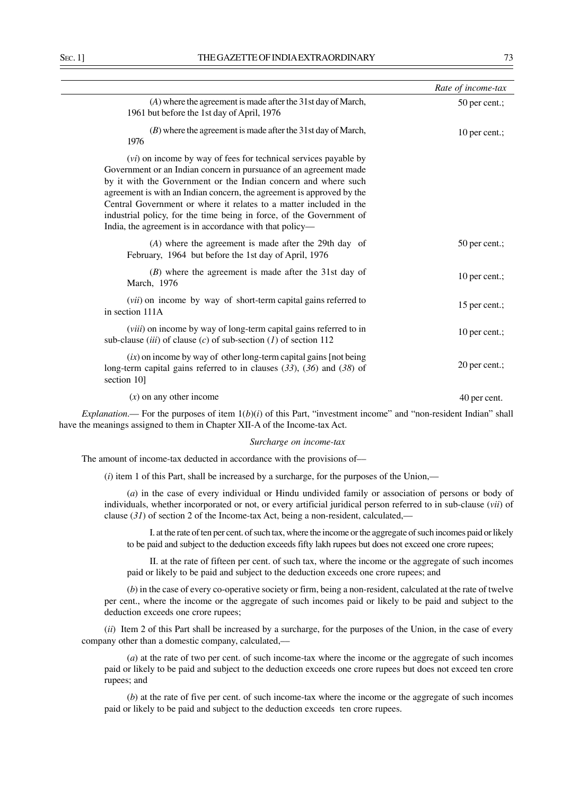|                                                                                                                                                                                                                                                                                                                                                                                                                                                                                                   | Rate of income-tax |
|---------------------------------------------------------------------------------------------------------------------------------------------------------------------------------------------------------------------------------------------------------------------------------------------------------------------------------------------------------------------------------------------------------------------------------------------------------------------------------------------------|--------------------|
| (A) where the agreement is made after the 31st day of March,<br>1961 but before the 1st day of April, 1976                                                                                                                                                                                                                                                                                                                                                                                        | 50 per cent.;      |
| $(B)$ where the agreement is made after the 31st day of March,<br>1976                                                                                                                                                                                                                                                                                                                                                                                                                            | 10 per cent.;      |
| ( <i>vi</i> ) on income by way of fees for technical services payable by<br>Government or an Indian concern in pursuance of an agreement made<br>by it with the Government or the Indian concern and where such<br>agreement is with an Indian concern, the agreement is approved by the<br>Central Government or where it relates to a matter included in the<br>industrial policy, for the time being in force, of the Government of<br>India, the agreement is in accordance with that policy— |                    |
| $(A)$ where the agreement is made after the 29th day of<br>February, 1964 but before the 1st day of April, 1976                                                                                                                                                                                                                                                                                                                                                                                   | 50 per cent.;      |
| $(B)$ where the agreement is made after the 31st day of<br>March, 1976                                                                                                                                                                                                                                                                                                                                                                                                                            | 10 per cent.;      |
| (vii) on income by way of short-term capital gains referred to<br>in section 111A                                                                                                                                                                                                                                                                                                                                                                                                                 | 15 per cent.;      |
| (viii) on income by way of long-term capital gains referred to in<br>sub-clause (iii) of clause (c) of sub-section (1) of section 112                                                                                                                                                                                                                                                                                                                                                             | 10 per cent.;      |
| $(ix)$ on income by way of other long-term capital gains [not being]<br>long-term capital gains referred to in clauses $(33)$ , $(36)$ and $(38)$ of<br>section 10]                                                                                                                                                                                                                                                                                                                               | 20 per cent.;      |
| $(x)$ on any other income                                                                                                                                                                                                                                                                                                                                                                                                                                                                         | 40 per cent.       |
|                                                                                                                                                                                                                                                                                                                                                                                                                                                                                                   |                    |

*Explanation*.— For the purposes of item  $1(b)(i)$  of this Part, "investment income" and "non-resident Indian" shall have the meanings assigned to them in Chapter XII-A of the Income-tax Act.

#### *Surcharge on income-tax*

The amount of income-tax deducted in accordance with the provisions of––

(*i*) item 1 of this Part, shall be increased by a surcharge, for the purposes of the Union,––

(*a*) in the case of every individual or Hindu undivided family or association of persons or body of individuals, whether incorporated or not, or every artificial juridical person referred to in sub-clause (*vii*) of clause (*31*) of section 2 of the Income-tax Act, being a non-resident, calculated,––

I. at the rate of ten per cent. of such tax, where the income or the aggregate of such incomes paid or likely to be paid and subject to the deduction exceeds fifty lakh rupees but does not exceed one crore rupees;

II. at the rate of fifteen per cent. of such tax, where the income or the aggregate of such incomes paid or likely to be paid and subject to the deduction exceeds one crore rupees; and

(*b*) in the case of every co-operative society or firm, being a non-resident, calculated at the rate of twelve per cent., where the income or the aggregate of such incomes paid or likely to be paid and subject to the deduction exceeds one crore rupees;

(*ii*) Item 2 of this Part shall be increased by a surcharge, for the purposes of the Union, in the case of every company other than a domestic company, calculated,––

(*a*) at the rate of two per cent. of such income-tax where the income or the aggregate of such incomes paid or likely to be paid and subject to the deduction exceeds one crore rupees but does not exceed ten crore rupees; and

(*b*) at the rate of five per cent. of such income-tax where the income or the aggregate of such incomes paid or likely to be paid and subject to the deduction exceeds ten crore rupees.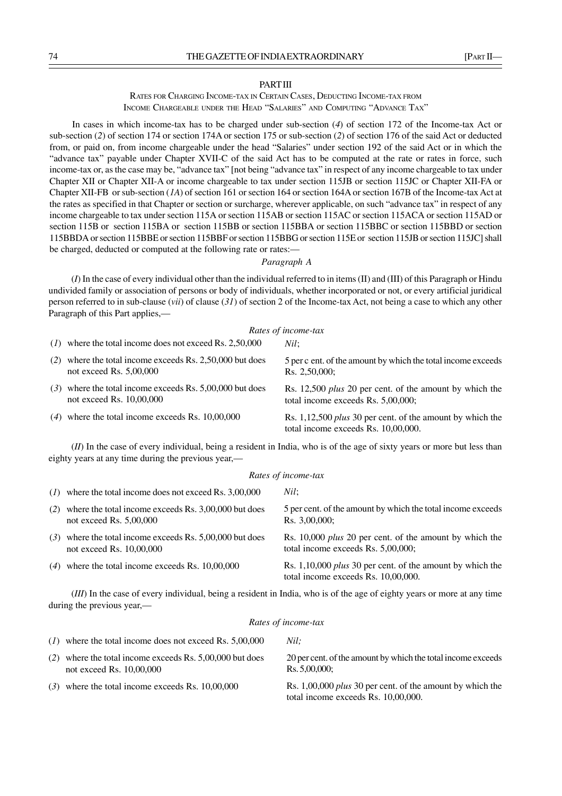#### **PART III**

RATES FOR CHARGING INCOME-TAX IN CERTAIN CASES, DEDUCTING INCOME-TAX FROM INCOME CHARGEABLE UNDER THE HEAD "SALARIES" AND COMPUTING "ADVANCE TAX"

In cases in which income-tax has to be charged under sub-section (*4*) of section 172 of the Income-tax Act or sub-section (2) of section 174 or section 174A or section 175 or sub-section (2) of section 176 of the said Act or deducted from, or paid on, from income chargeable under the head "Salaries" under section 192 of the said Act or in which the "advance tax" payable under Chapter XVII-C of the said Act has to be computed at the rate or rates in force, such income-tax or, as the case may be, "advance tax" [not being "advance tax" in respect of any income chargeable to tax under Chapter XII or Chapter XII-A or income chargeable to tax under section 115JB or section 115JC or Chapter XII-FA or Chapter XII-FB or sub-section (*1A*) of section 161 or section 164 or section 164A or section 167B of the Income-tax Act at the rates as specified in that Chapter or section or surcharge, wherever applicable, on such "advance tax" in respect of any income chargeable to tax under section 115A or section 115AB or section 115AC or section 115ACA or section 115AD or section 115B or section 115BA or section 115BB or section 115BBA or section 115BBC or section 115BBD or section 115BBDA or section 115BBE or section 115BBF or section 115BBG or section 115E or section 115JB or section 115JC] shall be charged, deducted or computed at the following rate or rates:—

#### *Paragraph A*

(*I*) In the case of every individual other than the individual referred to in items (II) and (III) of this Paragraph or Hindu undivided family or association of persons or body of individuals, whether incorporated or not, or every artificial juridical person referred to in sub-clause (*vii*) of clause (*31*) of section 2 of the Income-tax Act, not being a case to which any other Paragraph of this Part applies,—

#### *Rates of income-tax*

| $(1)$ where the total income does not exceed Rs. 2,50,000 | Nil: |  |
|-----------------------------------------------------------|------|--|
|                                                           |      |  |

| $(2)$ where the total income exceeds Rs. 2,50,000 but does<br>not exceed Rs. $5,00,000$ | 5 per c ent. of the amount by which the total income exceeds<br>Rs. 2,50,000;                           |
|-----------------------------------------------------------------------------------------|---------------------------------------------------------------------------------------------------------|
| $(3)$ where the total income exceeds Rs. 5,00,000 but does<br>not exceed Rs. 10,00,000  | Rs. 12,500 <i>plus</i> 20 per cent. of the amount by which the<br>total income exceeds Rs. 5,00,000;    |
| $(4)$ where the total income exceeds Rs. 10,00,000                                      | Rs. 1,12,500 <i>plus</i> 30 per cent. of the amount by which the<br>total income exceeds Rs. 10,00,000. |

(*II*) In the case of every individual, being a resident in India, who is of the age of sixty years or more but less than eighty years at any time during the previous year,—

#### *Rates of income-tax Nil*;

|     | $(1)$ where the total income does not exceed Rs. 3,00,000                              | Nil:                                                                                                 |
|-----|----------------------------------------------------------------------------------------|------------------------------------------------------------------------------------------------------|
| (2) | where the total income exceeds Rs. 3,00,000 but does<br>not exceed Rs. $5,00,000$      | 5 per cent. of the amount by which the total income exceeds<br>Rs. 3,00,000;                         |
|     | $(3)$ where the total income exceeds Rs. 5,00,000 but does<br>not exceed Rs. 10,00,000 | Rs. 10,000 <i>plus</i> 20 per cent. of the amount by which the<br>total income exceeds Rs. 5,00,000; |
|     | $(4)$ where the total income exceeds Rs. 10,00,000                                     | Rs. 1,10,000 plus 30 per cent. of the amount by which the<br>total income exceeds Rs. 10,00,000.     |
|     |                                                                                        |                                                                                                      |

(*III*) In the case of every individual, being a resident in India, who is of the age of eighty years or more at any time during the previous year,—

#### *Rates of income-tax*

| $(1)$ where the total income does not exceed Rs. 5,00,000                              | Nil:                                                                                               |
|----------------------------------------------------------------------------------------|----------------------------------------------------------------------------------------------------|
| $(2)$ where the total income exceeds Rs. 5,00,000 but does<br>not exceed Rs. 10,00,000 | 20 per cent. of the amount by which the total income exceeds<br>Rs. 5.00.000:                      |
| $(3)$ where the total income exceeds Rs. 10,00,000                                     | Rs. $1,00,000$ plus 30 per cent. of the amount by which the<br>total income exceeds Rs. 10,00,000. |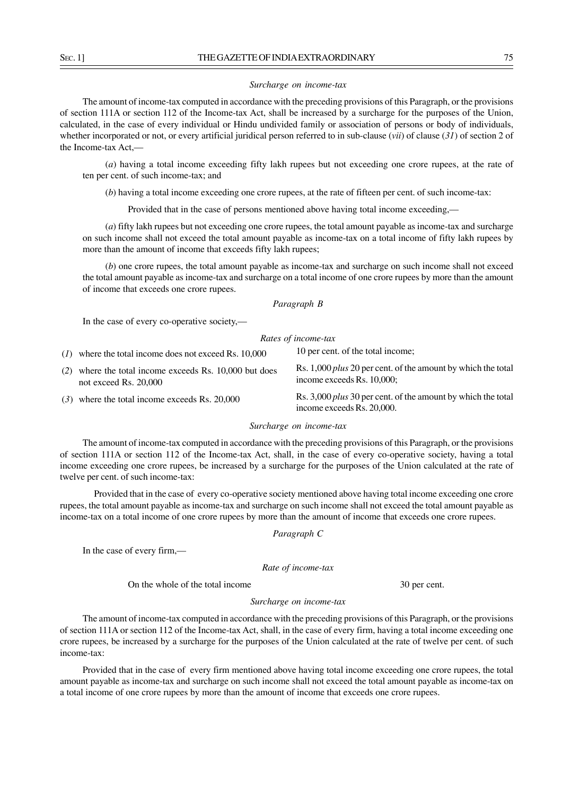#### *Surcharge on income-tax*

The amount of income-tax computed in accordance with the preceding provisions of this Paragraph, or the provisions of section 111A or section 112 of the Income-tax Act, shall be increased by a surcharge for the purposes of the Union, calculated, in the case of every individual or Hindu undivided family or association of persons or body of individuals, whether incorporated or not, or every artificial juridical person referred to in sub-clause (*vii*) of clause (*31*) of section 2 of the Income-tax Act,—

(*a*) having a total income exceeding fifty lakh rupees but not exceeding one crore rupees, at the rate of ten per cent. of such income-tax; and

(*b*) having a total income exceeding one crore rupees, at the rate of fifteen per cent. of such income-tax:

Provided that in the case of persons mentioned above having total income exceeding,—

(*a*) fifty lakh rupees but not exceeding one crore rupees, the total amount payable as income-tax and surcharge on such income shall not exceed the total amount payable as income-tax on a total income of fifty lakh rupees by more than the amount of income that exceeds fifty lakh rupees;

(*b*) one crore rupees, the total amount payable as income-tax and surcharge on such income shall not exceed the total amount payable as income-tax and surcharge on a total income of one crore rupees by more than the amount of income that exceeds one crore rupees.

*Paragraph B*

In the case of every co-operative society,—

### *Rates of income-tax*

| $(1)$ where the total income does not exceed Rs. 10,000                           | 10 per cent. of the total income:                                                                 |
|-----------------------------------------------------------------------------------|---------------------------------------------------------------------------------------------------|
| $(2)$ where the total income exceeds Rs. 10,000 but does<br>not exceed Rs. 20,000 | Rs. 1,000 <i>plus</i> 20 per cent. of the amount by which the total<br>income exceeds Rs. 10,000; |
| $(3)$ where the total income exceeds Rs. 20,000                                   | Rs. 3,000 <i>plus</i> 30 per cent. of the amount by which the total<br>income exceeds Rs. 20,000. |

#### *Surcharge on income-tax*

The amount of income-tax computed in accordance with the preceding provisions of this Paragraph, or the provisions of section 111A or section 112 of the Income-tax Act, shall, in the case of every co-operative society, having a total income exceeding one crore rupees, be increased by a surcharge for the purposes of the Union calculated at the rate of twelve per cent. of such income-tax:

Provided that in the case of every co-operative society mentioned above having total income exceeding one crore rupees, the total amount payable as income-tax and surcharge on such income shall not exceed the total amount payable as income-tax on a total income of one crore rupees by more than the amount of income that exceeds one crore rupees.

*Paragraph C*

In the case of every firm,—

*Rate of income-tax*

On the whole of the total income 30 per cent.

#### *Surcharge on income-tax*

The amount of income-tax computed in accordance with the preceding provisions of this Paragraph, or the provisions of section 111A or section 112 of the Income-tax Act, shall, in the case of every firm, having a total income exceeding one crore rupees, be increased by a surcharge for the purposes of the Union calculated at the rate of twelve per cent. of such income-tax:

Provided that in the case of every firm mentioned above having total income exceeding one crore rupees, the total amount payable as income-tax and surcharge on such income shall not exceed the total amount payable as income-tax on a total income of one crore rupees by more than the amount of income that exceeds one crore rupees.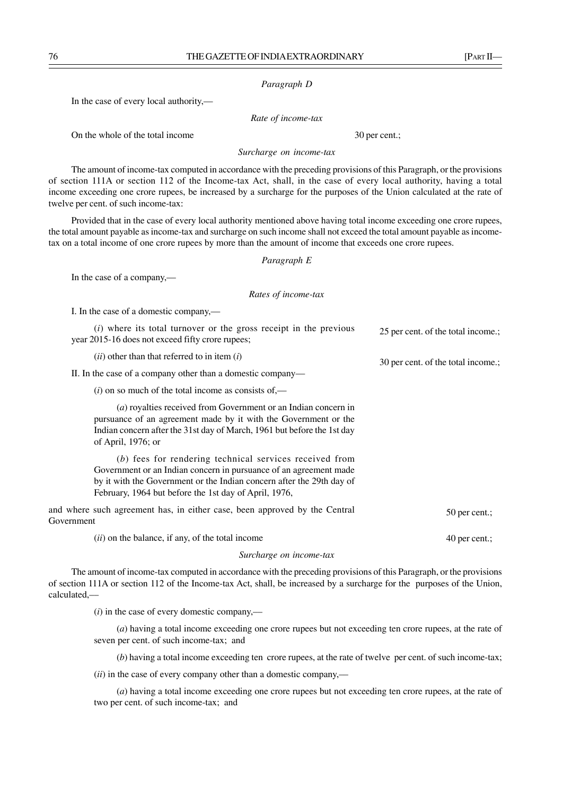#### *Paragraph D*

In the case of every local authority,—

*Rate of income-tax*

On the whole of the total income 30 per cent.;

*Surcharge on income-tax*

The amount of income-tax computed in accordance with the preceding provisions of this Paragraph, or the provisions of section 111A or section 112 of the Income-tax Act, shall, in the case of every local authority, having a total income exceeding one crore rupees, be increased by a surcharge for the purposes of the Union calculated at the rate of twelve per cent. of such income-tax:

Provided that in the case of every local authority mentioned above having total income exceeding one crore rupees, the total amount payable as income-tax and surcharge on such income shall not exceed the total amount payable as incometax on a total income of one crore rupees by more than the amount of income that exceeds one crore rupees.

*Paragraph E*

In the case of a company,—

#### *Rates of income-tax*

I. In the case of a domestic company,—

| (i) where its total turnover or the gross receipt in the previous | 25 per cent. of the total income.; |
|-------------------------------------------------------------------|------------------------------------|
| year 2015-16 does not exceed fifty crore rupees;                  |                                    |

(*ii*) other than that referred to in item (*i*)

II. In the case of a company other than a domestic company—

 $(i)$  on so much of the total income as consists of  $-$ 

(*a*) royalties received from Government or an Indian concern in pursuance of an agreement made by it with the Government or the Indian concern after the 31st day of March, 1961 but before the 1st day of April, 1976; or

(*b*) fees for rendering technical services received from Government or an Indian concern in pursuance of an agreement made by it with the Government or the Indian concern after the 29th day of February, 1964 but before the 1st day of April, 1976,

and where such agreement has, in either case, been approved by the Central Government 50 per cent.;

(*ii*) on the balance, if any, of the total income

#### *Surcharge on income-tax*

The amount of income-tax computed in accordance with the preceding provisions of this Paragraph, or the provisions of section 111A or section 112 of the Income-tax Act, shall, be increased by a surcharge for the purposes of the Union, calculated,––

(*i*) in the case of every domestic company,––

(*a*) having a total income exceeding one crore rupees but not exceeding ten crore rupees, at the rate of seven per cent. of such income-tax; and

(*b*) having a total income exceeding ten crore rupees, at the rate of twelve per cent. of such income-tax;

(*ii*) in the case of every company other than a domestic company,––

(*a*) having a total income exceeding one crore rupees but not exceeding ten crore rupees, at the rate of two per cent. of such income-tax; and

40 per cent.;

30 per cent. of the total income.;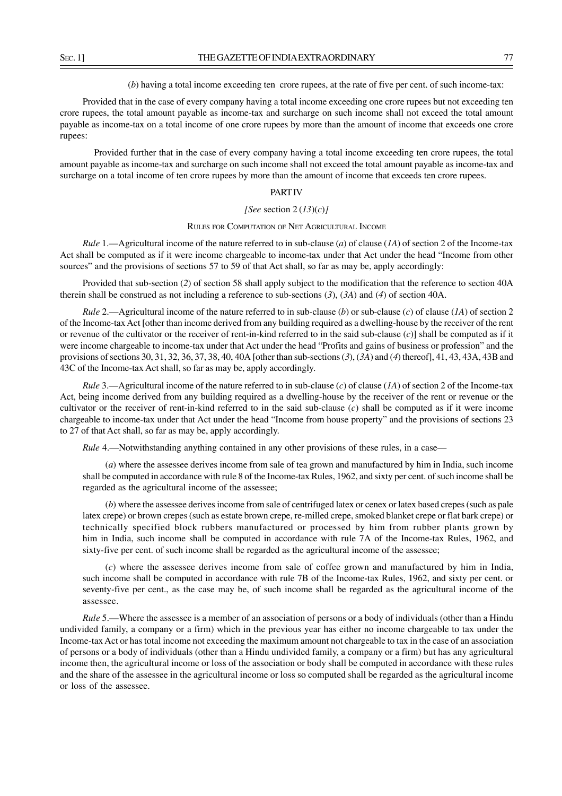(*b*) having a total income exceeding ten crore rupees, at the rate of five per cent. of such income-tax:

Provided that in the case of every company having a total income exceeding one crore rupees but not exceeding ten crore rupees, the total amount payable as income-tax and surcharge on such income shall not exceed the total amount payable as income-tax on a total income of one crore rupees by more than the amount of income that exceeds one crore rupees:

Provided further that in the case of every company having a total income exceeding ten crore rupees, the total amount payable as income-tax and surcharge on such income shall not exceed the total amount payable as income-tax and surcharge on a total income of ten crore rupees by more than the amount of income that exceeds ten crore rupees.

### **PART IV**

#### *[See* section 2 (*13*)(*c*)*]*

#### RULES FOR COMPUTATION OF NET AGRICULTURAL INCOME

*Rule* 1.—Agricultural income of the nature referred to in sub-clause (*a*) of clause (*1A*) of section 2 of the Income-tax Act shall be computed as if it were income chargeable to income-tax under that Act under the head "Income from other sources" and the provisions of sections 57 to 59 of that Act shall, so far as may be, apply accordingly:

Provided that sub-section (*2*) of section 58 shall apply subject to the modification that the reference to section 40A therein shall be construed as not including a reference to sub-sections (*3*), (*3A*) and (*4*) of section 40A.

*Rule* 2.—Agricultural income of the nature referred to in sub-clause (*b*) or sub-clause (*c*) of clause (*1A*) of section 2 of the Income-tax Act [other than income derived from any building required as a dwelling-house by the receiver of the rent or revenue of the cultivator or the receiver of rent-in-kind referred to in the said sub-clause (*c*)] shall be computed as if it were income chargeable to income-tax under that Act under the head "Profits and gains of business or profession" and the provisions of sections 30, 31, 32, 36, 37, 38, 40, 40A [other than sub-sections (*3*), (*3A*) and (*4*) thereof], 41, 43, 43A, 43B and 43C of the Income-tax Act shall, so far as may be, apply accordingly.

*Rule* 3.—Agricultural income of the nature referred to in sub-clause (*c*) of clause (*1A*) of section 2 of the Income-tax Act, being income derived from any building required as a dwelling-house by the receiver of the rent or revenue or the cultivator or the receiver of rent-in-kind referred to in the said sub-clause  $(c)$  shall be computed as if it were income chargeable to income-tax under that Act under the head "Income from house property" and the provisions of sections 23 to 27 of that Act shall, so far as may be, apply accordingly.

*Rule 4.*—Notwithstanding anything contained in any other provisions of these rules, in a case—

(*a*) where the assessee derives income from sale of tea grown and manufactured by him in India, such income shall be computed in accordance with rule 8 of the Income-tax Rules, 1962, and sixty per cent. of such income shall be regarded as the agricultural income of the assessee;

(*b*) where the assessee derives income from sale of centrifuged latex or cenex or latex based crepes (such as pale latex crepe) or brown crepes (such as estate brown crepe, re-milled crepe, smoked blanket crepe or flat bark crepe) or technically specified block rubbers manufactured or processed by him from rubber plants grown by him in India, such income shall be computed in accordance with rule 7A of the Income-tax Rules, 1962, and sixty-five per cent. of such income shall be regarded as the agricultural income of the assessee;

(*c*) where the assessee derives income from sale of coffee grown and manufactured by him in India, such income shall be computed in accordance with rule 7B of the Income-tax Rules, 1962, and sixty per cent. or seventy-five per cent., as the case may be, of such income shall be regarded as the agricultural income of the assessee.

*Rule* 5.—Where the assessee is a member of an association of persons or a body of individuals (other than a Hindu undivided family, a company or a firm) which in the previous year has either no income chargeable to tax under the Income-tax Act or has total income not exceeding the maximum amount not chargeable to tax in the case of an association of persons or a body of individuals (other than a Hindu undivided family, a company or a firm) but has any agricultural income then, the agricultural income or loss of the association or body shall be computed in accordance with these rules and the share of the assessee in the agricultural income or loss so computed shall be regarded as the agricultural income or loss of the assessee.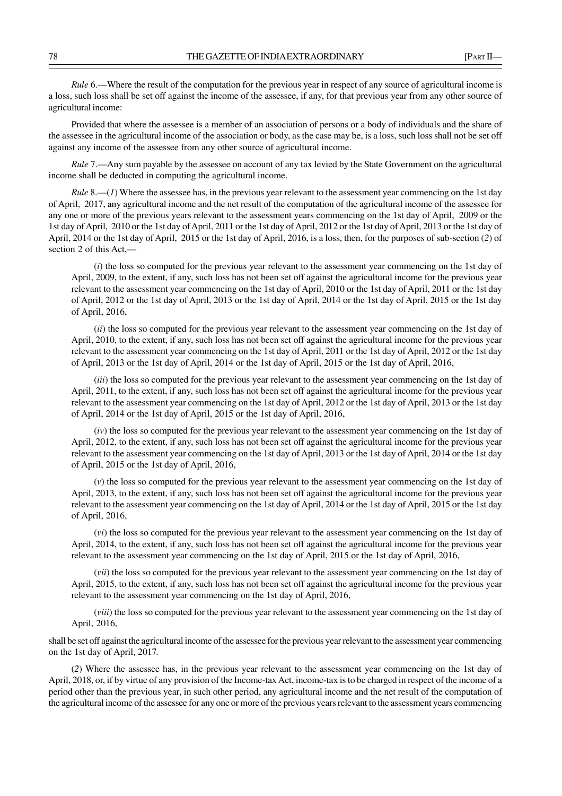*Rule* 6.—Where the result of the computation for the previous year in respect of any source of agricultural income is a loss, such loss shall be set off against the income of the assessee, if any, for that previous year from any other source of agricultural income:

Provided that where the assessee is a member of an association of persons or a body of individuals and the share of the assessee in the agricultural income of the association or body, as the case may be, is a loss, such loss shall not be set off against any income of the assessee from any other source of agricultural income.

*Rule* 7.—Any sum payable by the assessee on account of any tax levied by the State Government on the agricultural income shall be deducted in computing the agricultural income.

*Rule* 8.—(*1*) Where the assessee has, in the previous year relevant to the assessment year commencing on the 1st day of April, 2017, any agricultural income and the net result of the computation of the agricultural income of the assessee for any one or more of the previous years relevant to the assessment years commencing on the 1st day of April, 2009 or the 1st day of April, 2010 or the 1st day of April, 2011 or the 1st day of April, 2012 or the 1st day of April, 2013 or the 1st day of April, 2014 or the 1st day of April, 2015 or the 1st day of April, 2016, is a loss, then, for the purposes of sub-section (*2*) of section 2 of this Act.—

(*i*) the loss so computed for the previous year relevant to the assessment year commencing on the 1st day of April, 2009, to the extent, if any, such loss has not been set off against the agricultural income for the previous year relevant to the assessment year commencing on the 1st day of April, 2010 or the 1st day of April, 2011 or the 1st day of April, 2012 or the 1st day of April, 2013 or the 1st day of April, 2014 or the 1st day of April, 2015 or the 1st day of April, 2016,

(*ii*) the loss so computed for the previous year relevant to the assessment year commencing on the 1st day of April, 2010, to the extent, if any, such loss has not been set off against the agricultural income for the previous year relevant to the assessment year commencing on the 1st day of April, 2011 or the 1st day of April, 2012 or the 1st day of April, 2013 or the 1st day of April, 2014 or the 1st day of April, 2015 or the 1st day of April, 2016,

*(iii)* the loss so computed for the previous year relevant to the assessment year commencing on the 1st day of April, 2011, to the extent, if any, such loss has not been set off against the agricultural income for the previous year relevant to the assessment year commencing on the 1st day of April, 2012 or the 1st day of April, 2013 or the 1st day of April, 2014 or the 1st day of April, 2015 or the 1st day of April, 2016,

(*iv*) the loss so computed for the previous year relevant to the assessment year commencing on the 1st day of April, 2012, to the extent, if any, such loss has not been set off against the agricultural income for the previous year relevant to the assessment year commencing on the 1st day of April, 2013 or the 1st day of April, 2014 or the 1st day of April, 2015 or the 1st day of April, 2016,

(*v*) the loss so computed for the previous year relevant to the assessment year commencing on the 1st day of April, 2013, to the extent, if any, such loss has not been set off against the agricultural income for the previous year relevant to the assessment year commencing on the 1st day of April, 2014 or the 1st day of April, 2015 or the 1st day of April, 2016,

(*vi*) the loss so computed for the previous year relevant to the assessment year commencing on the 1st day of April, 2014, to the extent, if any, such loss has not been set off against the agricultural income for the previous year relevant to the assessment year commencing on the 1st day of April, 2015 or the 1st day of April, 2016,

(*vii*) the loss so computed for the previous year relevant to the assessment year commencing on the 1st day of April, 2015, to the extent, if any, such loss has not been set off against the agricultural income for the previous year relevant to the assessment year commencing on the 1st day of April, 2016,

(*viii*) the loss so computed for the previous year relevant to the assessment year commencing on the 1st day of April, 2016,

shall be set off against the agricultural income of the assessee for the previous year relevant to the assessment year commencing on the 1st day of April, 2017.

(*2*) Where the assessee has, in the previous year relevant to the assessment year commencing on the 1st day of April, 2018, or, if by virtue of any provision of the Income-tax Act, income-tax is to be charged in respect of the income of a period other than the previous year, in such other period, any agricultural income and the net result of the computation of the agricultural income of the assessee for any one or more of the previous years relevant to the assessment years commencing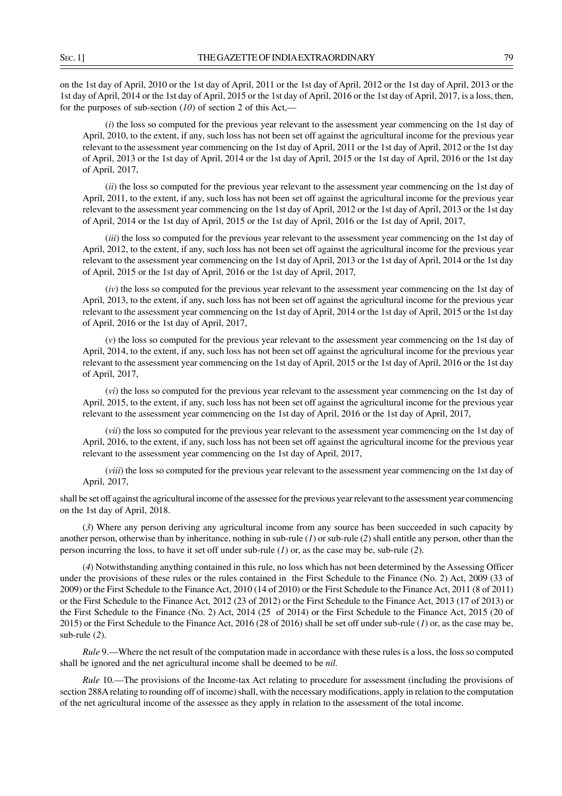on the 1st day of April, 2010 or the 1st day of April, 2011 or the 1st day of April, 2012 or the 1st day of April, 2013 or the 1st day of April, 2014 or the 1st day of April, 2015 or the 1st day of April, 2016 or the 1st day of April, 2017, is a loss, then, for the purposes of sub-section (*10*) of section 2 of this Act,––

(*i*) the loss so computed for the previous year relevant to the assessment year commencing on the 1st day of April, 2010, to the extent, if any, such loss has not been set off against the agricultural income for the previous year relevant to the assessment year commencing on the 1st day of April, 2011 or the 1st day of April, 2012 or the 1st day of April, 2013 or the 1st day of April, 2014 or the 1st day of April, 2015 or the 1st day of April, 2016 or the 1st day of April, 2017,

(*ii*) the loss so computed for the previous year relevant to the assessment year commencing on the 1st day of April, 2011, to the extent, if any, such loss has not been set off against the agricultural income for the previous year relevant to the assessment year commencing on the 1st day of April, 2012 or the 1st day of April, 2013 or the 1st day of April, 2014 or the 1st day of April, 2015 or the 1st day of April, 2016 or the 1st day of April, 2017,

(*iii*) the loss so computed for the previous year relevant to the assessment year commencing on the 1st day of April, 2012, to the extent, if any, such loss has not been set off against the agricultural income for the previous year relevant to the assessment year commencing on the 1st day of April, 2013 or the 1st day of April, 2014 or the 1st day of April, 2015 or the 1st day of April, 2016 or the 1st day of April, 2017,

(*iv*) the loss so computed for the previous year relevant to the assessment year commencing on the 1st day of April, 2013, to the extent, if any, such loss has not been set off against the agricultural income for the previous year relevant to the assessment year commencing on the 1st day of April, 2014 or the 1st day of April, 2015 or the 1st day of April, 2016 or the 1st day of April, 2017,

(*v*) the loss so computed for the previous year relevant to the assessment year commencing on the 1st day of April, 2014, to the extent, if any, such loss has not been set off against the agricultural income for the previous year relevant to the assessment year commencing on the 1st day of April, 2015 or the 1st day of April, 2016 or the 1st day of April, 2017,

(*vi*) the loss so computed for the previous year relevant to the assessment year commencing on the 1st day of April, 2015, to the extent, if any, such loss has not been set off against the agricultural income for the previous year relevant to the assessment year commencing on the 1st day of April, 2016 or the 1st day of April, 2017,

(*vii*) the loss so computed for the previous year relevant to the assessment year commencing on the 1st day of April, 2016, to the extent, if any, such loss has not been set off against the agricultural income for the previous year relevant to the assessment year commencing on the 1st day of April, 2017,

(*viii*) the loss so computed for the previous year relevant to the assessment year commencing on the 1st day of April, 2017,

shall be set off against the agricultural income of the assessee for the previous year relevant to the assessment year commencing on the 1st day of April, 2018.

(*3*) Where any person deriving any agricultural income from any source has been succeeded in such capacity by another person, otherwise than by inheritance, nothing in sub-rule (*1*) or sub-rule (*2*) shall entitle any person, other than the person incurring the loss, to have it set off under sub-rule (*1*) or, as the case may be, sub-rule (*2*).

(*4*) Notwithstanding anything contained in this rule, no loss which has not been determined by the Assessing Officer under the provisions of these rules or the rules contained in the First Schedule to the Finance (No. 2) Act, 2009 (33 of 2009) or the First Schedule to the Finance Act, 2010 (14 of 2010) or the First Schedule to the Finance Act, 2011 (8 of 2011) or the First Schedule to the Finance Act, 2012 (23 of 2012) or the First Schedule to the Finance Act, 2013 (17 of 2013) or the First Schedule to the Finance (No. 2) Act, 2014 (25 of 2014) or the First Schedule to the Finance Act, 2015 (20 of 2015) or the First Schedule to the Finance Act, 2016 (28 of 2016) shall be set off under sub-rule (*1*) or, as the case may be, sub-rule (*2*).

*Rule* 9.—Where the net result of the computation made in accordance with these rules is a loss, the loss so computed shall be ignored and the net agricultural income shall be deemed to be *nil.*

*Rule* 10.—The provisions of the Income-tax Act relating to procedure for assessment (including the provisions of section 288A relating to rounding off of income) shall, with the necessary modifications, apply in relation to the computation of the net agricultural income of the assessee as they apply in relation to the assessment of the total income.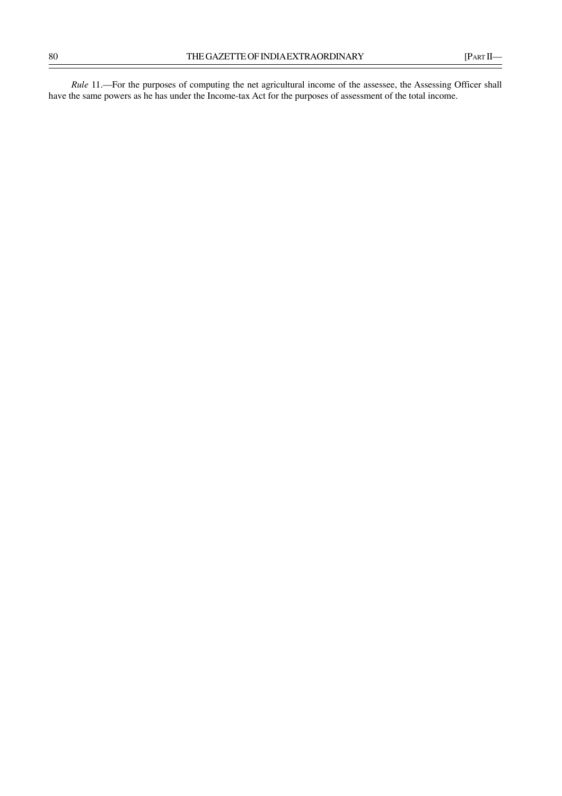*Rule* 11.—For the purposes of computing the net agricultural income of the assessee, the Assessing Officer shall have the same powers as he has under the Income-tax Act for the purposes of assessment of the total income.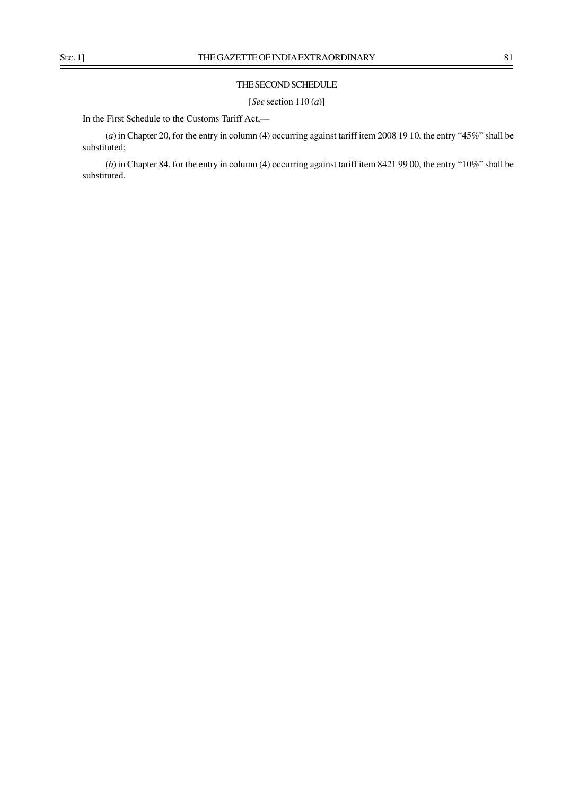## THE SECOND SCHEDULE

[*See* section 110 (*a*)]

In the First Schedule to the Customs Tariff Act,-

(*a*) in Chapter 20, for the entry in column (4) occurring against tariff item 2008 19 10, the entry "45%" shall be substituted;

(*b*) in Chapter 84, for the entry in column (4) occurring against tariff item 8421 99 00, the entry "10%" shall be substituted.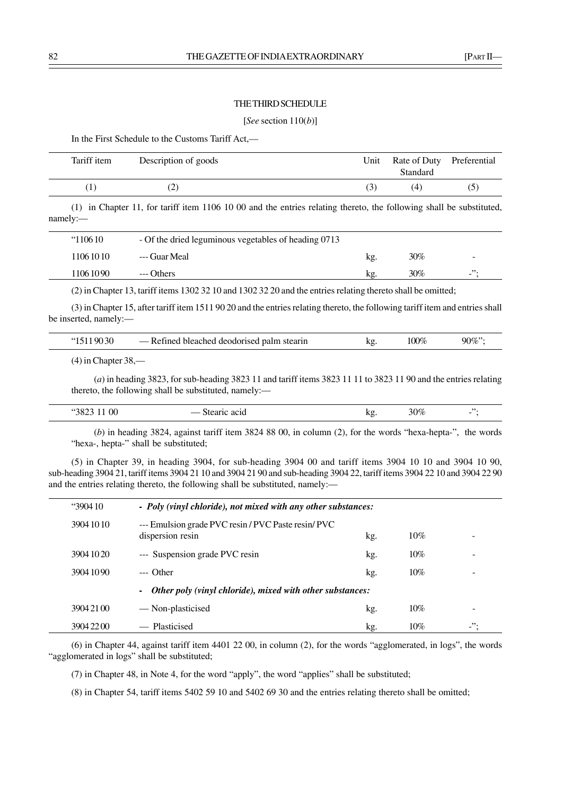### THE THIRD SCHEDULE

#### [*See* section 110(*b*)]

In the First Schedule to the Customs Tariff Act,––

| Tariff item | Description of goods                                                                                                                                                                       |  |  | Unit | Standard | Rate of Duty Preferential |
|-------------|--------------------------------------------------------------------------------------------------------------------------------------------------------------------------------------------|--|--|------|----------|---------------------------|
|             |                                                                                                                                                                                            |  |  | (3   | (4)      | (5)                       |
|             | $\mathcal{A} \setminus \{ \mathbf{A} \mid \mathbf{A} \}$ and the set of $\mathbf{A}$ and $\mathbf{A}$ and $\mathbf{A}$ and $\mathbf{A}$ and $\mathbf{A}$ and $\mathbf{A}$ and $\mathbf{A}$ |  |  |      |          |                           |

(1) in Chapter 11, for tariff item 1106 10 00 and the entries relating thereto, the following shall be substituted, namely:—

| "110610"  | - Of the dried leguminous vegetables of heading 0713 |     |     |                          |
|-----------|------------------------------------------------------|-----|-----|--------------------------|
| 106 10 10 | --- Guar Meal                                        | kg. | 30% | $\overline{\phantom{a}}$ |
| 106 10 90 | --- Others                                           | kg. | 30% | $\cdot$ $\cdot$          |
|           |                                                      |     |     |                          |

(2) in Chapter 13, tariff items 1302 32 10 and 1302 32 20 and the entries relating thereto shall be omitted;

(3) in Chapter 15, after tariff item 1511 90 20 and the entries relating thereto, the following tariff item and entries shall be inserted, namely:––

| $^{\circ}15119030$ | — Refined bleached deodorised palm stearin | kg. | 100% | $90\%$ "; |
|--------------------|--------------------------------------------|-----|------|-----------|
|                    |                                            |     |      |           |

(4) in Chapter 38,––

(*a*) in heading 3823, for sub-heading 3823 11 and tariff items 3823 11 11 to 3823 11 90 and the entries relating thereto, the following shall be substituted, namely:-

| 0 <sup>0</sup><br>.,<br>ነአ | асни<br><b>110</b> | ΛZ | ነበ%<br>$^{\prime\prime}$ | $\overline{\phantom{a}}$ |
|----------------------------|--------------------|----|--------------------------|--------------------------|
|                            |                    |    |                          |                          |

(*b*) in heading 3824, against tariff item 3824 88 00, in column (2), for the words "hexa-hepta-", the words "hexa-, hepta-" shall be substituted;

(5) in Chapter 39, in heading 3904, for sub-heading 3904 00 and tariff items 3904 10 10 and 3904 10 90, sub-heading 3904 21, tariff items 3904 21 10 and 3904 21 90 and sub-heading 3904 22, tariff items 3904 22 10 and 3904 22 90 and the entries relating thereto, the following shall be substituted, namely:—

|                                                           | $\cdot$ 3904 10 | - Poly (vinyl chloride), not mixed with any other substances:           |     |     |           |
|-----------------------------------------------------------|-----------------|-------------------------------------------------------------------------|-----|-----|-----------|
|                                                           | 3904 10 10      | --- Emulsion grade PVC resin / PVC Paste resin/ PVC<br>dispersion resin | kg. | 10% |           |
|                                                           | 3904 10 20      | --- Suspension grade PVC resin                                          | kg. | 10% |           |
|                                                           | 3904 1090       | $---$ Other                                                             | kg. | 10% |           |
| Other poly (vinyl chloride), mixed with other substances: |                 |                                                                         |     |     |           |
|                                                           | 3904 21 00      | — Non-plasticised                                                       | kg. | 10% |           |
|                                                           | 3904 2200       | — Plasticised                                                           | kg. | 10% | ".<br>$-$ |

(6) in Chapter 44, against tariff item 4401 22 00, in column (2), for the words "agglomerated, in logs", the words "agglomerated in logs" shall be substituted;

(7) in Chapter 48, in Note 4, for the word "apply", the word "applies" shall be substituted;

(8) in Chapter 54, tariff items 5402 59 10 and 5402 69 30 and the entries relating thereto shall be omitted;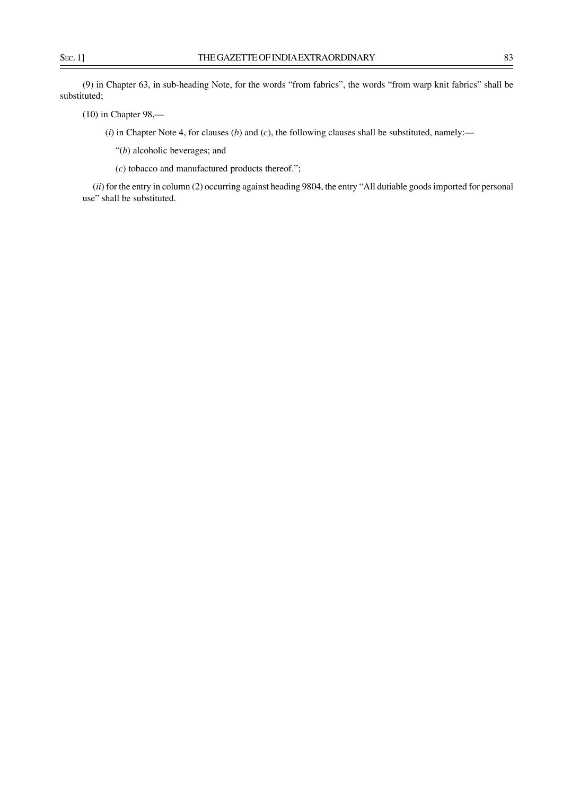(9) in Chapter 63, in sub-heading Note, for the words "from fabrics", the words "from warp knit fabrics" shall be substituted;

(10) in Chapter 98,––

(*i*) in Chapter Note 4, for clauses (*b*) and (*c*), the following clauses shall be substituted, namely:––

"(*b*) alcoholic beverages; and

(*c*) tobacco and manufactured products thereof.";

(*ii*) for the entry in column (2) occurring against heading 9804, the entry "All dutiable goods imported for personal use" shall be substituted.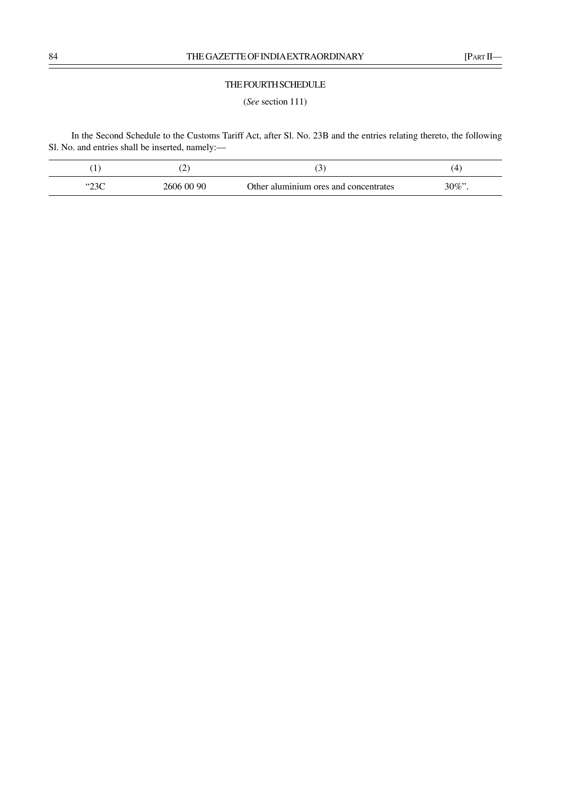### THE FOURTH SCHEDULE

(*See* section 111)

In the Second Schedule to the Customs Tariff Act, after Sl. No. 23B and the entries relating thereto, the following Sl. No. and entries shall be inserted, namely:—

|               | . <u>.</u> | ັ                                     | . .  |
|---------------|------------|---------------------------------------|------|
| 5000<br>بالبط | 2606 00 90 | Other aluminium ores and concentrates | 30%" |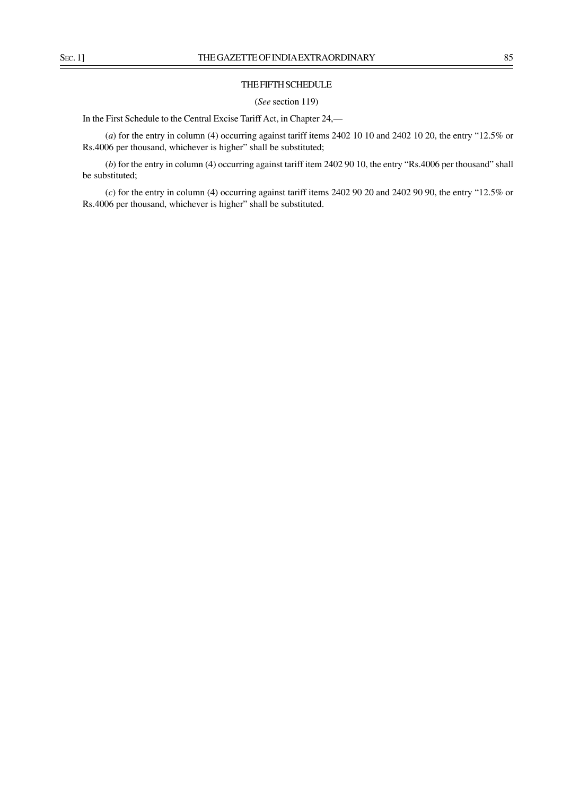### THE FIFTH SCHEDULE

(*See* section 119)

In the First Schedule to the Central Excise Tariff Act, in Chapter 24,––

(*a*) for the entry in column (4) occurring against tariff items 2402 10 10 and 2402 10 20, the entry "12.5% or Rs.4006 per thousand, whichever is higher" shall be substituted;

(*b*) for the entry in column (4) occurring against tariff item 2402 90 10, the entry "Rs.4006 per thousand" shall be substituted;

(*c*) for the entry in column (4) occurring against tariff items 2402 90 20 and 2402 90 90, the entry "12.5% or Rs.4006 per thousand, whichever is higher" shall be substituted.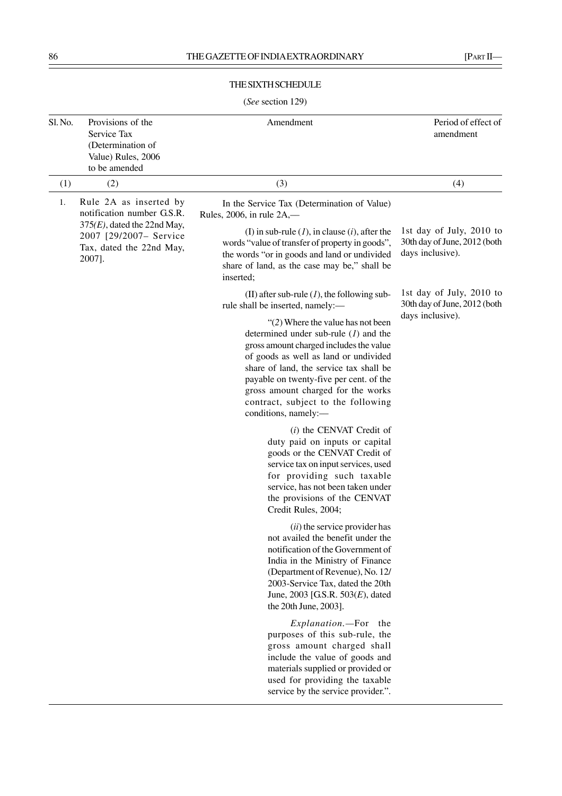## THE SIXTH SCHEDULE

# (*See* section 129)

| Sl. No. | Provisions of the<br>Service Tax<br>(Determination of<br>Value) Rules, 2006<br>to be amended   | Amendment                                                                                                                                                                                                                                                                                                                                                      | Period of effect of<br>amendment                                             |
|---------|------------------------------------------------------------------------------------------------|----------------------------------------------------------------------------------------------------------------------------------------------------------------------------------------------------------------------------------------------------------------------------------------------------------------------------------------------------------------|------------------------------------------------------------------------------|
| (1)     | (2)                                                                                            | (3)                                                                                                                                                                                                                                                                                                                                                            | (4)                                                                          |
| 1.      | Rule 2A as inserted by<br>notification number G.S.R.                                           | In the Service Tax (Determination of Value)<br>Rules, 2006, in rule $2A$ ,—                                                                                                                                                                                                                                                                                    |                                                                              |
|         | $375(E)$ , dated the 22nd May,<br>2007 [29/2007- Service<br>Tax, dated the 22nd May,<br>2007]. | (I) in sub-rule $(l)$ , in clause $(i)$ , after the<br>words "value of transfer of property in goods",<br>the words "or in goods and land or undivided<br>share of land, as the case may be," shall be<br>inserted;                                                                                                                                            | 1st day of July, 2010 to<br>30th day of June, 2012 (both<br>days inclusive). |
|         |                                                                                                | (II) after sub-rule $(l)$ , the following sub-<br>rule shall be inserted, namely:-                                                                                                                                                                                                                                                                             | 1st day of July, 2010 to<br>30th day of June, 2012 (both                     |
|         |                                                                                                | $\lq(2)$ Where the value has not been<br>determined under sub-rule $(l)$ and the<br>gross amount charged includes the value<br>of goods as well as land or undivided<br>share of land, the service tax shall be<br>payable on twenty-five per cent. of the<br>gross amount charged for the works<br>contract, subject to the following<br>conditions, namely:- | days inclusive).                                                             |
|         |                                                                                                | $(i)$ the CENVAT Credit of<br>duty paid on inputs or capital<br>goods or the CENVAT Credit of<br>service tax on input services, used<br>for providing such taxable<br>service, has not been taken under<br>the provisions of the CENVAT<br>Credit Rules, 2004;                                                                                                 |                                                                              |
|         |                                                                                                | (ii) the service provider has<br>not availed the benefit under the<br>notification of the Government of<br>India in the Ministry of Finance<br>(Department of Revenue), No. 12/<br>2003-Service Tax, dated the 20th<br>June, 2003 [G.S.R. 503(E), dated<br>the 20th June, 2003].                                                                               |                                                                              |
|         |                                                                                                | Explanation.-For the<br>purposes of this sub-rule, the<br>gross amount charged shall<br>include the value of goods and<br>materials supplied or provided or<br>used for providing the taxable<br>service by the service provider.".                                                                                                                            |                                                                              |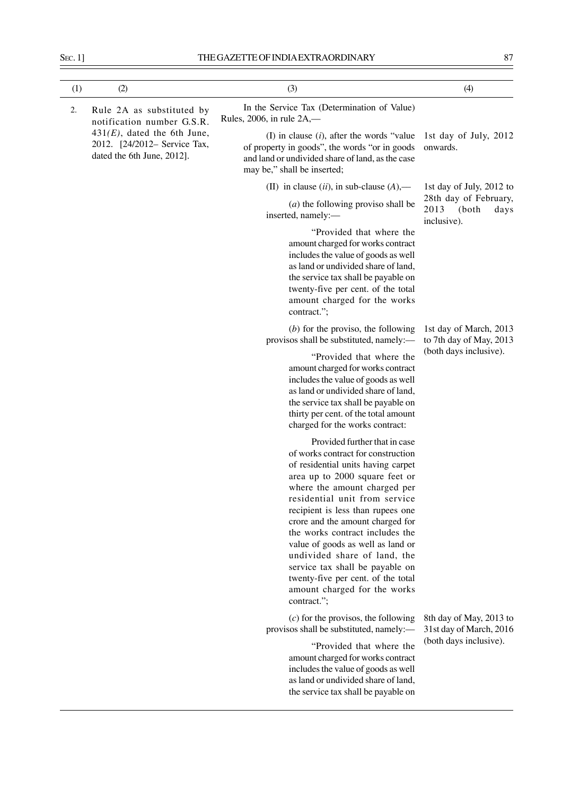| ۰.                 | . . |
|--------------------|-----|
| ×                  |     |
| ۰.<br>×<br>×<br>۰. |     |

| (1) | (2)                                                                                                                                                     | (3)                                                                                                                                                                                                                                                                                                                                                                                                                                                                                                                   | (4)                                                                          |
|-----|---------------------------------------------------------------------------------------------------------------------------------------------------------|-----------------------------------------------------------------------------------------------------------------------------------------------------------------------------------------------------------------------------------------------------------------------------------------------------------------------------------------------------------------------------------------------------------------------------------------------------------------------------------------------------------------------|------------------------------------------------------------------------------|
| 2.  | Rule 2A as substituted by<br>notification number G.S.R.<br>$431(E)$ , dated the 6th June,<br>2012. [24/2012– Service Tax,<br>dated the 6th June, 2012]. | In the Service Tax (Determination of Value)<br>Rules, 2006, in rule $2A$ ,—                                                                                                                                                                                                                                                                                                                                                                                                                                           |                                                                              |
|     |                                                                                                                                                         | (I) in clause $(i)$ , after the words "value"<br>of property in goods", the words "or in goods<br>and land or undivided share of land, as the case<br>may be," shall be inserted;                                                                                                                                                                                                                                                                                                                                     | 1st day of July, 2012<br>onwards.                                            |
|     |                                                                                                                                                         | (II) in clause $(ii)$ , in sub-clause $(A)$ ,—                                                                                                                                                                                                                                                                                                                                                                                                                                                                        | 1st day of July, 2012 to                                                     |
|     |                                                                                                                                                         | $(a)$ the following proviso shall be<br>inserted, namely:-                                                                                                                                                                                                                                                                                                                                                                                                                                                            | 28th day of February,<br>2013<br>(both<br>days<br>inclusive).                |
|     |                                                                                                                                                         | "Provided that where the<br>amount charged for works contract<br>includes the value of goods as well<br>as land or undivided share of land,<br>the service tax shall be payable on<br>twenty-five per cent. of the total<br>amount charged for the works<br>contract.";                                                                                                                                                                                                                                               |                                                                              |
|     |                                                                                                                                                         | $(b)$ for the proviso, the following<br>provisos shall be substituted, namely:-                                                                                                                                                                                                                                                                                                                                                                                                                                       | 1st day of March, 2013<br>to 7th day of May, 2013                            |
|     |                                                                                                                                                         | "Provided that where the<br>amount charged for works contract<br>includes the value of goods as well<br>as land or undivided share of land,<br>the service tax shall be payable on<br>thirty per cent. of the total amount<br>charged for the works contract:                                                                                                                                                                                                                                                         | (both days inclusive).                                                       |
|     |                                                                                                                                                         | Provided further that in case<br>of works contract for construction<br>of residential units having carpet<br>area up to 2000 square feet or<br>where the amount charged per<br>residential unit from service<br>recipient is less than rupees one<br>crore and the amount charged for<br>the works contract includes the<br>value of goods as well as land or<br>undivided share of land, the<br>service tax shall be payable on<br>twenty-five per cent. of the total<br>amount charged for the works<br>contract."; |                                                                              |
|     |                                                                                                                                                         | $(c)$ for the provisos, the following<br>provisos shall be substituted, namely:-                                                                                                                                                                                                                                                                                                                                                                                                                                      | 8th day of May, 2013 to<br>31st day of March, 2016<br>(both days inclusive). |
|     |                                                                                                                                                         | "Provided that where the<br>amount charged for works contract<br>includes the value of goods as well<br>as land or undivided share of land,<br>the service tax shall be payable on                                                                                                                                                                                                                                                                                                                                    |                                                                              |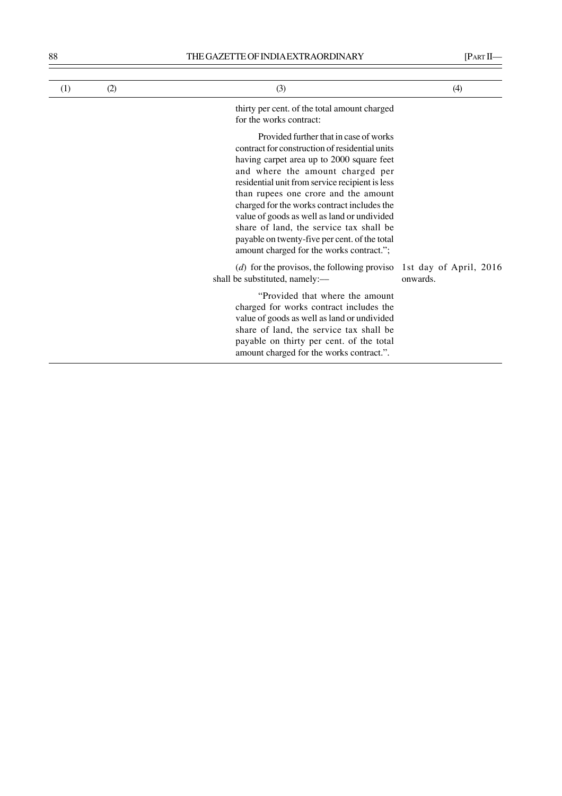| (1) | (2) | (3)                                                                                                                                                                                                                                                                                                                                                                                                                                                                                                        | (4)                                |
|-----|-----|------------------------------------------------------------------------------------------------------------------------------------------------------------------------------------------------------------------------------------------------------------------------------------------------------------------------------------------------------------------------------------------------------------------------------------------------------------------------------------------------------------|------------------------------------|
|     |     | thirty per cent. of the total amount charged<br>for the works contract:                                                                                                                                                                                                                                                                                                                                                                                                                                    |                                    |
|     |     | Provided further that in case of works<br>contract for construction of residential units<br>having carpet area up to 2000 square feet<br>and where the amount charged per<br>residential unit from service recipient is less<br>than rupees one crore and the amount<br>charged for the works contract includes the<br>value of goods as well as land or undivided<br>share of land, the service tax shall be<br>payable on twenty-five per cent. of the total<br>amount charged for the works contract."; |                                    |
|     |     | ( $d$ ) for the provisos, the following proviso<br>shall be substituted, namely:-                                                                                                                                                                                                                                                                                                                                                                                                                          | 1st day of April, 2016<br>onwards. |
|     |     | "Provided that where the amount"<br>charged for works contract includes the<br>value of goods as well as land or undivided<br>share of land, the service tax shall be<br>payable on thirty per cent. of the total                                                                                                                                                                                                                                                                                          |                                    |

amount charged for the works contract.".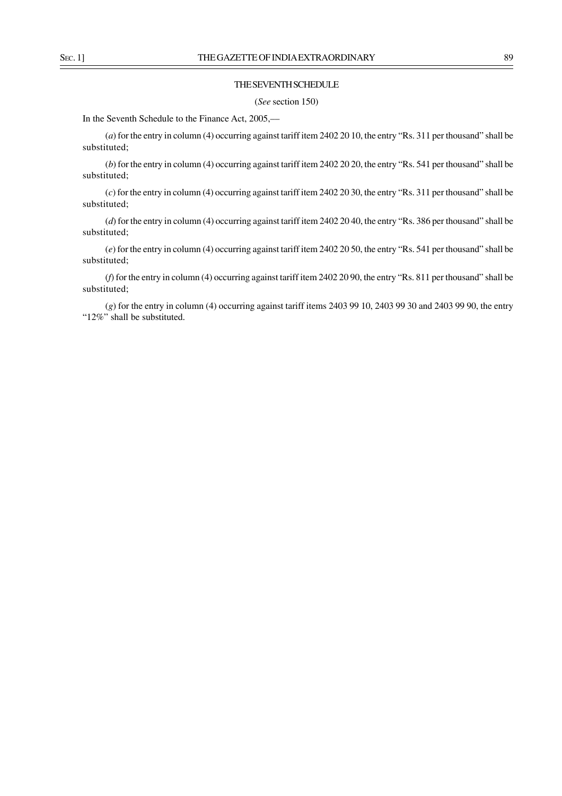### THE SEVENTH SCHEDULE

(*See* section 150)

In the Seventh Schedule to the Finance Act, 2005,––

(*a*) for the entry in column (4) occurring against tariff item 2402 20 10, the entry "Rs. 311 per thousand" shall be substituted;

(*b*) for the entry in column (4) occurring against tariff item 2402 20 20, the entry "Rs. 541 per thousand" shall be substituted;

(*c*) for the entry in column (4) occurring against tariff item 2402 20 30, the entry "Rs. 311 per thousand" shall be substituted;

(*d*) for the entry in column (4) occurring against tariff item 2402 20 40, the entry "Rs. 386 per thousand" shall be substituted;

(*e*) for the entry in column (4) occurring against tariff item 2402 20 50, the entry "Rs. 541 per thousand" shall be substituted;

(*f*) for the entry in column (4) occurring against tariff item 2402 20 90, the entry "Rs. 811 per thousand" shall be substituted;

(*g*) for the entry in column (4) occurring against tariff items 2403 99 10, 2403 99 30 and 2403 99 90, the entry "12%" shall be substituted.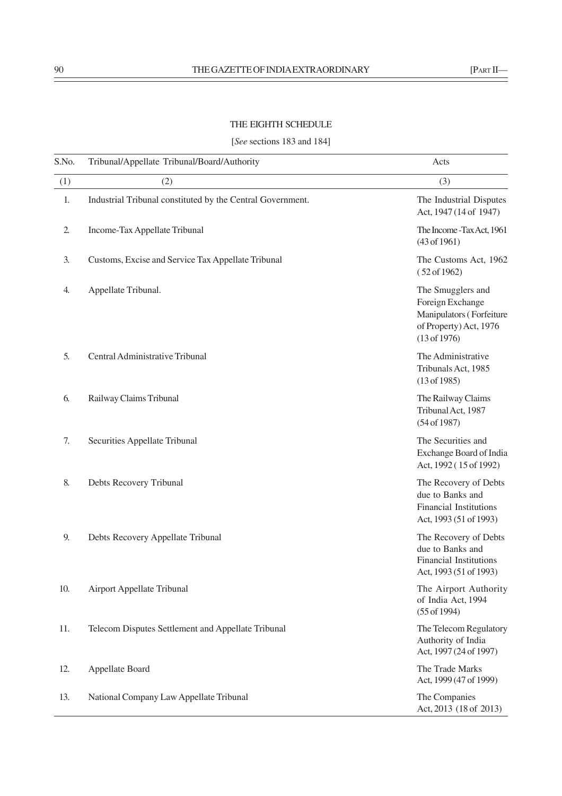# THE EIGHTH SCHEDULE

# [*See* sections 183 and 184]

| S.No.          | Tribunal/Appellate Tribunal/Board/Authority                | Acts                                                                                                        |
|----------------|------------------------------------------------------------|-------------------------------------------------------------------------------------------------------------|
| (1)            | (2)                                                        | (3)                                                                                                         |
| 1.             | Industrial Tribunal constituted by the Central Government. | The Industrial Disputes<br>Act, 1947 (14 of 1947)                                                           |
| $\overline{2}$ | Income-Tax Appellate Tribunal                              | The Income - Tax Act, 1961<br>(43 of 1961)                                                                  |
| 3.             | Customs, Excise and Service Tax Appellate Tribunal         | The Customs Act, 1962<br>(52 of 1962)                                                                       |
| 4.             | Appellate Tribunal.                                        | The Smugglers and<br>Foreign Exchange<br>Manipulators (Forfeiture<br>of Property) Act, 1976<br>(13 of 1976) |
| 5.             | Central Administrative Tribunal                            | The Administrative<br>Tribunals Act, 1985<br>(13 of 1985)                                                   |
| 6.             | Railway Claims Tribunal                                    | The Railway Claims<br>Tribunal Act, 1987<br>(54 of 1987)                                                    |
| 7.             | Securities Appellate Tribunal                              | The Securities and<br>Exchange Board of India<br>Act, 1992 (15 of 1992)                                     |
| 8.             | Debts Recovery Tribunal                                    | The Recovery of Debts<br>due to Banks and<br><b>Financial Institutions</b><br>Act, 1993 (51 of 1993)        |
| 9.             | Debts Recovery Appellate Tribunal                          | The Recovery of Debts<br>due to Banks and<br><b>Financial Institutions</b><br>Act, 1993 (51 of 1993)        |
| 10.            | <b>Airport Appellate Tribunal</b>                          | The Airport Authority<br>of India Act, 1994<br>$(55$ of 1994)                                               |
| 11.            | Telecom Disputes Settlement and Appellate Tribunal         | The Telecom Regulatory<br>Authority of India<br>Act, 1997 (24 of 1997)                                      |
| 12.            | Appellate Board                                            | The Trade Marks<br>Act, 1999 (47 of 1999)                                                                   |
| 13.            | National Company Law Appellate Tribunal                    | The Companies<br>Act, 2013 (18 of 2013)                                                                     |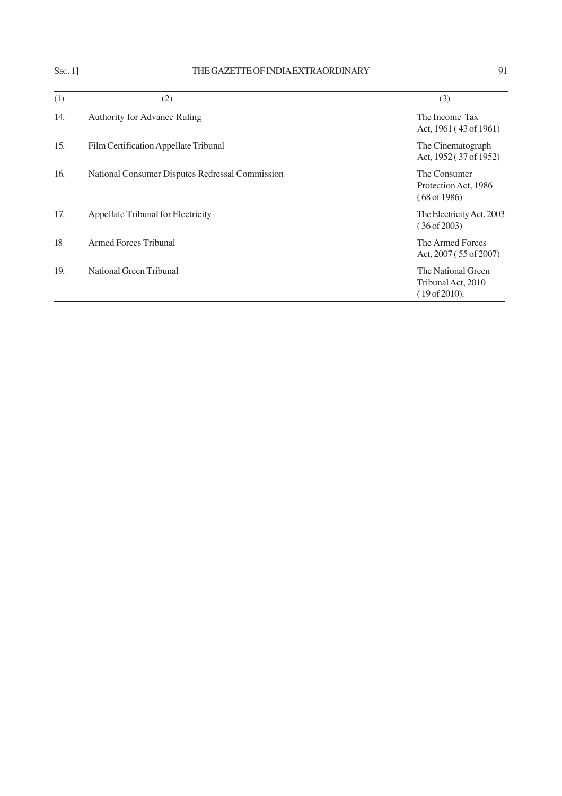| ٧ |
|---|
|   |

| $S_{EC}.1$ ] | THE GAZETTE OF INDIA EXTRAORDINARY              | 91                                                        |
|--------------|-------------------------------------------------|-----------------------------------------------------------|
| (1)          | (2)                                             | (3)                                                       |
| 14.          | <b>Authority for Advance Ruling</b>             | The Income Tax<br>Act, 1961 (43 of 1961)                  |
| 15.          | Film Certification Appellate Tribunal           | The Cinematograph<br>Act, 1952 (37 of 1952)               |
| 16.          | National Consumer Disputes Redressal Commission | The Consumer<br>Protection Act, 1986<br>(68 of 1986)      |
| 17.          | <b>Appellate Tribunal for Electricity</b>       | The Electricity Act, 2003<br>(36 of 2003)                 |
| 18           | <b>Armed Forces Tribunal</b>                    | The Armed Forces<br>Act, $2007(55 \text{ of } 2007)$      |
| 19.          | National Green Tribunal                         | The National Green<br>Tribunal Act, 2010<br>(19 of 2010). |